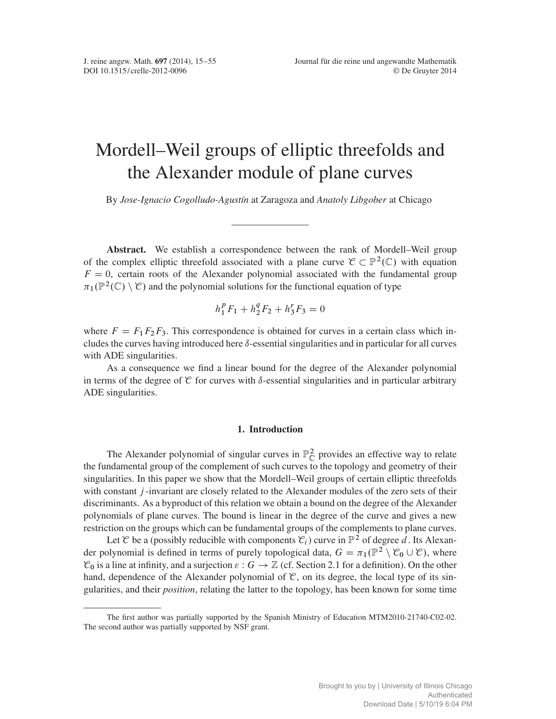# Mordell–Weil groups of elliptic threefolds and the Alexander module of plane curves

By *Jose-Ignacio Cogolludo-Agustín* at Zaragoza and *Anatoly Libgober* at Chicago

Abstract. We establish a correspondence between the rank of Mordell–Weil group of the complex elliptic threefold associated with a plane curve  $\mathcal{C} \subset \mathbb{P}^2(\mathbb{C})$  with equation  $F = 0$ , certain roots of the Alexander polynomial associated with the fundamental group  $\pi_1(\mathbb{P}^2(\mathbb{C}) \setminus \mathcal{C})$  and the polynomial solutions for the functional equation of type

$$
h_1^p F_1 + h_2^q F_2 + h_3^r F_3 = 0
$$

where  $F = F_1F_2F_3$ . This correspondence is obtained for curves in a certain class which includes the curves having introduced here  $\delta$ -essential singularities and in particular for all curves with ADE singularities.

As a consequence we find a linear bound for the degree of the Alexander polynomial in terms of the degree of  $\mathfrak C$  for curves with  $\delta$ -essential singularities and in particular arbitrary ADE singularities.

## 1. Introduction

The Alexander polynomial of singular curves in  $\mathbb{P}^2_{\mathbb{C}}$  provides an effective way to relate the fundamental group of the complement of such curves to the topology and geometry of their singularities. In this paper we show that the Mordell–Weil groups of certain elliptic threefolds with constant *j*-invariant are closely related to the Alexander modules of the zero sets of their discriminants. As a byproduct of this relation we obtain a bound on the degree of the Alexander polynomials of plane curves. The bound is linear in the degree of the curve and gives a new restriction on the groups which can be fundamental groups of the complements to plane curves.

Let C be a (possibly reducible with components  $\mathcal{C}_i$ ) curve in  $\mathbb{P}^2$  of degree d. Its Alexander polynomial is defined in terms of purely topological data,  $G = \pi_1(\mathbb{P}^2 \setminus \mathcal{C}_0 \cup \mathcal{C})$ , where  $\mathcal{C}_0$  is a line at infinity, and a surjection  $\varepsilon : G \to \mathbb{Z}$  (cf. Section 2.1 for a definition). On the other hand, dependence of the Alexander polynomial of  $\mathcal{C}$ , on its degree, the local type of its singularities, and their *position*, relating the latter to the topology, has been known for some time

The first author was partially supported by the Spanish Ministry of Education MTM2010-21740-C02-02. The second author was partially supported by NSF grant.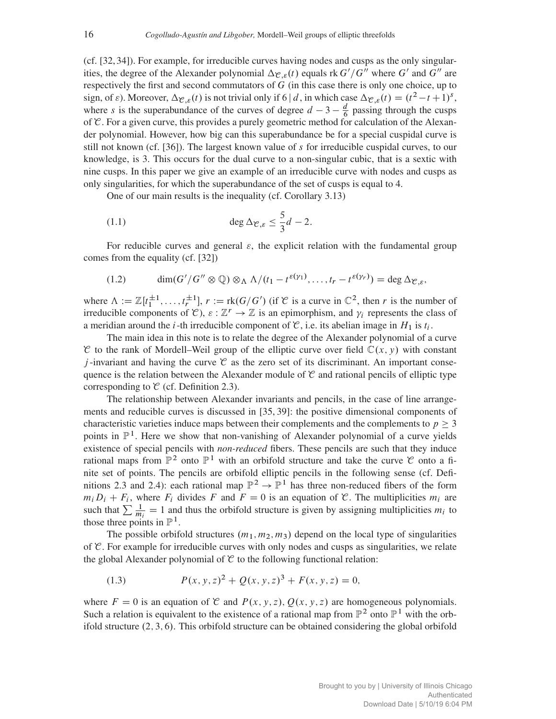(cf. [32, 34]). For example, for irreducible curves having nodes and cusps as the only singularities, the degree of the Alexander polynomial  $\Delta_{\mathcal{C},\varepsilon}(t)$  equals rk  $G'/G''$  where  $G'$  and  $G''$  are respectively the first and second commutators of G (in this case there is only one choice, up to sign, of  $\varepsilon$ ). Moreover,  $\Delta_{\mathcal{C},\varepsilon}(t)$  is not trivial only if 6 | d, in which case  $\Delta_{\mathcal{C},\varepsilon}(t) = (t^2 - t + 1)^s$ , where s is the superabundance of the curves of degree  $d-3-\frac{d}{6}$  passing through the cusps of  $\mathcal C$ . For a given curve, this provides a purely geometric method for calculation of the Alexander polynomial. However, how big can this superabundance be for a special cuspidal curve is still not known (cf. [36]). The largest known value of s for irreducible cuspidal curves, to our knowledge, is 3. This occurs for the dual curve to a non-singular cubic, that is a sextic with nine cusps. In this paper we give an example of an irreducible curve with nodes and cusps as only singularities, for which the superabundance of the set of cusps is equal to 4.

One of our main results is the inequality (cf. Corollary 3.13)

$$
(1.1) \qquad \deg \Delta_{\mathcal{C},\varepsilon} \leq \frac{5}{3}d-2.
$$

For reducible curves and general  $\varepsilon$ , the explicit relation with the fundamental group comes from the equality (cf. [32])

(1.2) 
$$
\dim(G'/G'' \otimes \mathbb{Q}) \otimes_{\Lambda} \Lambda/(t_1-t^{\varepsilon(\gamma_1)},\ldots,t_r-t^{\varepsilon(\gamma_r)})=\deg \Delta_{\mathcal{C},\varepsilon},
$$

where  $\Lambda := \mathbb{Z}[t_1^{\pm 1}, \ldots, t_r^{\pm 1}], r := \text{rk}(G/G')$  (if  $\mathcal{C}$  is a curve in  $\mathbb{C}^2$ , then r is the number of irreducible components of  $\mathcal{C}$ ),  $\varepsilon : \mathbb{Z}^r \to \mathbb{Z}$  is an epimorphism, and  $\gamma_i$  represents the class of a meridian around the *i*-th irreducible component of  $\mathcal{C}$ , i.e. its abelian image in  $H_1$  is  $t_i$ .

The main idea in this note is to relate the degree of the Alexander polynomial of a curve C to the rank of Mordell–Weil group of the elliptic curve over field  $\mathbb{C}(x, y)$  with constant j-invariant and having the curve  $\mathcal C$  as the zero set of its discriminant. An important consequence is the relation between the Alexander module of  $\mathcal C$  and rational pencils of elliptic type corresponding to  $\mathcal C$  (cf. Definition 2.3).

The relationship between Alexander invariants and pencils, in the case of line arrangements and reducible curves is discussed in [35, 39]: the positive dimensional components of characteristic varieties induce maps between their complements and the complements to  $p \geq 3$ points in  $\mathbb{P}^1$ . Here we show that non-vanishing of Alexander polynomial of a curve yields existence of special pencils with *non-reduced* fibers. These pencils are such that they induce rational maps from  $\mathbb{P}^2$  onto  $\mathbb{P}^1$  with an orbifold structure and take the curve  $\mathcal C$  onto a finite set of points. The pencils are orbifold elliptic pencils in the following sense (cf. Definitions 2.3 and 2.4): each rational map  $\mathbb{P}^2 \to \mathbb{P}^1$  has three non-reduced fibers of the form  $m_i D_i + F_i$ , where  $F_i$  divides F and  $F = 0$  is an equation of C. The multiplicities  $m_i$  are such that  $\sum \frac{1}{m_i} = 1$  and thus the orbifold structure is given by assigning multiplicities  $m_i$  to those three points in  $\mathbb{P}^1$ .

The possible orbifold structures  $(m_1, m_2, m_3)$  depend on the local type of singularities of  $\mathcal C$ . For example for irreducible curves with only nodes and cusps as singularities, we relate the global Alexander polynomial of  $C$  to the following functional relation:

(1.3) 
$$
P(x, y, z)^2 + Q(x, y, z)^3 + F(x, y, z) = 0,
$$

where  $F = 0$  is an equation of C and  $P(x, y, z)$ ,  $Q(x, y, z)$  are homogeneous polynomials. Such a relation is equivalent to the existence of a rational map from  $\mathbb{P}^2$  onto  $\mathbb{P}^1$  with the orbifold structure  $(2, 3, 6)$ . This orbifold structure can be obtained considering the global orbifold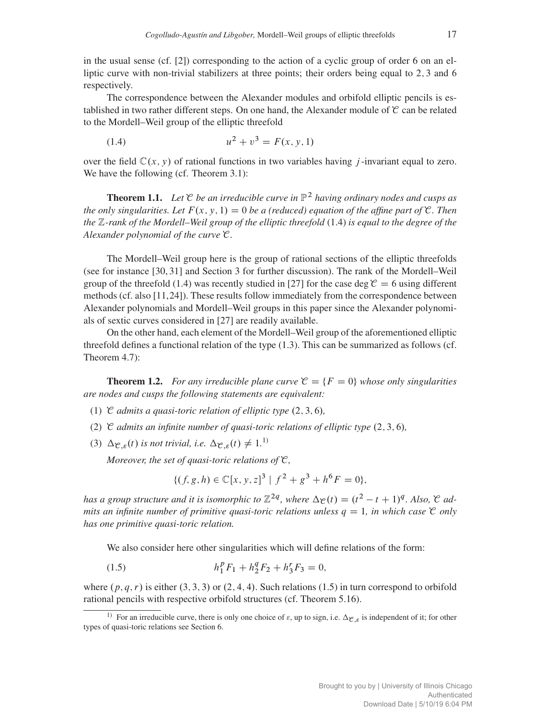in the usual sense (cf.  $[2]$ ) corresponding to the action of a cyclic group of order 6 on an elliptic curve with non-trivial stabilizers at three points; their orders being equal to 2,3 and 6 respectively.

The correspondence between the Alexander modules and orbifold elliptic pencils is established in two rather different steps. On one hand, the Alexander module of  $\mathcal C$  can be related to the Mordell–Weil group of the elliptic threefold

(1.4) 
$$
u^2 + v^3 = F(x, y, 1)
$$

over the field  $\mathbb{C}(x, y)$  of rational functions in two variables having *j*-invariant equal to zero. We have the following (cf. Theorem 3.1):

**Theorem 1.1.** Let  $\mathcal C$  *be an irreducible curve in*  $\mathbb P^2$  *having ordinary nodes and cusps as the only singularities. Let*  $F(x, y, 1) = 0$  *be a (reduced) equation of the affine part of*  $\mathcal{C}$ *. Then the* Z*-rank of the Mordell–Weil group of the elliptic threefold* (1.4) *is equal to the degree of the Alexander polynomial of the curve* C*.*

The Mordell–Weil group here is the group of rational sections of the elliptic threefolds (see for instance [30, 31] and Section 3 for further discussion). The rank of the Mordell–Weil group of the threefold (1.4) was recently studied in [27] for the case deg  $\mathcal{C} = 6$  using different methods (cf. also [11,24]). These results follow immediately from the correspondence between Alexander polynomials and Mordell–Weil groups in this paper since the Alexander polynomials of sextic curves considered in [27] are readily available.

On the other hand, each element of the Mordell–Weil group of the aforementioned elliptic threefold defines a functional relation of the type (1.3). This can be summarized as follows (cf. Theorem 4.7):

**Theorem 1.2.** *For any irreducible plane curve*  $\mathcal{C} = \{F = 0\}$  *whose only singularities are nodes and cusps the following statements are equivalent:*

- (1)  $\mathcal C$  *admits a quasi-toric relation of elliptic type*  $(2, 3, 6)$ *,*
- (2)  $\mathcal C$  *admits an infinite number of quasi-toric relations of elliptic type*  $(2, 3, 6)$ *,*
- (3)  $\Delta_{\mathcal{C},\varepsilon}(t)$  is not trivial, i.e.  $\Delta_{\mathcal{C},\varepsilon}(t) \neq 1$ .<sup>1)</sup>

*Moreover, the set of quasi-toric relations of* C*,*

$$
\{(f, g, h) \in \mathbb{C}[x, y, z]^3 \mid f^2 + g^3 + h^6 F = 0\},\
$$

*has a group structure and it is isomorphic to*  $\mathbb{Z}^{2q}$ *, where*  $\Delta_{\mathcal{C}}(t) = (t^2 - t + 1)^q$ *. Also,*  $\mathcal{C}$  *admits an infinite number of primitive quasi-toric relations unless*  $q = 1$ *, in which case*  $\mathcal C$  *only has one primitive quasi-toric relation.*

We also consider here other singularities which will define relations of the form:

(1.5) 
$$
h_1^p F_1 + h_2^q F_2 + h_3^r F_3 = 0,
$$

where  $(p, q, r)$  is either  $(3, 3, 3)$  or  $(2, 4, 4)$ . Such relations  $(1.5)$  in turn correspond to orbifold rational pencils with respective orbifold structures (cf. Theorem 5.16).

<sup>&</sup>lt;sup>1)</sup> For an irreducible curve, there is only one choice of  $\varepsilon$ , up to sign, i.e.  $\Delta_{\mathcal{C},\varepsilon}$  is independent of it; for other types of quasi-toric relations see Section 6.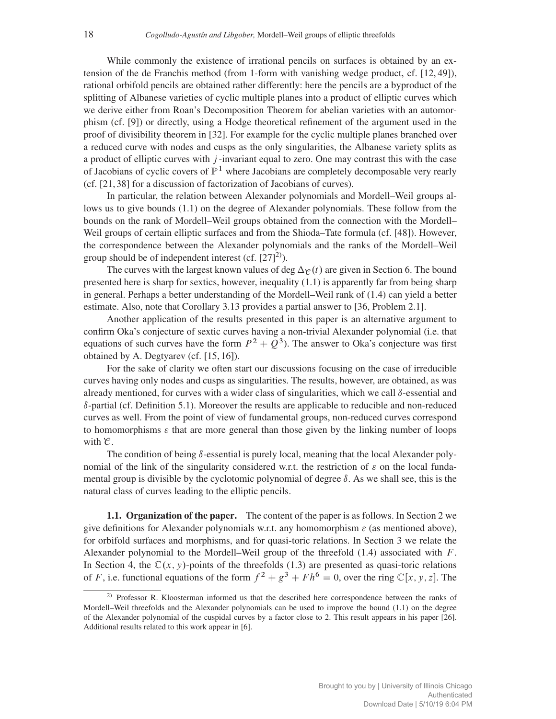While commonly the existence of irrational pencils on surfaces is obtained by an extension of the de Franchis method (from 1-form with vanishing wedge product, cf. [12, 49]), rational orbifold pencils are obtained rather differently: here the pencils are a byproduct of the splitting of Albanese varieties of cyclic multiple planes into a product of elliptic curves which we derive either from Roan's Decomposition Theorem for abelian varieties with an automorphism (cf. [9]) or directly, using a Hodge theoretical refinement of the argument used in the proof of divisibility theorem in [32]. For example for the cyclic multiple planes branched over a reduced curve with nodes and cusps as the only singularities, the Albanese variety splits as a product of elliptic curves with  $j$ -invariant equal to zero. One may contrast this with the case of Jacobians of cyclic covers of  $\mathbb{P}^1$  where Jacobians are completely decomposable very rearly (cf. [21, 38] for a discussion of factorization of Jacobians of curves).

In particular, the relation between Alexander polynomials and Mordell–Weil groups allows us to give bounds (1.1) on the degree of Alexander polynomials. These follow from the bounds on the rank of Mordell–Weil groups obtained from the connection with the Mordell– Weil groups of certain elliptic surfaces and from the Shioda–Tate formula (cf. [48]). However, the correspondence between the Alexander polynomials and the ranks of the Mordell–Weil group should be of independent interest (cf.  $[27]^{2}$ ).

The curves with the largest known values of deg  $\Delta_{\mathcal{C}}(t)$  are given in Section 6. The bound presented here is sharp for sextics, however, inequality (1.1) is apparently far from being sharp in general. Perhaps a better understanding of the Mordell–Weil rank of (1.4) can yield a better estimate. Also, note that Corollary 3.13 provides a partial answer to [36, Problem 2.1].

Another application of the results presented in this paper is an alternative argument to confirm Oka's conjecture of sextic curves having a non-trivial Alexander polynomial (i.e. that equations of such curves have the form  $P^2 + Q^3$ ). The answer to Oka's conjecture was first obtained by A. Degtyarev (cf. [15, 16]).

For the sake of clarity we often start our discussions focusing on the case of irreducible curves having only nodes and cusps as singularities. The results, however, are obtained, as was already mentioned, for curves with a wider class of singularities, which we call  $\delta$ -essential and  $\delta$ -partial (cf. Definition 5.1). Moreover the results are applicable to reducible and non-reduced curves as well. From the point of view of fundamental groups, non-reduced curves correspond to homomorphisms  $\varepsilon$  that are more general than those given by the linking number of loops with  $\mathcal{C}$ .

The condition of being  $\delta$ -essential is purely local, meaning that the local Alexander polynomial of the link of the singularity considered w.r.t. the restriction of  $\varepsilon$  on the local fundamental group is divisible by the cyclotomic polynomial of degree  $\delta$ . As we shall see, this is the natural class of curves leading to the elliptic pencils.

1.1. Organization of the paper. The content of the paper is as follows. In Section 2 we give definitions for Alexander polynomials w.r.t. any homomorphism  $\varepsilon$  (as mentioned above), for orbifold surfaces and morphisms, and for quasi-toric relations. In Section 3 we relate the Alexander polynomial to the Mordell–Weil group of the threefold  $(1.4)$  associated with  $F$ . In Section 4, the  $\mathbb{C}(x, y)$ -points of the threefolds (1.3) are presented as quasi-toric relations of F, i.e. functional equations of the form  $f^2 + g^3 + F h^6 = 0$ , over the ring  $\mathbb{C}[x, y, z]$ . The

<sup>2)</sup> Professor R. Kloosterman informed us that the described here correspondence between the ranks of Mordell–Weil threefolds and the Alexander polynomials can be used to improve the bound (1.1) on the degree of the Alexander polynomial of the cuspidal curves by a factor close to 2. This result appears in his paper [26]. Additional results related to this work appear in [6].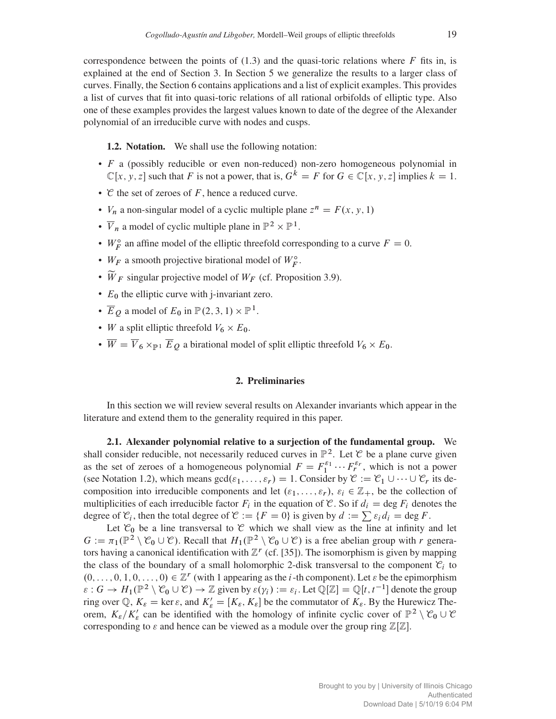correspondence between the points of  $(1.3)$  and the quasi-toric relations where F fits in, is explained at the end of Section 3. In Section 5 we generalize the results to a larger class of curves. Finally, the Section 6 contains applications and a list of explicit examples. This provides a list of curves that fit into quasi-toric relations of all rational orbifolds of elliptic type. Also one of these examples provides the largest values known to date of the degree of the Alexander polynomial of an irreducible curve with nodes and cusps.

1.2. Notation. We shall use the following notation:

- $\bullet$  F a (possibly reducible or even non-reduced) non-zero homogeneous polynomial in  $\mathbb{C}[x, y, z]$  such that F is not a power, that is,  $G^k = F$  for  $G \in \mathbb{C}[x, y, z]$  implies  $k = 1$ .
- $\mathcal C$  the set of zeroes of F, hence a reduced curve.
- $V_n$  a non-singular model of a cyclic multiple plane  $z^n = F(x, y, 1)$
- $\overline{V}_n$  a model of cyclic multiple plane in  $\mathbb{P}^2 \times \mathbb{P}^1$ .
- $W_F^{\circ}$  an affine model of the elliptic threefold corresponding to a curve  $F = 0$ .
- $W_F$  a smooth projective birational model of  $W_F^{\circ}$ .
- $\widetilde{W}_F$  singular projective model of  $W_F$  (cf. Proposition 3.9).
- $\bullet$   $E_0$  the elliptic curve with j-invariant zero.
- $\overline{E}_Q$  a model of  $E_0$  in  $\mathbb{P}(2, 3, 1) \times \mathbb{P}^1$ .
- W a split elliptic threefold  $V_6 \times E_0$ .
- $\overline{W} = \overline{V}_6 \times_{\mathbb{P}^1} \overline{E}_Q$  a birational model of split elliptic threefold  $V_6 \times E_0$ .

## 2. Preliminaries

In this section we will review several results on Alexander invariants which appear in the literature and extend them to the generality required in this paper.

2.1. Alexander polynomial relative to a surjection of the fundamental group. We shall consider reducible, not necessarily reduced curves in  $\mathbb{P}^2$ . Let  $\mathcal C$  be a plane curve given as the set of zeroes of a homogeneous polynomial  $F = F_1^{\varepsilon_1} \cdots F_r^{\varepsilon_r}$ , which is not a power (see Notation 1.2), which means  $gcd(\varepsilon_1,\ldots,\varepsilon_r) = 1$ . Consider by  $\mathcal{C} := \mathcal{C}_1 \cup \cdots \cup \mathcal{C}_r$  its decomposition into irreducible components and let  $(\varepsilon_1,\ldots,\varepsilon_r), \varepsilon_i \in \mathbb{Z}_+$ , be the collection of multiplicities of each irreducible factor  $F_i$  in the equation of C. So if  $d_i = \deg F_i$  denotes the degree of  $\mathcal{C}_i$ , then the total degree of  $\mathcal{C} := \{F = 0\}$  is given by  $d := \sum \varepsilon_i d_i = \deg F$ .

Let  $\mathcal{C}_0$  be a line transversal to  $\mathcal C$  which we shall view as the line at infinity and let  $G := \pi_1(\mathbb{P}^2 \setminus \mathcal{C}_0 \cup \mathcal{C})$ . Recall that  $H_1(\mathbb{P}^2 \setminus \mathcal{C}_0 \cup \mathcal{C})$  is a free abelian group with r generators having a canonical identification with  $\mathbb{Z}^r$  (cf. [35]). The isomorphism is given by mapping the class of the boundary of a small holomorphic 2-disk transversal to the component  $\mathcal{C}_i$  to  $(0, \ldots, 0, 1, 0, \ldots, 0) \in \mathbb{Z}^r$  (with 1 appearing as the *i*-th component). Let  $\varepsilon$  be the epimorphism  $\varepsilon: G \to H_1(\mathbb{P}^2 \setminus \mathcal{C}_0 \cup \mathcal{C}) \to \mathbb{Z}$  given by  $\varepsilon(\gamma_i) := \varepsilon_i$ . Let  $\mathbb{Q}[\mathbb{Z}] = \mathbb{Q}[t, t^{-1}]$  denote the group ring over Q,  $K_{\varepsilon} = \ker \varepsilon$ , and  $K'_{\varepsilon} = [K_{\varepsilon}, K_{\varepsilon}]$  be the commutator of  $K_{\varepsilon}$ . By the Hurewicz Theorem,  $K_{\varepsilon}/K'_{\varepsilon}$  can be identified with the homology of infinite cyclic cover of  $\mathbb{P}^2 \setminus \mathcal{C}_0 \cup \mathcal{C}$ corresponding to  $\varepsilon$  and hence can be viewed as a module over the group ring  $\mathbb{Z}[\mathbb{Z}]$ .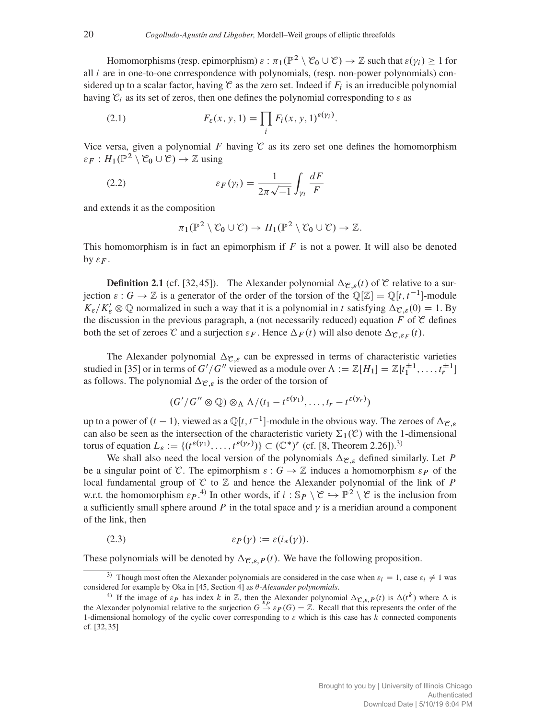Homomorphisms (resp. epimorphism)  $\varepsilon : \pi_1(\mathbb{P}^2 \setminus \mathcal{C}_0 \cup \mathcal{C}) \to \mathbb{Z}$  such that  $\varepsilon(\gamma_i) \geq 1$  for all  $i$  are in one-to-one correspondence with polynomials, (resp. non-power polynomials) considered up to a scalar factor, having  $\mathcal C$  as the zero set. Indeed if  $F_i$  is an irreducible polynomial having  $\mathcal{C}_i$  as its set of zeros, then one defines the polynomial corresponding to  $\varepsilon$  as

(2.1) 
$$
F_{\varepsilon}(x, y, 1) = \prod_{i} F_{i}(x, y, 1)^{\varepsilon(y_{i})}.
$$

Vice versa, given a polynomial F having  $\mathcal C$  as its zero set one defines the homomorphism  $\varepsilon_F : H_1(\mathbb{P}^2 \setminus \mathcal{C}_0 \cup \mathcal{C}) \to \mathbb{Z}$  using

(2.2) 
$$
\varepsilon_F(\gamma_i) = \frac{1}{2\pi\sqrt{-1}} \int_{\gamma_i} \frac{dF}{F}
$$

and extends it as the composition

$$
\pi_1(\mathbb{P}^2 \setminus \mathcal{C}_0 \cup \mathcal{C}) \to H_1(\mathbb{P}^2 \setminus \mathcal{C}_0 \cup \mathcal{C}) \to \mathbb{Z}.
$$

This homomorphism is in fact an epimorphism if  $F$  is not a power. It will also be denoted by  $\varepsilon_F$ .

**Definition 2.1** (cf. [32, 45]). The Alexander polynomial  $\Delta_{\mathcal{C},\mathcal{E}}(t)$  of  $\mathcal{C}$  relative to a surjection  $\varepsilon : G \to \mathbb{Z}$  is a generator of the order of the torsion of the  $\mathbb{Q}[\mathbb{Z}] = \mathbb{Q}[t, t^{-1}]$ -module  $K_{\varepsilon}/K'_{\varepsilon} \otimes \mathbb{Q}$  normalized in such a way that it is a polynomial in t satisfying  $\Delta_{\mathcal{C},\varepsilon}(0) = 1$ . By the discussion in the previous paragraph, a (not necessarily reduced) equation F of  $\mathcal C$  defines both the set of zeroes  $\mathcal C$  and a surjection  $\varepsilon_F$ . Hence  $\Delta_F(t)$  will also denote  $\Delta_{\mathcal C,\varepsilon_F}(t)$ .

The Alexander polynomial  $\Delta_{\mathcal{C},\varepsilon}$  can be expressed in terms of characteristic varieties studied in [35] or in terms of  $G'/G''$  viewed as a module over  $\Lambda := \mathbb{Z}[H_1] = \mathbb{Z}[t_1^{\pm 1}, \ldots, t_r^{\pm 1}]$ as follows. The polynomial  $\Delta_{\mathcal{C},\varepsilon}$  is the order of the torsion of

$$
(G'/G'' \otimes \mathbb{Q}) \otimes_{\Lambda} \Lambda/(t_1-t^{\varepsilon(\gamma_1)},\ldots,t_r-t^{\varepsilon(\gamma_r)})
$$

up to a power of  $(t - 1)$ , viewed as a  $\mathbb{Q}[t, t^{-1}]$ -module in the obvious way. The zeroes of  $\Delta_{\mathcal{C}, \varepsilon}$ can also be seen as the intersection of the characteristic variety  $\Sigma_1(\mathcal{C})$  with the 1-dimensional torus of equation  $L_{\varepsilon} := \{(t^{\varepsilon(\gamma_1)}, \ldots, t^{\varepsilon(\gamma_r)})\} \subset (\mathbb{C}^*)^r$  (cf. [8, Theorem 2.26]).<sup>3)</sup>

We shall also need the local version of the polynomials  $\Delta_{\mathcal{C},\varepsilon}$  defined similarly. Let P be a singular point of C. The epimorphism  $\varepsilon : G \to \mathbb{Z}$  induces a homomorphism  $\varepsilon_P$  of the local fundamental group of  $C$  to  $\mathbb Z$  and hence the Alexander polynomial of the link of P w.r.t. the homomorphism  $\varepsilon_P$ .<sup>4)</sup> In other words, if  $i : \mathbb{S}_P \setminus \mathcal{C} \hookrightarrow \mathbb{P}^2 \setminus \mathcal{C}$  is the inclusion from a sufficiently small sphere around P in the total space and  $\gamma$  is a meridian around a component of the link, then

$$
\varepsilon_P(\gamma) := \varepsilon(i_*(\gamma)).
$$

These polynomials will be denoted by  $\Delta_{\mathcal{C},\varepsilon,P}(t)$ . We have the following proposition.

<sup>&</sup>lt;sup>3)</sup> Though most often the Alexander polynomials are considered in the case when  $\varepsilon_i = 1$ , case  $\varepsilon_i \neq 1$  was considered for example by Oka in  $[45, Section 4]$  as  $\theta$ -Alexander polynomials.

<sup>&</sup>lt;sup>4)</sup> If the image of  $\varepsilon_P$  has index k in Z, then the Alexander polynomial  $\Delta_{\mathcal{C},\varepsilon,P}(t)$  is  $\Delta(t^k)$  where  $\Delta$  is the Alexander polynomial relative to the surjection  $G \stackrel{\varepsilon_P}{\rightarrow} \varepsilon_P(G) = \mathbb{Z}$ . Recall that this 1-dimensional homology of the cyclic cover corresponding to  $\varepsilon$  which is this case has k connected components cf. [32, 35]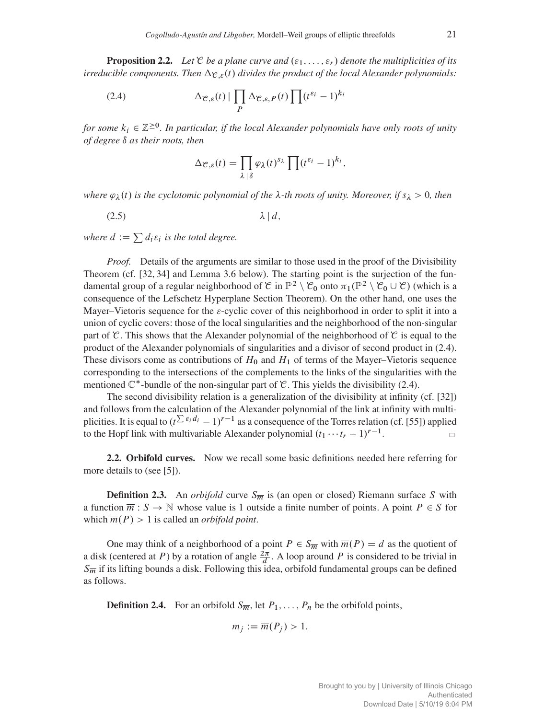**Proposition 2.2.** Let  $\mathcal C$  *be a plane curve and*  $(\varepsilon_1,\ldots,\varepsilon_r)$  *denote the multiplicities of its irreducible components. Then*  $\Delta_{\mathcal{C},\varepsilon}(t)$  *divides the product of the local Alexander polynomials:* 

(2.4) 
$$
\Delta_{\mathcal{C},\varepsilon}(t) \mid \prod_{P} \Delta_{\mathcal{C},\varepsilon,P}(t) \prod_{i} (t^{\varepsilon_i} - 1)^{k_i}
$$

*for some*  $k_i \in \mathbb{Z}^{\geq 0}$ *. In particular, if the local Alexander polynomials have only roots of unity of degree*  $\delta$  *as their roots, then* 

$$
\Delta_{\mathcal{C},\varepsilon}(t) = \prod_{\lambda \,|\,\delta} \varphi_{\lambda}(t)^{s_{\lambda}} \prod_{i} (t^{\varepsilon_i} - 1)^{k_i},
$$

*where*  $\varphi_{\lambda}(t)$  *is the cyclotomic polynomial of the*  $\lambda$ -*th roots of unity. Moreover, if*  $s_{\lambda} > 0$ *, then* 

(2.5)  $\lambda | d$ ,

*where*  $d := \sum d_i \varepsilon_i$  *is the total degree.* 

*Proof.* Details of the arguments are similar to those used in the proof of the Divisibility Theorem (cf. [32, 34] and Lemma 3.6 below). The starting point is the surjection of the fundamental group of a regular neighborhood of  $\mathcal{C}$  in  $\mathbb{P}^2 \setminus \mathcal{C}_0$  onto  $\pi_1(\mathbb{P}^2 \setminus \mathcal{C}_0 \cup \mathcal{C})$  (which is a consequence of the Lefschetz Hyperplane Section Theorem). On the other hand, one uses the Mayer–Vietoris sequence for the  $\varepsilon$ -cyclic cover of this neighborhood in order to split it into a union of cyclic covers: those of the local singularities and the neighborhood of the non-singular part of C. This shows that the Alexander polynomial of the neighborhood of C is equal to the product of the Alexander polynomials of singularities and a divisor of second product in (2.4). These divisors come as contributions of  $H_0$  and  $H_1$  of terms of the Mayer–Vietoris sequence corresponding to the intersections of the complements to the links of the singularities with the mentioned  $\mathbb{C}^*$ -bundle of the non-singular part of  $\mathcal{C}$ . This yields the divisibility (2.4).

The second divisibility relation is a generalization of the divisibility at infinity (cf. [32]) and follows from the calculation of the Alexander polynomial of the link at infinity with multiplicities. It is equal to  $(t^{\sum \varepsilon_i d_i} - 1)^{r-1}$  as a consequence of the Torres relation (cf. [55]) applied to the Hopf link with multivariable Alexander polynomial  $(t_1 \cdots t_r - 1)^{r-1}$ .  $\Box$ 

2.2. Orbifold curves. Now we recall some basic definitions needed here referring for more details to (see [5]).

**Definition 2.3.** An *orbifold* curve  $S_{\overline{m}}$  is (an open or closed) Riemann surface S with a function  $\overline{m}$ :  $S \to \mathbb{N}$  whose value is 1 outside a finite number of points. A point  $P \in S$  for which  $\overline{m}(P) > 1$  is called an *orbifold point*.

One may think of a neighborhood of a point  $P \in S_{\overline{m}}$  with  $\overline{m}(P) = d$  as the quotient of a disk (centered at P) by a rotation of angle  $\frac{2\pi}{d}$ . A loop around P is considered to be trivial in  $S_{\overline{m}}$  if its lifting bounds a disk. Following this idea, orbifold fundamental groups can be defined as follows.

**Definition 2.4.** For an orbifold  $S_{\overline{m}}$ , let  $P_1, \ldots, P_n$  be the orbifold points,

$$
m_j := \overline{m}(P_j) > 1.
$$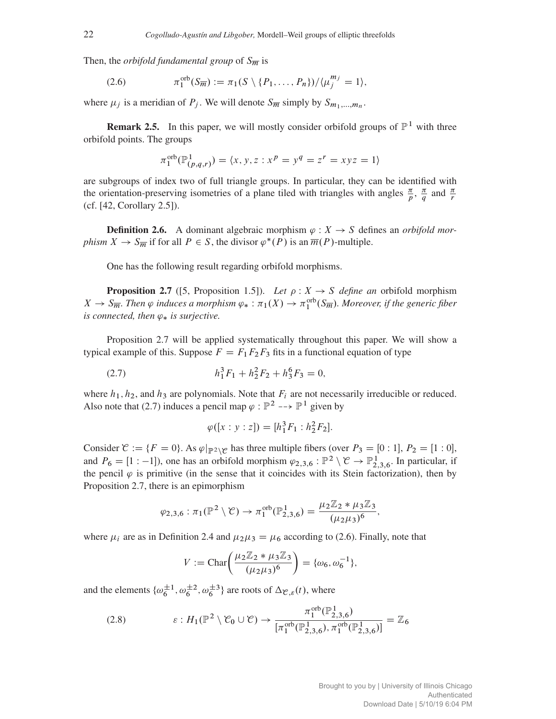Then, the *orbifold fundamental group* of  $S_{\overline{m}}$  is

(2.6) 
$$
\pi_1^{\text{orb}}(S_{\overline{m}}) := \pi_1(S \setminus \{P_1, \ldots, P_n\}) / \langle \mu_j^{m_j} = 1 \rangle,
$$

where  $\mu_j$  is a meridian of  $P_j$ . We will denote  $S_{\overline{m}}$  simply by  $S_{m_1,...,m_n}$ .

**Remark 2.5.** In this paper, we will mostly consider orbifold groups of  $\mathbb{P}^1$  with three orbifold points. The groups

$$
\pi_1^{\text{orb}}(\mathbb{P}^1_{(p,q,r)}) = \langle x, y, z : x^p = y^q = z^r = xyz = 1 \rangle
$$

are subgroups of index two of full triangle groups. In particular, they can be identified with the orientation-preserving isometries of a plane tiled with triangles with angles  $\frac{\pi}{p}$ ,  $\frac{\pi}{q}$  and  $\frac{\pi}{r}$ (cf. [42, Corollary 2.5]).

**Definition 2.6.** A dominant algebraic morphism  $\varphi : X \to S$  defines an *orbifold morphism*  $X \to S_{\overline{m}}$  if for all  $P \in S$ , the divisor  $\varphi^*(P)$  is an  $\overline{m}(P)$ -multiple.

One has the following result regarding orbifold morphisms.

**Proposition 2.7** ([5, Proposition 1.5]). *Let*  $\rho: X \to S$  *define an* orbifold morphism  $X \to S_{\overline{m}}$ . Then  $\varphi$  induces a morphism  $\varphi_* : \pi_1(X) \to \pi_1^{\text{orb}}(S_{\overline{m}})$ . Moreover, if the generic fiber *is connected, then*  $\varphi_*$  *is surjective.* 

Proposition 2.7 will be applied systematically throughout this paper. We will show a typical example of this. Suppose  $F = F_1F_2F_3$  fits in a functional equation of type

(2.7) 
$$
h_1^3 F_1 + h_2^2 F_2 + h_3^6 F_3 = 0,
$$

where  $h_1, h_2$ , and  $h_3$  are polynomials. Note that  $F_i$  are not necessarily irreducible or reduced. Also note that (2.7) induces a pencil map  $\varphi : \mathbb{P}^2 \longrightarrow \mathbb{P}^1$  given by

$$
\varphi([x:y:z]) = [h_1^3 F_1 : h_2^2 F_2].
$$

Consider  $\mathcal{C} := \{F = 0\}$ . As  $\varphi|_{\mathbb{P}^2 \setminus \mathcal{C}}$  has three multiple fibers (over  $P_3 = [0 : 1], P_2 = [1 : 0],$ and  $P_6 = [1:-1]$ , one has an orbifold morphism  $\varphi_{2,3,6} : \mathbb{P}^2 \setminus \mathcal{C} \to \mathbb{P}^1_{2,3,6}$ . In particular, if the pencil  $\varphi$  is primitive (in the sense that it coincides with its Stein factorization), then by Proposition 2.7, there is an epimorphism

$$
\varphi_{2,3,6} : \pi_1(\mathbb{P}^2 \setminus \mathcal{C}) \to \pi_1^{\text{orb}}(\mathbb{P}^1_{2,3,6}) = \frac{\mu_2 \mathbb{Z}_2 * \mu_3 \mathbb{Z}_3}{(\mu_2 \mu_3)^6},
$$

where  $\mu_i$  are as in Definition 2.4 and  $\mu_2 \mu_3 = \mu_6$  according to (2.6). Finally, note that

$$
V := \text{Char}\bigg(\frac{\mu_2 \mathbb{Z}_2 * \mu_3 \mathbb{Z}_3}{(\mu_2 \mu_3)^6}\bigg) = \{\omega_6, \omega_6^{-1}\},
$$

and the elements  $\{\omega_6^{\pm 1}, \omega_6^{\pm 2}, \omega_6^{\pm 3}\}\$  are roots of  $\Delta_{\mathcal{C},\varepsilon}(t)$ , where

(2.8) 
$$
\varepsilon: H_1(\mathbb{P}^2 \setminus \mathcal{C}_0 \cup \mathcal{C}) \to \frac{\pi_1^{\text{orb}}(\mathbb{P}^1_{2,3,6})}{[\pi_1^{\text{orb}}(\mathbb{P}^1_{2,3,6}), \pi_1^{\text{orb}}(\mathbb{P}^1_{2,3,6})]} = \mathbb{Z}_6
$$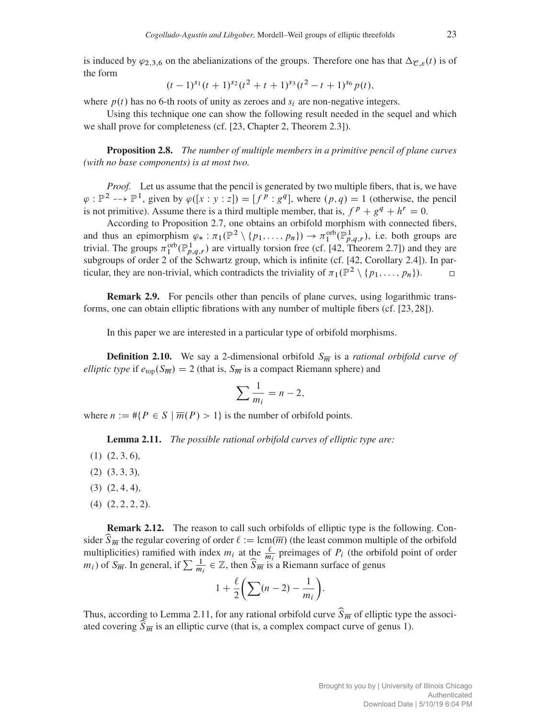is induced by  $\varphi_{2,3,6}$  on the abelianizations of the groups. Therefore one has that  $\Delta_{\mathcal{C},\varepsilon}(t)$  is of the form

$$
(t-1)^{s_1}(t+1)^{s_2}(t^2+t+1)^{s_3}(t^2-t+1)^{s_6}p(t),
$$

where  $p(t)$  has no 6-th roots of unity as zeroes and  $s_i$  are non-negative integers.

Using this technique one can show the following result needed in the sequel and which we shall prove for completeness (cf. [23, Chapter 2, Theorem 2.3]).

Proposition 2.8. *The number of multiple members in a primitive pencil of plane curves (with no base components) is at most two.*

*Proof.* Let us assume that the pencil is generated by two multiple fibers, that is, we have  $\varphi : \mathbb{P}^2 \longrightarrow \mathbb{P}^1$ , given by  $\varphi([x : y : z]) = [f^p : g^q]$ , where  $(p, q) = 1$  (otherwise, the pencil is not primitive). Assume there is a third multiple member, that is,  $f^p + g^q + h^r = 0$ .

According to Proposition 2.7, one obtains an orbifold morphism with connected fibers, and thus an epimorphism  $\varphi_* : \pi_1(\mathbb{P}^2 \setminus \{p_1, \ldots, p_n\}) \to \pi_1^{\text{orb}}(\mathbb{P}^1_{p,q,r})$ , i.e. both groups are trivial. The groups  $\pi_1^{\text{orb}}(\mathbb{P}^1_{p,q,r})$  are virtually torsion free (cf. [42, Theorem 2.7]) and they are subgroups of order 2 of the Schwartz group, which is infinite (cf. [42, Corollary 2.4]). In particular, they are non-trivial, which contradicts the triviality of  $\pi_1(\mathbb{P}^2 \setminus \{p_1,\ldots,p_n\})$ .

Remark 2.9. For pencils other than pencils of plane curves, using logarithmic transforms, one can obtain elliptic fibrations with any number of multiple fibers (cf. [23, 28]).

In this paper we are interested in a particular type of orbifold morphisms.

**Definition 2.10.** We say a 2-dimensional orbifold  $S_{\overline{m}}$  is a *rational orbifold curve of elliptic type* if  $e_{top}(S_{\overline{m}}) = 2$  (that is,  $S_{\overline{m}}$  is a compact Riemann sphere) and

$$
\sum \frac{1}{m_i} = n - 2,
$$

where  $n := \# \{ P \in S \mid \overline{m}(P) > 1 \}$  is the number of orbifold points.

Lemma 2.11. *The possible rational orbifold curves of elliptic type are:*

- $(1)$   $(2, 3, 6)$ *,*
- $(2)$   $(3, 3, 3)$ *,*
- $(3)$   $(2, 4, 4)$ ,
- $(4)$   $(2, 2, 2, 2).$

Remark 2.12. The reason to call such orbifolds of elliptic type is the following. Consider  $\widehat{S}_{\overline{m}}$  the regular covering of order  $\ell := \text{lcm}(\overline{m})$  (the least common multiple of the orbifold multiplicities) ramified with index  $m_i$  at the  $\frac{\ell}{m_i}$  preimages of  $P_i$  (the orbifold point of order  $m_i$ ) of  $S_{\overline{m}}$ . In general, if  $\sum \frac{1}{m_i} \in \mathbb{Z}$ , then  $\widehat{S}_{\overline{m}}$  is a Riemann surface of genus

$$
1 + \frac{\ell}{2} \bigg( \sum (n-2) - \frac{1}{m_i} \bigg).
$$

Thus, according to Lemma 2.11, for any rational orbifold curve  $\widehat{S}_{\overline{m}}$  of elliptic type the associated covering  $\widehat{S}_{\overline{m}}$  is an elliptic curve (that is, a complex compact curve of genus 1).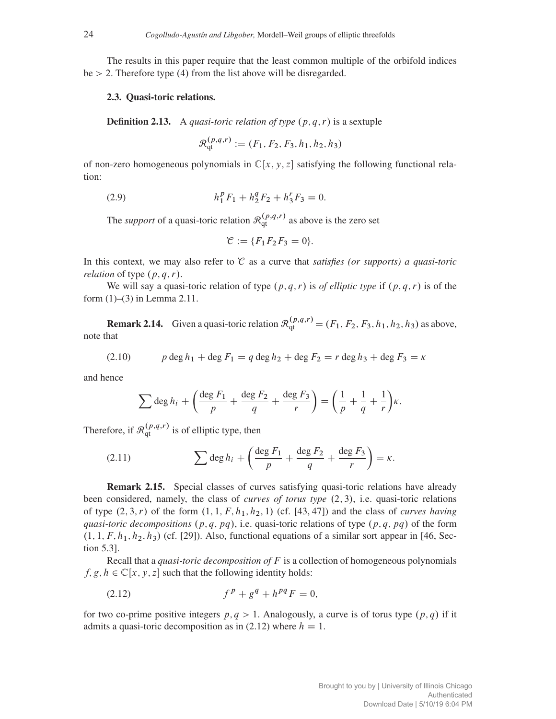The results in this paper require that the least common multiple of the orbifold indices  $be > 2$ . Therefore type (4) from the list above will be disregarded.

## 2.3. Quasi-toric relations.

**Definition 2.13.** A *quasi-toric relation of type*  $(p, q, r)$  is a sextuple

$$
\mathcal{R}_{\text{qt}}^{(p,q,r)} := (F_1, F_2, F_3, h_1, h_2, h_3)
$$

of non-zero homogeneous polynomials in  $\mathbb{C}[x, y, z]$  satisfying the following functional relation:

(2.9) 
$$
h_1^p F_1 + h_2^q F_2 + h_3^r F_3 = 0.
$$

The *support* of a quasi-toric relation  $\mathcal{R}^{(p,q,r)}_{qt}$  as above is the zero set

$$
\mathcal{C}:=\{F_1F_2F_3=0\}.
$$

In this context, we may also refer to C as a curve that *satisfies (or supports) a quasi-toric relation* of type  $(p, q, r)$ .

We will say a quasi-toric relation of type  $(p, q, r)$  is *of elliptic type* if  $(p, q, r)$  is of the form (1)–(3) in Lemma 2.11.

**Remark 2.14.** Given a quasi-toric relation  $\mathcal{R}_{qt}^{(p,q,r)} = (F_1, F_2, F_3, h_1, h_2, h_3)$  as above, note that

(2.10) 
$$
p \deg h_1 + \deg F_1 = q \deg h_2 + \deg F_2 = r \deg h_3 + \deg F_3 = \kappa
$$

and hence

$$
\sum \deg h_i + \left(\frac{\deg F_1}{p} + \frac{\deg F_2}{q} + \frac{\deg F_3}{r}\right) = \left(\frac{1}{p} + \frac{1}{q} + \frac{1}{r}\right)\kappa.
$$

Therefore, if  $\mathcal{R}_{qt}^{(p,q,r)}$  is of elliptic type, then

(2.11) 
$$
\sum \deg h_i + \left(\frac{\deg F_1}{p} + \frac{\deg F_2}{q} + \frac{\deg F_3}{r}\right) = \kappa.
$$

Remark 2.15. Special classes of curves satisfying quasi-toric relations have already been considered, namely, the class of *curves of torus type* (2,3), i.e. quasi-toric relations of type  $(2, 3, r)$  of the form  $(1, 1, F, h_1, h_2, 1)$  (cf. [43, 47]) and the class of *curves having quasi-toric decompositions*  $(p, q, pq)$ , i.e. quasi-toric relations of type  $(p, q, pq)$  of the form  $(1, 1, F, h<sub>1</sub>, h<sub>2</sub>, h<sub>3</sub>)$  (cf. [29]). Also, functional equations of a similar sort appear in [46, Section 5.3].

Recall that a *quasi-toric decomposition of* F is a collection of homogeneous polynomials  $f, g, h \in \mathbb{C}[x, y, z]$  such that the following identity holds:

(2.12) 
$$
f^{p} + g^{q} + h^{pq} F = 0,
$$

for two co-prime positive integers  $p, q > 1$ . Analogously, a curve is of torus type  $(p, q)$  if it admits a quasi-toric decomposition as in (2.12) where  $h = 1$ .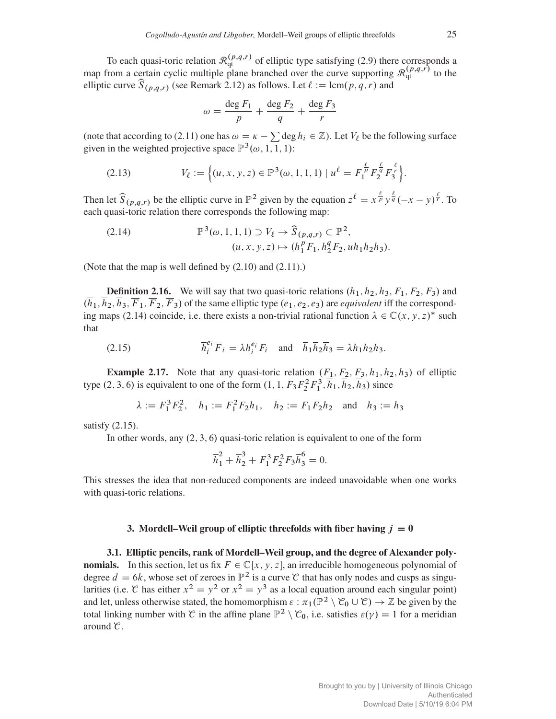To each quasi-toric relation  $\mathcal{R}_{qt}^{(p,q,r)}$  of elliptic type satisfying (2.9) there corresponds a map from a certain cyclic multiple plane branched over the curve supporting  $\mathcal{R}_{qt}^{(p,q,r)}$  to the elliptic curve  $\widehat{S}_{(p,q,r)}$  (see Remark 2.12) as follows. Let  $\ell := \text{lcm}(p,q,r)$  and

$$
\omega = \frac{\deg F_1}{p} + \frac{\deg F_2}{q} + \frac{\deg F_3}{r}
$$

(note that according to (2.11) one has  $\omega = \kappa - \sum \deg h_i \in \mathbb{Z}$ ). Let  $V_\ell$  be the following surface given in the weighted projective space  $\mathbb{P}^3(\omega, 1, 1, 1)$ :

(2.13) 
$$
V_{\ell} := \left\{ (u, x, y, z) \in \mathbb{P}^{3}(\omega, 1, 1, 1) \mid u^{\ell} = F_{1}^{\frac{\ell}{p}} F_{2}^{\frac{\ell}{q}} F_{3}^{\frac{\ell}{r}} \right\}.
$$

Then let  $\widehat{S}_{(p,q,r)}$  be the elliptic curve in  $\mathbb{P}^2$  given by the equation  $z^{\ell} = x^{\frac{\ell}{p}} y^{\frac{\ell}{q}} (-x - y)^{\frac{\ell}{r}}$ . To each quasi-toric relation there corresponds the following map:

(2.14) 
$$
\mathbb{P}^{3}(\omega, 1, 1, 1) \supset V_{\ell} \to \widehat{S}_{(p,q,r)} \subset \mathbb{P}^{2}, (u, x, y, z) \mapsto (h_{1}^{p} F_{1}, h_{2}^{q} F_{2}, u h_{1} h_{2} h_{3}).
$$

(Note that the map is well defined by (2.10) and (2.11).)

**Definition 2.16.** We will say that two quasi-toric relations  $(h_1, h_2, h_3, F_1, F_2, F_3)$  and  $(h_1, h_2, h_3, \overline{F}_1, \overline{F}_2, \overline{F}_3)$  of the same elliptic type  $(e_1, e_2, e_3)$  are *equivalent* iff the corresponding maps (2.14) coincide, i.e. there exists a non-trivial rational function  $\lambda \in \mathbb{C}(x, y, z)^*$  such that

(2.15) 
$$
\overline{h}_i^{e_i} \overline{F}_i = \lambda h_i^{e_i} F_i \text{ and } \overline{h}_1 \overline{h}_2 \overline{h}_3 = \lambda h_1 h_2 h_3.
$$

**Example 2.17.** Note that any quasi-toric relation  $(F_1, F_2, F_3, h_1, h_2, h_3)$  of elliptic type (2, 3, 6) is equivalent to one of the form  $(1, 1, F_3F_2^2F_1^3, \overline{h}_1, \overline{h}_2, \overline{h}_3)$  since

$$
\lambda := F_1^3 F_2^2
$$
,  $\bar{h}_1 := F_1^2 F_2 h_1$ ,  $\bar{h}_2 := F_1 F_2 h_2$  and  $\bar{h}_3 := h_3$ 

satisfy (2.15).

In other words, any  $(2, 3, 6)$  quasi-toric relation is equivalent to one of the form

$$
\overline{h}_1^2 + \overline{h}_2^3 + F_1^3 F_2^2 F_3 \overline{h}_3^6 = 0.
$$

This stresses the idea that non-reduced components are indeed unavoidable when one works with quasi-toric relations.

## 3. Mordell–Weil group of elliptic threefolds with fiber having  $j = 0$

3.1. Elliptic pencils, rank of Mordell–Weil group, and the degree of Alexander poly**nomials.** In this section, let us fix  $F \in \mathbb{C}[x, y, z]$ , an irreducible homogeneous polynomial of degree  $d = 6k$ , whose set of zeroes in  $\mathbb{P}^2$  is a curve C that has only nodes and cusps as singularities (i.e. C has either  $x^2 = y^2$  or  $x^2 = y^3$  as a local equation around each singular point) and let, unless otherwise stated, the homomorphism  $\varepsilon : \pi_1(\mathbb{P}^2 \setminus \mathcal{C}_0 \cup \mathcal{C}) \to \mathbb{Z}$  be given by the total linking number with C in the affine plane  $\mathbb{P}^2 \setminus \mathcal{C}_0$ , i.e. satisfies  $\varepsilon(\gamma) = 1$  for a meridian around C.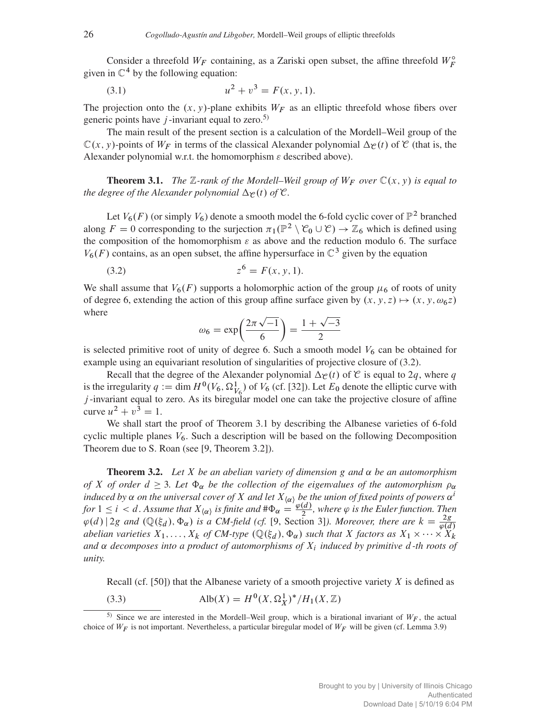Consider a threefold  $W_F$  containing, as a Zariski open subset, the affine threefold  $W_F^{\circ}$ given in  $\mathbb{C}^4$  by the following equation:

(3.1) 
$$
u^2 + v^3 = F(x, y, 1).
$$

The projection onto the  $(x, y)$ -plane exhibits  $W_F$  as an elliptic threefold whose fibers over generic points have  $j$ -invariant equal to zero.<sup>5)</sup>

The main result of the present section is a calculation of the Mordell–Weil group of the  $\mathbb{C}(x, y)$ -points of  $W_F$  in terms of the classical Alexander polynomial  $\Delta_{\mathcal{C}}(t)$  of  $\mathcal{C}$  (that is, the Alexander polynomial w.r.t. the homomorphism  $\varepsilon$  described above).

**Theorem 3.1.** *The*  $\mathbb{Z}$ -rank of the Mordell–Weil group of  $W_F$  over  $\mathbb{C}(x, y)$  is equal to *the degree of the Alexander polynomial*  $\Delta \varphi(t)$  *of*  $\mathcal{C}$ *.* 

Let  $V_6(F)$  (or simply  $V_6$ ) denote a smooth model the 6-fold cyclic cover of  $\mathbb{P}^2$  branched along  $F = 0$  corresponding to the surjection  $\pi_1(\mathbb{P}^2 \setminus \mathcal{C}_0 \cup \mathcal{C}) \to \mathbb{Z}_6$  which is defined using the composition of the homomorphism  $\varepsilon$  as above and the reduction modulo 6. The surface  $V_6(F)$  contains, as an open subset, the affine hypersurface in  $\mathbb{C}^3$  given by the equation

(3.2) 
$$
z^6 = F(x, y, 1).
$$

We shall assume that  $V_6(F)$  supports a holomorphic action of the group  $\mu_6$  of roots of unity of degree 6, extending the action of this group affine surface given by  $(x, y, z) \mapsto (x, y, \omega_6 z)$ where

$$
\omega_6 = \exp\left(\frac{2\pi\sqrt{-1}}{6}\right) = \frac{1+\sqrt{-3}}{2}
$$

is selected primitive root of unity of degree 6. Such a smooth model  $V_6$  can be obtained for example using an equivariant resolution of singularities of projective closure of (3.2).

Recall that the degree of the Alexander polynomial  $\Delta_{\mathcal{C}}(t)$  of  $\mathcal{C}$  is equal to 2q, where q is the irregularity  $q := \dim H^0(V_6, \Omega^1_{V_6})$  of  $V_6$  (cf. [32]). Let  $E_0$  denote the elliptic curve with j -invariant equal to zero. As its biregular model one can take the projective closure of affine curve  $u^2 + v^3 = 1$ .

We shall start the proof of Theorem 3.1 by describing the Albanese varieties of 6-fold cyclic multiple planes  $V_6$ . Such a description will be based on the following Decomposition Theorem due to S. Roan (see [9, Theorem 3.2]).

**Theorem 3.2.** Let X be an abelian variety of dimension g and  $\alpha$  be an automorphism *of* X *of order*  $d \geq 3$ *. Let*  $\Phi_{\alpha}$  *be the collection of the eigenvalues of the automorphism*  $\rho_{\alpha}$ *induced by*  $\alpha$  *on the universal cover of* X *and let*  $X_{\{\alpha\}}$  *be the union of fixed points of powers*  $\alpha^{i}$ *for*  $1 \leq i < d$ . Assume that  $X_{\langle \alpha \rangle}$  *is finite and*  $\#\Phi_{\alpha} = \frac{\varphi(d)}{2}$ , where  $\varphi$  *is the Euler function. Then*  $\varphi(d)$  | 2g and  $(\mathbb{Q}(\xi_d), \Phi_\alpha)$  is a CM-field (cf. [9, Section 3]). Moreover, there are  $k = \frac{2g}{\varphi(d)}$ *abelian varieties*  $X_1,\ldots,X_k$  *of CM-type*  $(\mathbb{Q}(\xi_d),\Phi_\alpha)$  *such that* X *factors as*  $X_1 \times \cdots \times X_k$ and  $\alpha$  *decomposes into a product of automorphisms of*  $X_i$  *induced by primitive d-th roots of unity.*

Recall (cf. [50]) that the Albanese variety of a smooth projective variety  $X$  is defined as

(3.3) Alb $(X) = H^0(X, \Omega_X^1)^* / H_1(X, \mathbb{Z})$ 

<sup>&</sup>lt;sup>5)</sup> Since we are interested in the Mordell–Weil group, which is a birational invariant of  $W_F$ , the actual choice of  $W_F$  is not important. Nevertheless, a particular biregular model of  $W_F$  will be given (cf. Lemma 3.9)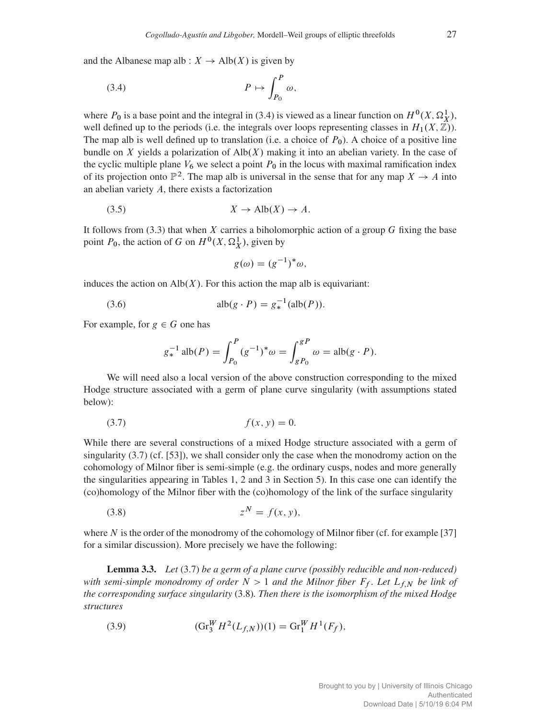and the Albanese map alb :  $X \to Alb(X)$  is given by

$$
(3.4) \t\t P \mapsto \int_{P_0}^P \omega,
$$

where  $P_0$  is a base point and the integral in (3.4) is viewed as a linear function on  $H^0(X, \Omega_X^1)$ , well defined up to the periods (i.e. the integrals over loops representing classes in  $H_1(X,\mathbb{Z})$ ). The map alb is well defined up to translation (i.e. a choice of  $P_0$ ). A choice of a positive line bundle on X yields a polarization of  $\text{Alb}(X)$  making it into an abelian variety. In the case of the cyclic multiple plane  $V_6$  we select a point  $P_0$  in the locus with maximal ramification index of its projection onto  $\mathbb{P}^2$ . The map alb is universal in the sense that for any map  $X \to A$  into an abelian variety A, there exists a factorization

$$
(3.5) \t\t X \to Alb(X) \to A.
$$

It follows from  $(3.3)$  that when X carries a biholomorphic action of a group G fixing the base point  $P_0$ , the action of G on  $H^0(X, \Omega_X^1)$ , given by

$$
g(\omega) = (g^{-1})^* \omega,
$$

induces the action on  $\text{Alb}(X)$ . For this action the map alb is equivariant:

(3.6) 
$$
alb(g \cdot P) = g_*^{-1}(alb(P)).
$$

For example, for  $g \in G$  one has

$$
g_*^{-1}
$$
alb $(P) = \int_{P_0}^{P} (g^{-1})^* \omega = \int_{gP_0}^{gP} \omega = \text{alb}(g \cdot P).$ 

We will need also a local version of the above construction corresponding to the mixed Hodge structure associated with a germ of plane curve singularity (with assumptions stated below):

$$
(3.7) \t\t f(x, y) = 0.
$$

While there are several constructions of a mixed Hodge structure associated with a germ of singularity  $(3.7)$  (cf. [53]), we shall consider only the case when the monodromy action on the cohomology of Milnor fiber is semi-simple (e.g. the ordinary cusps, nodes and more generally the singularities appearing in Tables 1, 2 and 3 in Section 5). In this case one can identify the (co)homology of the Milnor fiber with the (co)homology of the link of the surface singularity

$$
(3.8) \t\t\t z^N = f(x, y),
$$

where  $N$  is the order of the monodromy of the cohomology of Milnor fiber (cf. for example [37] for a similar discussion). More precisely we have the following:

Lemma 3.3. *Let* (3.7) *be a germ of a plane curve (possibly reducible and non-reduced) with semi-simple monodromy of order*  $N > 1$  *and the Milnor fiber*  $F_f$ *. Let*  $L_{f,N}$  *be link of the corresponding surface singularity* (3.8)*. Then there is the isomorphism of the mixed Hodge structures*

(3.9) 
$$
(\text{Gr}_{3}^{W} H^{2}(L_{f,N}))(1) = \text{Gr}_{1}^{W} H^{1}(F_{f}),
$$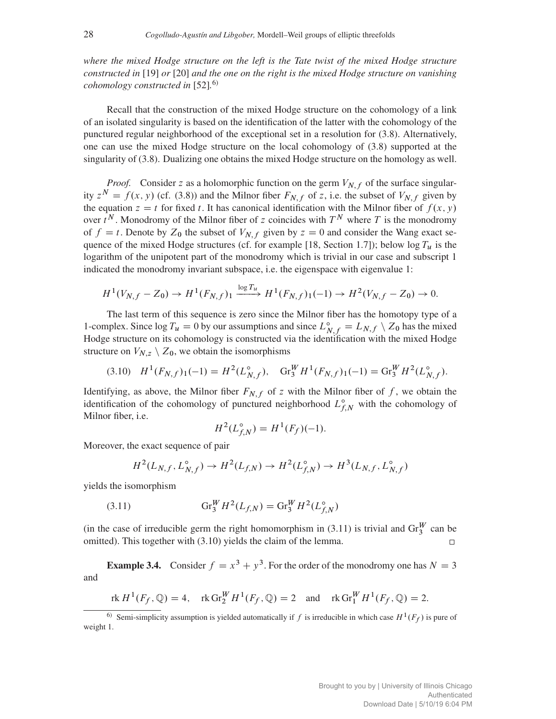*where the mixed Hodge structure on the left is the Tate twist of the mixed Hodge structure constructed in* [19] *or* [20] *and the one on the right is the mixed Hodge structure on vanishing cohomology constructed in* [52]*.* 6)

Recall that the construction of the mixed Hodge structure on the cohomology of a link of an isolated singularity is based on the identification of the latter with the cohomology of the punctured regular neighborhood of the exceptional set in a resolution for (3.8). Alternatively, one can use the mixed Hodge structure on the local cohomology of (3.8) supported at the singularity of (3.8). Dualizing one obtains the mixed Hodge structure on the homology as well.

*Proof.* Consider z as a holomorphic function on the germ  $V_{N,f}$  of the surface singularity  $z^N = f(x, y)$  (cf. (3.8)) and the Milnor fiber  $F_{N,f}$  of z, i.e. the subset of  $V_{N,f}$  given by the equation  $z = t$  for fixed t. It has canonical identification with the Milnor fiber of  $f(x, y)$ over  $t^N$ . Monodromy of the Milnor fiber of z coincides with  $T^N$  where T is the monodromy of  $f = t$ . Denote by  $Z_0$  the subset of  $V_{N,f}$  given by  $z = 0$  and consider the Wang exact sequence of the mixed Hodge structures (cf. for example [18, Section 1.7]); below  $\log T_u$  is the logarithm of the unipotent part of the monodromy which is trivial in our case and subscript 1 indicated the monodromy invariant subspace, i.e. the eigenspace with eigenvalue 1:

$$
H^1(V_{N,f}-Z_0)\to H^1(F_{N,f})_1\xrightarrow{\log T_u} H^1(F_{N,f})_1(-1)\to H^2(V_{N,f}-Z_0)\to 0.
$$

The last term of this sequence is zero since the Milnor fiber has the homotopy type of a 1-complex. Since  $\log T_u = 0$  by our assumptions and since  $L_{N,f}^{\circ} = L_{N,f} \setminus Z_0$  has the mixed Hodge structure on its cohomology is constructed via the identification with the mixed Hodge structure on  $V_{N,z} \setminus Z_0$ , we obtain the isomorphisms

$$
(3.10) \quad H^1(F_{N,f})_1(-1) = H^2(L_{N,f}^{\circ}), \quad \text{Gr}_{3}^W H^1(F_{N,f})_1(-1) = \text{Gr}_{3}^W H^2(L_{N,f}^{\circ}).
$$

Identifying, as above, the Milnor fiber  $F_{N,f}$  of z with the Milnor fiber of f, we obtain the identification of the cohomology of punctured neighborhood  $L_{f,N}^{\circ}$  with the cohomology of Milnor fiber, i.e.

$$
H^2(L_{f,N}^{\circ}) = H^1(F_f)(-1).
$$

Moreover, the exact sequence of pair

$$
H^2(L_{N,f}, L_{N,f}^{\circ}) \to H^2(L_{f,N}) \to H^2(L_{f,N}^{\circ}) \to H^3(L_{N,f}, L_{N,f}^{\circ})
$$

yields the isomorphism

(3.11) 
$$
Gr_3^W H^2(L_{f,N}) = Gr_3^W H^2(L_{f,N}^{\circ})
$$

(in the case of irreducible germ the right homomorphism in (3.11) is trivial and  $\text{Gr}_{3}^{W}$  can be omitted). This together with (3.10) yields the claim of the lemma.

**Example 3.4.** Consider  $f = x^3 + y^3$ . For the order of the monodromy one has  $N = 3$ and

$$
\text{rk } H^1(F_f, \mathbb{Q}) = 4, \quad \text{rk } \text{Gr}_2^W H^1(F_f, \mathbb{Q}) = 2 \quad \text{and} \quad \text{rk } \text{Gr}_1^W H^1(F_f, \mathbb{Q}) = 2.
$$

<sup>6)</sup> Semi-simplicity assumption is yielded automatically if f is irreducible in which case  $H^1(F_f)$  is pure of weight 1.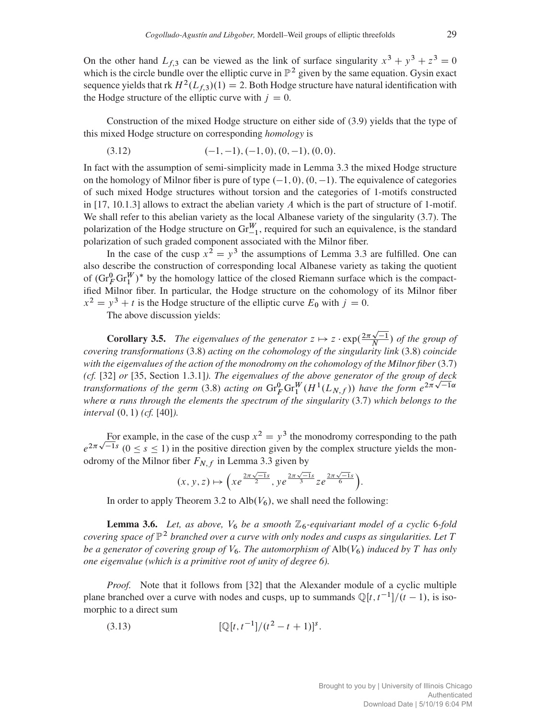On the other hand  $L_{f,3}$  can be viewed as the link of surface singularity  $x^3 + y^3 + z^3 = 0$ which is the circle bundle over the elliptic curve in  $\mathbb{P}^2$  given by the same equation. Gysin exact sequence yields that rk  $H^2(L_f,3)(1) = 2$ . Both Hodge structure have natural identification with the Hodge structure of the elliptic curve with  $j = 0$ .

Construction of the mixed Hodge structure on either side of (3.9) yields that the type of this mixed Hodge structure on corresponding *homology* is

$$
(3.12) \qquad (-1,-1), (-1,0), (0,-1), (0,0).
$$

In fact with the assumption of semi-simplicity made in Lemma 3.3 the mixed Hodge structure on the homology of Milnor fiber is pure of type  $(-1, 0)$ ,  $(0, -1)$ . The equivalence of categories of such mixed Hodge structures without torsion and the categories of 1-motifs constructed in  $[17, 10.1.3]$  allows to extract the abelian variety A which is the part of structure of 1-motif. We shall refer to this abelian variety as the local Albanese variety of the singularity (3.7). The polarization of the Hodge structure on  $\text{Gr}_{-1}^W$ , required for such an equivalence, is the standard polarization of such graded component associated with the Milnor fiber.

In the case of the cusp  $x^2 = y^3$  the assumptions of Lemma 3.3 are fulfilled. One can also describe the construction of corresponding local Albanese variety as taking the quotient of  $(\text{Gr}_{F}^{0} \text{Gr}_{1}^{W})^*$  by the homology lattice of the closed Riemann surface which is the compactified Milnor fiber. In particular, the Hodge structure on the cohomology of its Milnor fiber  $x^2 = y^3 + t$  is the Hodge structure of the elliptic curve  $E_0$  with  $j = 0$ .

The above discussion yields:

**Corollary 3.5.** The eigenvalues of the generator  $z \mapsto z \cdot \exp(\frac{2\pi \sqrt{-1}}{N})$  of the group of *covering transformations* (3.8) *acting on the cohomology of the singularity link* (3.8) *coincide with the eigenvalues of the action of the monodromy on the cohomology of the Milnor fiber* (3.7) *(cf.* [32] *or* [35, Section 1.3.1]*). The eigenvalues of the above generator of the group of deck transformations of the germ* (3.8) *acting on*  $\text{Gr}_{F}^{0} \text{Gr}_{1}^{W} (H^{1}(L_{N,f}))$  *have the form*  $e^{2\pi \sqrt{-1} \alpha}$ *where* α *runs through the elements the spectrum of the singularity* (3.7) *which belongs to the interval*  $(0, 1)$  *(cf.* [40]*).* 

For example, in the case of the cusp  $x^2 = y^3$  the monodromy corresponding to the path  $e^{2\pi\sqrt{-1}s}$  ( $0 \le s \le 1$ ) in the positive direction given by the complex structure yields the monodromy of the Milnor fiber  $F_{N,f}$  in Lemma 3.3 given by

$$
(x, y, z) \mapsto \left( x e^{\frac{2\pi \sqrt{-1}s}{2}}, y e^{\frac{2\pi \sqrt{-1}s}{3}} z e^{\frac{2\pi \sqrt{-1}s}{6}} \right).
$$

In order to apply Theorem 3.2 to Alb $(V_6)$ , we shall need the following:

**Lemma 3.6.** Let, as above,  $V_6$  be a smooth  $\mathbb{Z}_6$ -equivariant model of a cyclic 6-fold *covering space of*  $\mathbb{P}^2$  *branched over a curve with only nodes and cusps as singularities. Let* T *be a generator of covering group of*  $V_6$ *. The automorphism of* Alb $(V_6)$  *induced by* T *has only one eigenvalue (which is a primitive root of unity of degree 6).*

*Proof.* Note that it follows from [32] that the Alexander module of a cyclic multiple plane branched over a curve with nodes and cusps, up to summands  $\mathbb{Q}[t, t^{-1}]/(t-1)$ , is isomorphic to a direct sum

(3.13) 
$$
[\mathbb{Q}[t, t^{-1}]/(t^2 - t + 1)]^s.
$$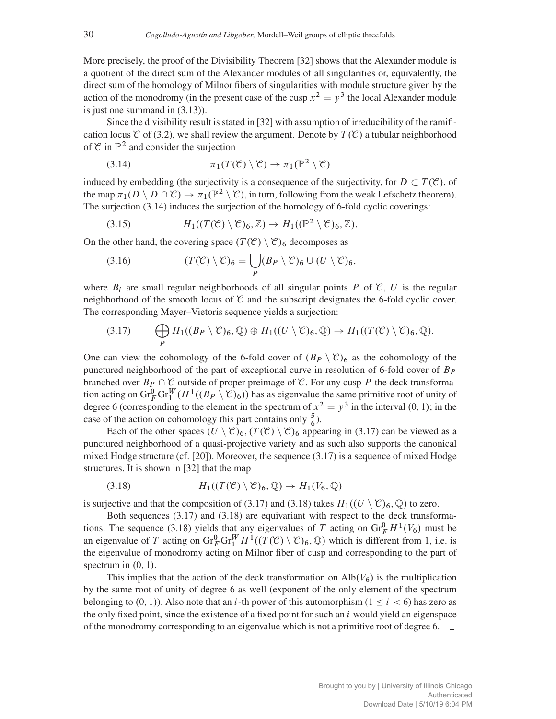More precisely, the proof of the Divisibility Theorem [32] shows that the Alexander module is a quotient of the direct sum of the Alexander modules of all singularities or, equivalently, the direct sum of the homology of Milnor fibers of singularities with module structure given by the action of the monodromy (in the present case of the cusp  $x^2 = y^3$  the local Alexander module is just one summand in (3.13)).

Since the divisibility result is stated in [32] with assumption of irreducibility of the ramification locus  $\mathcal C$  of (3.2), we shall review the argument. Denote by  $T(\mathcal C)$  a tubular neighborhood of  $\mathcal C$  in  $\mathbb P^2$  and consider the surjection

(3.14) 
$$
\pi_1(T(\mathcal{C}) \setminus \mathcal{C}) \to \pi_1(\mathbb{P}^2 \setminus \mathcal{C})
$$

induced by embedding (the surjectivity is a consequence of the surjectivity, for  $D \subset T(\mathcal{C})$ , of the map  $\pi_1(D \setminus D \cap \mathcal{C}) \to \pi_1(\mathbb{P}^2 \setminus \mathcal{C})$ , in turn, following from the weak Lefschetz theorem). The surjection  $(3.14)$  induces the surjection of the homology of 6-fold cyclic coverings:

(3.15) 
$$
H_1((T(\mathcal{C}) \setminus \mathcal{C})_6, \mathbb{Z}) \to H_1((\mathbb{P}^2 \setminus \mathcal{C})_6, \mathbb{Z}).
$$

On the other hand, the covering space  $(T(\mathcal{C}) \setminus \mathcal{C})_6$  decomposes as

(3.16) 
$$
(T(\mathcal{C}) \setminus \mathcal{C})_6 = \bigcup_P (B_P \setminus \mathcal{C})_6 \cup (U \setminus \mathcal{C})_6,
$$

where  $B_i$  are small regular neighborhoods of all singular points P of C, U is the regular neighborhood of the smooth locus of  $\mathcal C$  and the subscript designates the 6-fold cyclic cover. The corresponding Mayer–Vietoris sequence yields a surjection:

$$
(3.17) \qquad \bigoplus_{P} H_1((B_P \setminus \mathcal{C})_6, \mathbb{Q}) \oplus H_1((U \setminus \mathcal{C})_6, \mathbb{Q}) \to H_1((T(\mathcal{C}) \setminus \mathcal{C})_6, \mathbb{Q}).
$$

One can view the cohomology of the 6-fold cover of  $(B_P \setminus \mathcal{C})_6$  as the cohomology of the punctured neighborhood of the part of exceptional curve in resolution of 6-fold cover of  $B_P$ branched over  $B_P \cap \mathcal{C}$  outside of proper preimage of  $\mathcal{C}$ . For any cusp P the deck transformation acting on  $\text{Gr}_F^0 \text{Gr}_1^W(H^1((B_P \setminus \mathcal{C})_6))$  has as eigenvalue the same primitive root of unity of degree 6 (corresponding to the element in the spectrum of  $x^2 = y^3$  in the interval  $(0, 1)$ ; in the case of the action on cohomology this part contains only  $\frac{5}{6}$ ).

Each of the other spaces  $(U \setminus \mathcal{C})_6$ ,  $(T(\mathcal{C}) \setminus \mathcal{C})_6$  appearing in (3.17) can be viewed as a punctured neighborhood of a quasi-projective variety and as such also supports the canonical mixed Hodge structure (cf. [20]). Moreover, the sequence (3.17) is a sequence of mixed Hodge structures. It is shown in [32] that the map

(3.18) 
$$
H_1((T(\mathcal{C}) \setminus \mathcal{C})_6, \mathbb{Q}) \to H_1(V_6, \mathbb{Q})
$$

is surjective and that the composition of (3.17) and (3.18) takes  $H_1((U \setminus \mathcal{C})_6, \mathbb{Q})$  to zero.

Both sequences  $(3.17)$  and  $(3.18)$  are equivariant with respect to the deck transformations. The sequence (3.18) yields that any eigenvalues of T acting on  $\text{Gr}_F^0 H^1(V_6)$  must be an eigenvalue of T acting on  $\text{Gr}_F^0 \text{Gr}_1^W H^1((T(\mathcal{C}) \setminus \mathcal{C})_6, \mathbb{Q})$  which is different from 1, i.e. is the eigenvalue of monodromy acting on Milnor fiber of cusp and corresponding to the part of spectrum in  $(0, 1)$ .

This implies that the action of the deck transformation on  $\text{Alb}(V_6)$  is the multiplication by the same root of unity of degree 6 as well (exponent of the only element of the spectrum belonging to  $(0, 1)$ . Also note that an i-th power of this automorphism  $(1 \le i < 6)$  has zero as the only fixed point, since the existence of a fixed point for such an  $i$  would yield an eigenspace of the monodromy corresponding to an eigenvalue which is not a primitive root of degree 6.  $\square$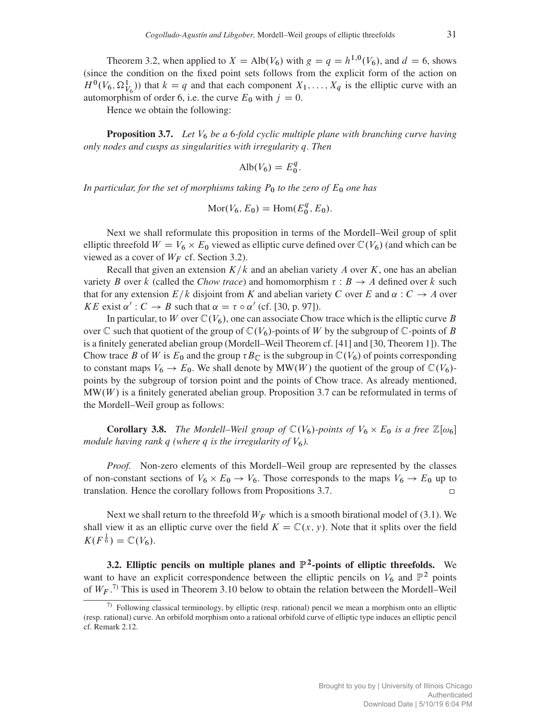Theorem 3.2, when applied to  $X = Alb(V_6)$  with  $g = q = h^{1,0}(V_6)$ , and  $d = 6$ , shows (since the condition on the fixed point sets follows from the explicit form of the action on  $H^0(V_6, \Omega^1_{V_6})$  that  $k = q$  and that each component  $X_1, \ldots, X_q$  is the elliptic curve with an automorphism of order 6, i.e. the curve  $E_0$  with  $j = 0$ .

Hence we obtain the following:

**Proposition 3.7.** *Let*  $V_6$  *be a* 6-fold cyclic multiple plane with branching curve having *only nodes and cusps as singularities with irregularity* q*. Then*

$$
\mathrm{Alb}(V_6) = E_0^q.
$$

*In particular, for the set of morphisms taking*  $P_0$  *to the zero of*  $E_0$  *one has* 

$$
Mor(V_6, E_0) = Hom(E_0^q, E_0).
$$

Next we shall reformulate this proposition in terms of the Mordell–Weil group of split elliptic threefold  $W = V_6 \times E_0$  viewed as elliptic curve defined over  $\mathbb{C}(V_6)$  (and which can be viewed as a cover of  $W_F$  cf. Section 3.2).

Recall that given an extension  $K/k$  and an abelian variety A over K, one has an abelian variety B over k (called the *Chow trace*) and homomorphism  $\tau : B \to A$  defined over k such that for any extension  $E/k$  disjoint from K and abelian variety C over E and  $\alpha : C \to A$  over KE exist  $\alpha' : C \to B$  such that  $\alpha = \tau \circ \alpha'$  (cf. [30, p. 97]).

In particular, to W over  $\mathbb{C}(V_6)$ , one can associate Chow trace which is the elliptic curve B over  $\mathbb C$  such that quotient of the group of  $\mathbb C(V_6)$ -points of W by the subgroup of  $\mathbb C$ -points of B is a finitely generated abelian group (Mordell–Weil Theorem cf. [41] and [30, Theorem 1]). The Chow trace B of W is  $E_0$  and the group  $\tau B_{\mathbb{C}}$  is the subgroup in  $\mathbb{C}(V_6)$  of points corresponding to constant maps  $V_6 \to E_0$ . We shall denote by MW(W) the quotient of the group of  $\mathbb{C}(V_6)$ points by the subgroup of torsion point and the points of Chow trace. As already mentioned,  $MW(W)$  is a finitely generated abelian group. Proposition 3.7 can be reformulated in terms of the Mordell–Weil group as follows:

**Corollary 3.8.** *The Mordell–Weil group of*  $\mathbb{C}(V_6)$ *-points of*  $V_6 \times E_0$  *is a free*  $\mathbb{Z}[\omega_6]$ *module having rank q (where q is the irregularity of*  $V_6$ ).

*Proof.* Non-zero elements of this Mordell–Weil group are represented by the classes of non-constant sections of  $V_6 \times E_0 \to V_6$ . Those corresponds to the maps  $V_6 \to E_0$  up to translation. Hence the corollary follows from Propositions 3.7.

Next we shall return to the threefold  $W_F$  which is a smooth birational model of (3.1). We shall view it as an elliptic curve over the field  $K = \mathbb{C}(x, y)$ . Note that it splits over the field  $K(F^{\frac{1}{6}}) = \mathbb{C}(V_6).$ 

3.2. Elliptic pencils on multiple planes and  $\mathbb{P}^2$ -points of elliptic threefolds. We want to have an explicit correspondence between the elliptic pencils on  $V_6$  and  $\mathbb{P}^2$  points of  $W_F$ .<sup>7)</sup> This is used in Theorem 3.10 below to obtain the relation between the Mordell–Weil

 $7)$  Following classical terminology, by elliptic (resp. rational) pencil we mean a morphism onto an elliptic (resp. rational) curve. An orbifold morphism onto a rational orbifold curve of elliptic type induces an elliptic pencil cf. Remark 2.12.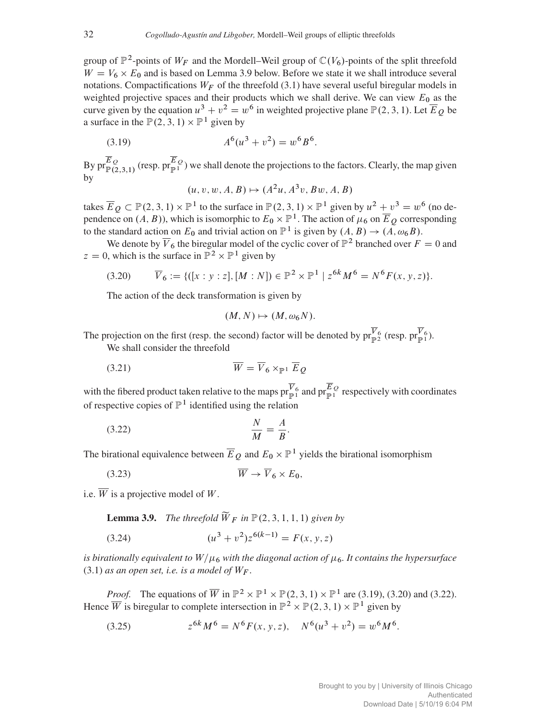group of  $\mathbb{P}^2$ -points of  $W_F$  and the Mordell–Weil group of  $\mathbb{C}(V_6)$ -points of the split threefold  $W = V_6 \times E_0$  and is based on Lemma 3.9 below. Before we state it we shall introduce several notations. Compactifications  $W_F$  of the threefold (3.1) have several useful biregular models in weighted projective spaces and their products which we shall derive. We can view  $E_0$  as the curve given by the equation  $u^3 + v^2 = w^6$  in weighted projective plane  $\mathbb{P}(2, 3, 1)$ . Let  $\overline{E}_Q$  be a surface in the  $\mathbb{P}(2, 3, 1) \times \mathbb{P}^1$  given by

(3.19) 
$$
A^{6}(u^{3} + v^{2}) = w^{6}B^{6}.
$$

By  $pr_{\mathbb{P}(2,3,1)}^{E_Q}$  (resp.  $pr_{\mathbb{P}^1}^{E_Q}$ ) we shall denote the projections to the factors. Clearly, the map given by

 $(u, v, w, A, B) \mapsto (A^2u, A^3v, Bw, A, B)$ 

takes  $\overline{E}_Q \subset \mathbb{P}(2, 3, 1) \times \mathbb{P}^1$  to the surface in  $\mathbb{P}(2, 3, 1) \times \mathbb{P}^1$  given by  $u^2 + v^3 = w^6$  (no dependence on  $(A, B)$ ), which is isomorphic to  $E_0 \times \mathbb{P}^1$ . The action of  $\mu_6$  on  $\overline{E}_Q$  corresponding to the standard action on  $E_0$  and trivial action on  $\mathbb{P}^1$  is given by  $(A, B) \rightarrow (A, \omega_6 B)$ .

We denote by  $\overline{V}_6$  the biregular model of the cyclic cover of  $\mathbb{P}^2$  branched over  $F = 0$  and  $z = 0$ , which is the surface in  $\mathbb{P}^2 \times \mathbb{P}^1$  given by

$$
(3.20) \qquad \overline{V}_6 := \{ ([x : y : z], [M : N]) \in \mathbb{P}^2 \times \mathbb{P}^1 \mid z^{6k} M^6 = N^6 F(x, y, z) \}.
$$

The action of the deck transformation is given by

$$
(M,N)\mapsto (M,\omega_6 N).
$$

The projection on the first (resp. the second) factor will be denoted by  $\text{pr}_{\mathbb{P}^2}^{V_6}$  (resp.  $\text{pr}_{\mathbb{P}^1}^{V_6}$ ).

We shall consider the threefold

$$
\overline{W} = \overline{V}_6 \times_{\mathbb{P}^1} \overline{E}_Q
$$

with the fibered product taken relative to the maps  $\operatorname{pr}_{\mathbb{P}^1}^{\overline{V}_6}$  and  $\operatorname{pr}_{\mathbb{P}^1}^E$  respectively with coordinates of respective copies of  $\mathbb{P}^1$  identified using the relation

$$
\frac{N}{M} = \frac{A}{B}.
$$

The birational equivalence between  $\overline{E}_Q$  and  $E_0 \times \mathbb{P}^1$  yields the birational isomorphism

$$
\overline{W} \to \overline{V}_6 \times E_0,
$$

i.e.  $\overline{W}$  is a projective model of W.

**Lemma 3.9.** *The threefold*  $\widetilde{W}_F$  *in*  $\mathbb{P}(2,3,1,1,1)$  *given by* 

(3.24) 
$$
(u^3 + v^2)z^{6(k-1)} = F(x, y, z)
$$

*is birationally equivalent to*  $W/\mu_6$  *with the diagonal action of*  $\mu_6$ *. It contains the hypersurface* (3.1) *as an open set, i.e. is a model of*  $W_F$ .

*Proof.* The equations of  $\overline{W}$  in  $\mathbb{P}^2 \times \mathbb{P}^1 \times \mathbb{P}(2, 3, 1) \times \mathbb{P}^1$  are (3.19), (3.20) and (3.22). Hence  $\overline{W}$  is biregular to complete intersection in  $\mathbb{P}^2 \times \mathbb{P}(2,3,1) \times \mathbb{P}^1$  given by

(3.25) 
$$
z^{6k}M^6 = N^6F(x, y, z), \quad N^6(u^3 + v^2) = w^6M^6.
$$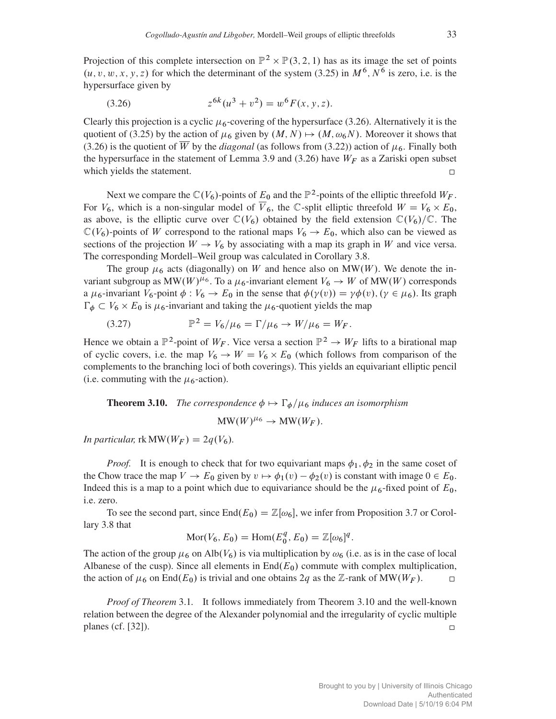Projection of this complete intersection on  $\mathbb{P}^2 \times \mathbb{P}(3,2,1)$  has as its image the set of points  $(u, v, w, x, y, z)$  for which the determinant of the system (3.25) in  $M^6$ ,  $N^6$  is zero, i.e. is the hypersurface given by

(3.26) 
$$
z^{6k}(u^3 + v^2) = w^6 F(x, y, z).
$$

Clearly this projection is a cyclic  $\mu_6$ -covering of the hypersurface (3.26). Alternatively it is the quotient of (3.25) by the action of  $\mu_6$  given by  $(M, N) \mapsto (M, \omega_6 N)$ . Moreover it shows that (3.26) is the quotient of  $\overline{W}$  by the *diagonal* (as follows from (3.22)) action of  $\mu$ <sub>6</sub>. Finally both the hypersurface in the statement of Lemma 3.9 and (3.26) have  $W_F$  as a Zariski open subset which yields the statement.  $\Box$ 

Next we compare the  $\mathbb{C}(V_6)$ -points of  $E_0$  and the  $\mathbb{P}^2$ -points of the elliptic threefold  $W_F$ . For  $V_6$ , which is a non-singular model of  $\overline{V}_6$ , the C-split elliptic threefold  $W = V_6 \times E_0$ , as above, is the elliptic curve over  $\mathbb{C}(V_6)$  obtained by the field extension  $\mathbb{C}(V_6)/\mathbb{C}$ . The  $\mathbb{C}(V_6)$ -points of W correspond to the rational maps  $V_6 \rightarrow E_0$ , which also can be viewed as sections of the projection  $W \to V_6$  by associating with a map its graph in W and vice versa. The corresponding Mordell–Weil group was calculated in Corollary 3.8.

The group  $\mu_6$  acts (diagonally) on W and hence also on MW(W). We denote the invariant subgroup as MW(W)<sup> $\mu$ 6</sup>. To a  $\mu$ <sub>6</sub>-invariant element  $V_6 \rightarrow W$  of MW(W) corresponds a  $\mu_6$ -invariant  $V_6$ -point  $\phi : V_6 \to E_0$  in the sense that  $\phi(\gamma(v)) = \gamma \phi(v)$ ,  $(\gamma \in \mu_6)$ . Its graph  $\Gamma_{\phi} \subset V_6 \times E_0$  is  $\mu_6$ -invariant and taking the  $\mu_6$ -quotient yields the map

(3.27) 
$$
\mathbb{P}^2 = V_6/\mu_6 = \Gamma/\mu_6 \to W/\mu_6 = W_F.
$$

Hence we obtain a  $\mathbb{P}^2$ -point of  $W_F$ . Vice versa a section  $\mathbb{P}^2 \to W_F$  lifts to a birational map of cyclic covers, i.e. the map  $V_6 \rightarrow W = V_6 \times E_0$  (which follows from comparison of the complements to the branching loci of both coverings). This yields an equivariant elliptic pencil (i.e. commuting with the  $\mu$ <sup>6</sup>-action).

## **Theorem 3.10.** *The correspondence*  $\phi \mapsto \Gamma_{\phi}/\mu_{6}$  *induces an isomorphism*

 $\text{MW}(W)^{\mu_6} \rightarrow \text{MW}(W_F)$ .

*In particular,*  $rk MW(W_F) = 2q(V_6)$ *.* 

*Proof.* It is enough to check that for two equivariant maps  $\phi_1$ ,  $\phi_2$  in the same coset of the Chow trace the map  $V \to E_0$  given by  $v \mapsto \phi_1(v) - \phi_2(v)$  is constant with image  $0 \in E_0$ . Indeed this is a map to a point which due to equivariance should be the  $\mu_6$ -fixed point of  $E_0$ , i.e. zero.

To see the second part, since  $\text{End}(E_0) = \mathbb{Z}[\omega_6]$ , we infer from Proposition 3.7 or Corollary 3.8 that

$$
Mor(V_6, E_0) = Hom(E_0^q, E_0) = \mathbb{Z}[\omega_6]^q.
$$

The action of the group  $\mu_6$  on Alb $(V_6)$  is via multiplication by  $\omega_6$  (i.e. as is in the case of local Albanese of the cusp). Since all elements in  $\text{End}(E_0)$  commute with complex multiplication, the action of  $\mu_6$  on End $(E_0)$  is trivial and one obtains 2q as the Z-rank of MW( $W_F$ ).  $\Box$ 

*Proof of Theorem* 3.1*.* It follows immediately from Theorem 3.10 and the well-known relation between the degree of the Alexander polynomial and the irregularity of cyclic multiple planes (cf. [32]).  $\Box$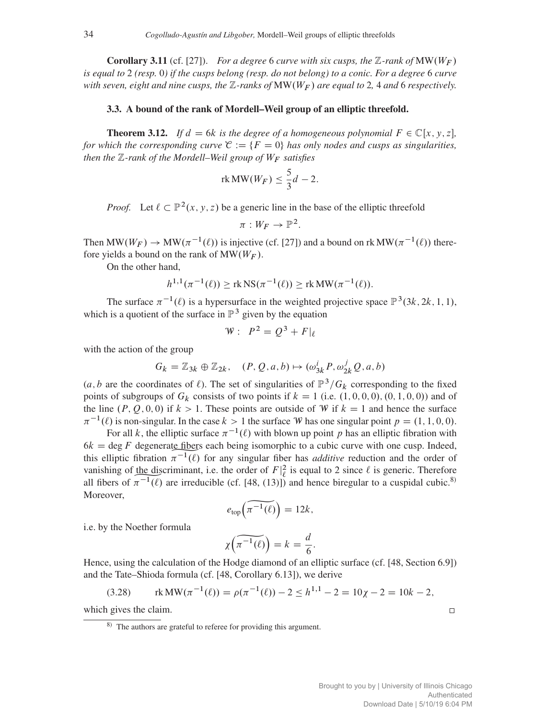**Corollary 3.11** (cf. [27]). *For a degree* 6 *curve with six cusps, the*  $\mathbb{Z}$ *-rank of*  $\text{MW}(W_F)$ *is equal to* 2 *(resp.* 0*) if the cusps belong (resp. do not belong) to a conic. For a degree* 6 *curve with seven, eight and nine cusps, the*  $\mathbb{Z}$ -ranks of  $MW(W_F)$  are equal to 2, 4 and 6 respectively.

## 3.3. A bound of the rank of Mordell–Weil group of an elliptic threefold.

**Theorem 3.12.** *If*  $d = 6k$  *is the degree of a homogeneous polynomial*  $F \in \mathbb{C}[x, y, z]$ , *for which the corresponding curve*  $\mathcal{C} := \{F = 0\}$  *has only nodes and cusps as singularities, then the*  $\mathbb{Z}$ -rank of the Mordell–Weil group of  $W_F$  satisfies

$$
\text{rk MW}(W_F) \le \frac{5}{3}d - 2.
$$

*Proof.* Let  $\ell \subset \mathbb{P}^2(x, y, z)$  be a generic line in the base of the elliptic threefold

$$
\pi: W_F \to \mathbb{P}^2.
$$

Then MW( $W_F$ )  $\rightarrow$  MW( $\pi^{-1}(\ell)$ ) is injective (cf. [27]) and a bound on rk MW( $\pi^{-1}(\ell)$ ) therefore yields a bound on the rank of  $MW(W_F)$ .

On the other hand,

$$
h^{1,1}(\pi^{-1}(\ell)) \geq \text{rk NS}(\pi^{-1}(\ell)) \geq \text{rk MW}(\pi^{-1}(\ell)).
$$

The surface  $\pi^{-1}(\ell)$  is a hypersurface in the weighted projective space  $\mathbb{P}^3(3k, 2k, 1, 1)$ , which is a quotient of the surface in  $\mathbb{P}^3$  given by the equation

$$
W: P^2 = Q^3 + F|_{\ell}
$$

with the action of the group

$$
G_k = \mathbb{Z}_{3k} \oplus \mathbb{Z}_{2k}, \quad (P, Q, a, b) \mapsto (\omega_{3k}^i P, \omega_{2k}^j Q, a, b)
$$

(a, b are the coordinates of  $\ell$ ). The set of singularities of  $\mathbb{P}^3/G_k$  corresponding to the fixed points of subgroups of  $G_k$  consists of two points if  $k = 1$  (i.e.  $(1, 0, 0, 0), (0, 1, 0, 0)$ ) and of the line  $(P, Q, 0, 0)$  if  $k > 1$ . These points are outside of W if  $k = 1$  and hence the surface  $\pi^{-1}(\ell)$  is non-singular. In the case  $k>1$  the surface W has one singular point  $p = (1, 1, 0, 0)$ .

For all k, the elliptic surface  $\pi^{-1}(\ell)$  with blown up point p has an elliptic fibration with  $6k = \text{deg } F$  degenerate fibers each being isomorphic to a cubic curve with one cusp. Indeed, this elliptic fibration  $\pi^{-1}(\ell)$  for any singular fiber has *additive* reduction and the order of this elliptic fibration  $\pi^{-1}(\ell)$  for any singular fiber has *additive* reduction and the order of vanishing of <u>the discriminant</u>, i.e. the order of  $F|_{\ell}^2$  is equal to 2 since  $\ell$  is generic. Therefore all fibers of  $\pi^{-1}(\ell)$  are irreducible (cf. [48, (13)]) and hence biregular to a cuspidal cubic.<sup>8)</sup><br>Moreover, Moreover,

$$
e_{\text{top}}\left(\widetilde{\pi^{-1}(\ell)}\right) = 12k,
$$

i.e. by the Noether formula

$$
\chi\left(\widetilde{\pi^{-1}(\ell)}\right) = k = \frac{d}{6}.
$$

Hence, using the calculation of the Hodge diamond of an elliptic surface (cf. [48, Section 6.9]) and the Tate–Shioda formula (cf. [48, Corollary 6.13]), we derive

(3.28) 
$$
rk MW(\pi^{-1}(\ell)) = \rho(\pi^{-1}(\ell)) - 2 \le h^{1,1} - 2 = 10\chi - 2 = 10k - 2,
$$

which gives the claim.

 $\hfill \square$ 

<sup>8)</sup> The authors are grateful to referee for providing this argument.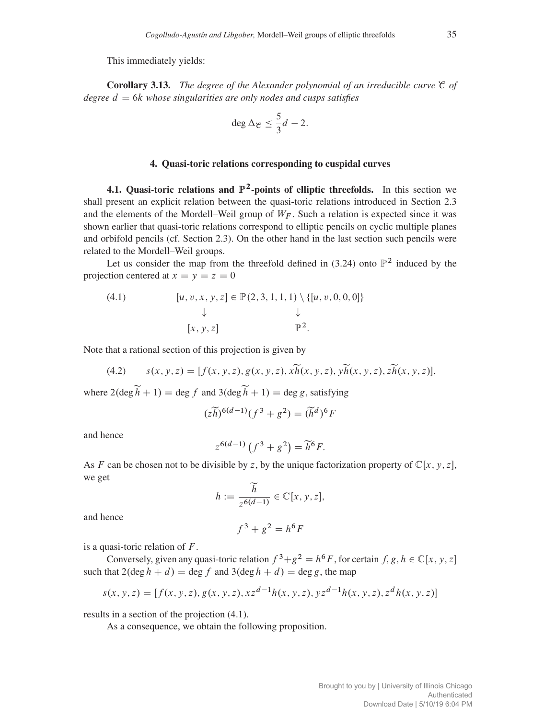This immediately yields:

Corollary 3.13. *The degree of the Alexander polynomial of an irreducible curve* C *of*  $degree\ d = 6k\ whoose singularities are only nodes and cusps satisfies$ 

$$
\deg \Delta_{\mathcal{C}} \leq \frac{5}{3}d-2.
$$

## 4. Quasi-toric relations corresponding to cuspidal curves

4.1. Quasi-toric relations and  $\mathbb{P}^2$ -points of elliptic threefolds. In this section we shall present an explicit relation between the quasi-toric relations introduced in Section 2.3 and the elements of the Mordell–Weil group of  $W_F$ . Such a relation is expected since it was shown earlier that quasi-toric relations correspond to elliptic pencils on cyclic multiple planes and orbifold pencils (cf. Section 2.3). On the other hand in the last section such pencils were related to the Mordell–Weil groups.

Let us consider the map from the threefold defined in (3.24) onto  $\mathbb{P}^2$  induced by the projection centered at  $x = y = z = 0$ 

(4.1) 
$$
[u, v, x, y, z] \in \mathbb{P}(2, 3, 1, 1, 1) \setminus \{[u, v, 0, 0, 0]\} \downarrow \qquad \qquad \downarrow
$$

$$
[x, y, z] \qquad \qquad \mathbb{P}^2.
$$

Note that a rational section of this projection is given by

(4.2) 
$$
s(x, y, z) = [f(x, y, z), g(x, y, z), x\widetilde{h}(x, y, z), y\widetilde{h}(x, y, z), z\widetilde{h}(x, y, z)],
$$

where  $2(\deg \widetilde{h} + 1) = \deg f$  and  $3(\deg \widetilde{h} + 1) = \deg g$ , satisfying

$$
(z\widetilde{h})^{6(d-1)}(f^3+g^2) = (\widetilde{h}^d)^6 F
$$

and hence

$$
z^{6(d-1)}\left(f^3 + g^2\right) = \widetilde{h}^6 F.
$$

As F can be chosen not to be divisible by z, by the unique factorization property of  $\mathbb{C}[x, y, z]$ , we get

$$
h := \frac{\widetilde{h}}{z^{6(d-1)}} \in \mathbb{C}[x, y, z],
$$

and hence

$$
f^3 + g^2 = h^6 F
$$

is a quasi-toric relation of  $F$ .

Conversely, given any quasi-toric relation  $f^3 + g^2 = h^6F$ , for certain f, g,  $h \in \mathbb{C}[x, y, z]$ such that  $2(\deg h + d) = \deg f$  and  $3(\deg h + d) = \deg g$ , the map

$$
s(x, y, z) = [f(x, y, z), g(x, y, z), x z^{d-1} h(x, y, z), y z^{d-1} h(x, y, z), z^d h(x, y, z)]
$$

results in a section of the projection (4.1).

As a consequence, we obtain the following proposition.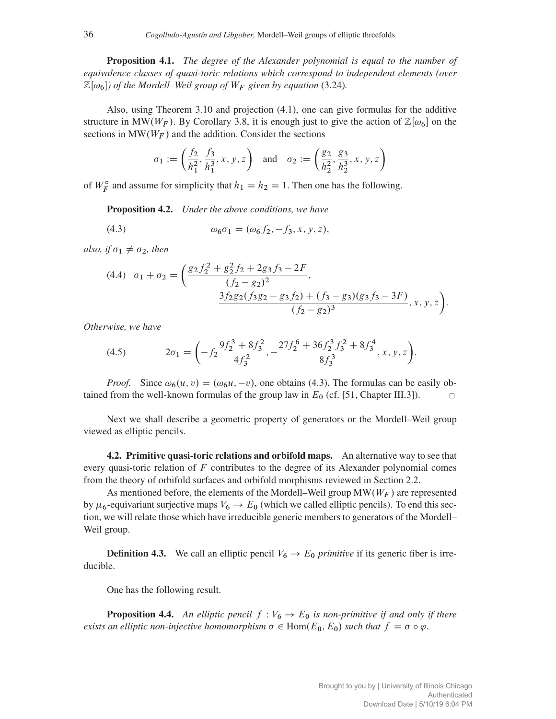Proposition 4.1. *The degree of the Alexander polynomial is equal to the number of equivalence classes of quasi-toric relations which correspond to independent elements (over*  $\mathbb{Z}[\omega_6]$  of the Mordell–Weil group of  $W_F$  given by equation (3.24).

Also, using Theorem 3.10 and projection (4.1), one can give formulas for the additive structure in MW( $W_F$ ). By Corollary 3.8, it is enough just to give the action of  $\mathbb{Z}[\omega_6]$  on the sections in  $MW(W_F)$  and the addition. Consider the sections

$$
\sigma_1 := \left(\frac{f_2}{h_1^2}, \frac{f_3}{h_1^3}, x, y, z\right) \text{ and } \sigma_2 := \left(\frac{g_2}{h_2^2}, \frac{g_3}{h_2^3}, x, y, z\right)
$$

of  $W_F^{\circ}$  and assume for simplicity that  $h_1 = h_2 = 1$ . Then one has the following.

Proposition 4.2. *Under the above conditions, we have*

(4.3)  $\omega_6 \sigma_1 = (\omega_6 f_2, -f_3, x, y, z),$ 

*also, if*  $\sigma_1 \neq \sigma_2$ *, then* 

(4.4) 
$$
\sigma_1 + \sigma_2 = \left(\frac{g_2 f_2^2 + g_2^2 f_2 + 2g_3 f_3 - 2F}{(f_2 - g_2)^2}, \frac{3f_2 g_2 (f_3 g_2 - g_3 f_2) + (f_3 - g_3)(g_3 f_3 - 3F)}{(f_2 - g_2)^3}, x, y, z\right).
$$

*Otherwise, we have*

(4.5) 
$$
2\sigma_1 = \left(-f_2 \frac{9f_2^3 + 8f_3^2}{4f_3^2}, -\frac{27f_2^6 + 36f_2^3 f_3^2 + 8f_3^4}{8f_3^3}, x, y, z\right).
$$

*Proof.* Since  $\omega_6(u, v) = (\omega_6 u, -v)$ , one obtains (4.3). The formulas can be easily obtained from the well-known formulas of the group law in  $E_0$  (cf. [51, Chapter III.3]).  $\Box$ 

Next we shall describe a geometric property of generators or the Mordell–Weil group viewed as elliptic pencils.

4.2. Primitive quasi-toric relations and orbifold maps. An alternative way to see that every quasi-toric relation of  $F$  contributes to the degree of its Alexander polynomial comes from the theory of orbifold surfaces and orbifold morphisms reviewed in Section 2.2.

As mentioned before, the elements of the Mordell–Weil group  $\text{MW}(W_F)$  are represented by  $\mu_6$ -equivariant surjective maps  $V_6 \rightarrow E_0$  (which we called elliptic pencils). To end this section, we will relate those which have irreducible generic members to generators of the Mordell– Weil group.

**Definition 4.3.** We call an elliptic pencil  $V_6 \rightarrow E_0$  *primitive* if its generic fiber is irreducible.

One has the following result.

**Proposition 4.4.** An elliptic pencil  $f : V_6 \to E_0$  is non-primitive if and only if there *exists an elliptic non-injective homomorphism*  $\sigma \in \text{Hom}(E_0, E_0)$  *such that*  $f = \sigma \circ \varphi$ .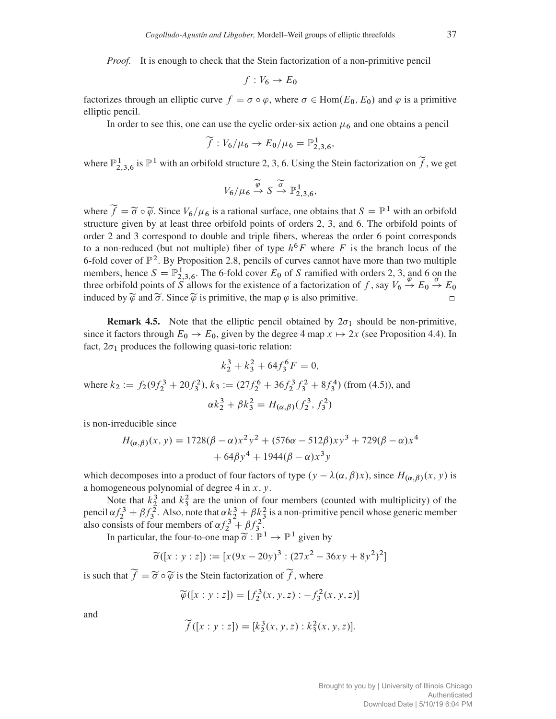*Proof.* It is enough to check that the Stein factorization of a non-primitive pencil

$$
f: V_6 \to E_0
$$

factorizes through an elliptic curve  $f = \sigma \circ \varphi$ , where  $\sigma \in \text{Hom}(E_0, E_0)$  and  $\varphi$  is a primitive elliptic pencil.

In order to see this, one can use the cyclic order-six action  $\mu_6$  and one obtains a pencil

$$
\widetilde{f}: V_6/\mu_6 \to E_0/\mu_6 = \mathbb{P}^1_{2,3,6},
$$

where  $\mathbb{P}^1_{2,3,6}$  is  $\mathbb{P}^1$  with an orbifold structure 2, 3, 6. Using the Stein factorization on  $\widetilde{f}$ , we get

$$
V_6/\mu_6 \xrightarrow{\widetilde{\varphi}} S \xrightarrow{\widetilde{\sigma}} \mathbb{P}^1_{2,3,6},
$$

where  $\widetilde{f} = \widetilde{\sigma} \circ \widetilde{\varphi}$ . Since  $V_6/\mu_6$  is a rational surface, one obtains that  $S = \mathbb{P}^1$  with an orbifold structure given by at least three orbifold points of orders 2, 3, and 6. The orbifold points of order 2 and 3 correspond to double and triple fibers, whereas the order 6 point corresponds to a non-reduced (but not multiple) fiber of type  $h^6F$  where F is the branch locus of the 6-fold cover of  $\mathbb{P}^2$ . By Proposition 2.8, pencils of curves cannot have more than two multiple members, hence  $S = \mathbb{P}^1_{2,3,6}$ . The 6-fold cover  $E_0$  of S ramified with orders 2, 3, and 6 on the three orbifold points of S allows for the existence of a factorization of f, say  $V_6 \rightarrow E_0 \rightarrow E_0$ induced by  $\widetilde{\varphi}$  and  $\widetilde{\sigma}$ . Since  $\widetilde{\varphi}$  is primitive, the map  $\varphi$  is also primitive.

**Remark 4.5.** Note that the elliptic pencil obtained by  $2\sigma_1$  should be non-primitive, since it factors through  $E_0 \rightarrow E_0$ , given by the degree 4 map  $x \mapsto 2x$  (see Proposition 4.4). In fact,  $2\sigma_1$  produces the following quasi-toric relation:

$$
k_2^3 + k_3^2 + 64f_3^6F = 0,
$$

where  $k_2 := f_2(9f_2^3 + 20f_3^2)$ ,  $k_3 := (27f_2^6 + 36f_2^3f_3^2 + 8f_3^4)$  (from (4.5)), and  $\alpha k_2^3 + \beta k_3^2 = H_{(\alpha,\beta)}(f_2^3, f_3^2)$ 

is non-irreducible since

$$
H_{(\alpha,\beta)}(x,y) = 1728(\beta - \alpha)x^2y^2 + (576\alpha - 512\beta)xy^3 + 729(\beta - \alpha)x^4
$$
  
+ 64\beta y^4 + 1944(\beta - \alpha)x^3y

which decomposes into a product of four factors of type  $(y - \lambda(\alpha, \beta)x)$ , since  $H_{(\alpha, \beta)}(x, y)$  is a homogeneous polynomial of degree  $4$  in  $x$ ,  $y$ .

Note that  $k_2^3$  and  $k_3^2$  are the union of four members (counted with multiplicity) of the pencil  $\alpha f_2^3 + \beta f_3^2$ . Also, note that  $\alpha k_2^3 + \beta k_3^2$  is a non-primitive pencil whose generic member also consists of four members of  $\alpha f_2^3 + \beta f_3^2$ .

In particular, the four-to-one map  $\widetilde{\sigma}: \mathbb{P}^1 \to \mathbb{P}^1$  given by

$$
\widetilde{\sigma}([x:y:z]) := [x(9x - 20y)^3 : (27x^2 - 36xy + 8y^2)^2]
$$

is such that  $f = \tilde{\sigma} \circ \tilde{\varphi}$  is the Stein factorization of f, where

$$
\widetilde{\varphi}([x:y:z]) = [f_2^3(x,y,z) : -f_3^2(x,y,z)]
$$

and

$$
\widetilde{f}([x:y:z]) = [k_2^3(x,y,z):k_3^2(x,y,z)].
$$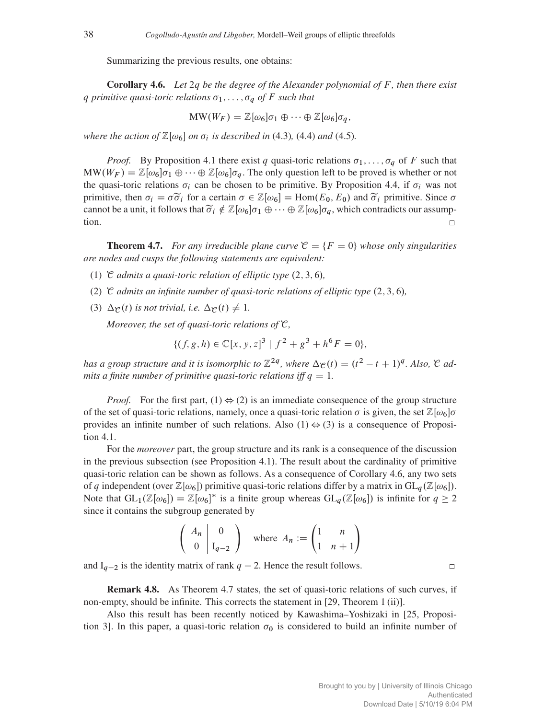Summarizing the previous results, one obtains:

Corollary 4.6. *Let* 2q *be the degree of the Alexander polynomial of* F *, then there exist* q primitive quasi-toric relations  $\sigma_1,\ldots,\sigma_q$  of F such that

$$
\text{MW}(W_F) = \mathbb{Z}[\omega_6] \sigma_1 \oplus \cdots \oplus \mathbb{Z}[\omega_6] \sigma_q,
$$

*where the action of*  $\mathbb{Z}[\omega_6]$  *on*  $\sigma_i$  *is described in* (4.3)*,* (4.4*) and* (4.5*)*.

*Proof.* By Proposition 4.1 there exist q quasi-toric relations  $\sigma_1, \ldots, \sigma_q$  of F such that  $\text{MW}(W_F) = \mathbb{Z}[\omega_6]\sigma_1 \oplus \cdots \oplus \mathbb{Z}[\omega_6]\sigma_q$ . The only question left to be proved is whether or not the quasi-toric relations  $\sigma_i$  can be chosen to be primitive. By Proposition 4.4, if  $\sigma_i$  was not primitive, then  $\sigma_i = \sigma \tilde{\sigma}_i$  for a certain  $\sigma \in \mathbb{Z}[\omega_6] = \text{Hom}(E_0, E_0)$  and  $\tilde{\sigma}_i$  primitive. Since  $\sigma$ cannot be a unit, it follows that  $\widetilde{\sigma}_i \notin \mathbb{Z}[\omega_6]\sigma_1 \oplus \cdots \oplus \mathbb{Z}[\omega_6]\sigma_q$ , which contradicts our assumption.

**Theorem 4.7.** *For any irreducible plane curve*  $\mathcal{C} = \{F = 0\}$  *whose only singularities are nodes and cusps the following statements are equivalent:*

- (1)  $\mathcal C$  *admits a quasi-toric relation of elliptic type*  $(2, 3, 6)$ *,*
- (2)  $\mathcal C$  *admits an infinite number of quasi-toric relations of elliptic type*  $(2, 3, 6)$ *,*
- (3)  $\Delta_{\mathcal{C}}(t)$  *is not trivial, i.e.*  $\Delta_{\mathcal{C}}(t) \neq 1$ *.*

*Moreover, the set of quasi-toric relations of* C*,*

$$
\{(f, g, h) \in \mathbb{C}[x, y, z]^3 \mid f^2 + g^3 + h^6 F = 0\},\
$$

*has a group structure and it is isomorphic to*  $\mathbb{Z}^{2q}$ *, where*  $\Delta_{\mathcal{C}}(t) = (t^2 - t + 1)^q$ *. Also,*  $\mathcal{C}$  *admits a finite number of primitive quasi-toric relations iff*  $q = 1$ *.* 

*Proof.* For the first part, (1)  $\Leftrightarrow$  (2) is an immediate consequence of the group structure of the set of quasi-toric relations, namely, once a quasi-toric relation  $\sigma$  is given, the set  $\mathbb{Z}[\omega_6]\sigma$ provides an infinite number of such relations. Also (1)  $\Leftrightarrow$  (3) is a consequence of Proposition 4.1.

For the *moreover* part, the group structure and its rank is a consequence of the discussion in the previous subsection (see Proposition 4.1). The result about the cardinality of primitive quasi-toric relation can be shown as follows. As a consequence of Corollary 4.6, any two sets of q independent (over  $\mathbb{Z}[\omega_6]$ ) primitive quasi-toric relations differ by a matrix in  $GL_q(\mathbb{Z}[\omega_6])$ . Note that  $GL_1(\mathbb{Z}[\omega_6]) = \mathbb{Z}[\omega_6]^*$  is a finite group whereas  $GL_q(\mathbb{Z}[\omega_6])$  is infinite for  $q \ge 2$ since it contains the subgroup generated by

$$
\left(\begin{array}{c|c} A_n & 0 \\ \hline 0 & I_{q-2} \end{array}\right) \quad \text{where } A_n := \left(\begin{array}{cc} 1 & n \\ 1 & n+1 \end{array}\right)
$$

and  $I_{q-2}$  is the identity matrix of rank  $q - 2$ . Hence the result follows.

 $\Box$ 

Remark 4.8. As Theorem 4.7 states, the set of quasi-toric relations of such curves, if non-empty, should be infinite. This corrects the statement in [29, Theorem 1 (ii)].

Also this result has been recently noticed by Kawashima–Yoshizaki in [25, Proposition 3]. In this paper, a quasi-toric relation  $\sigma_0$  is considered to build an infinite number of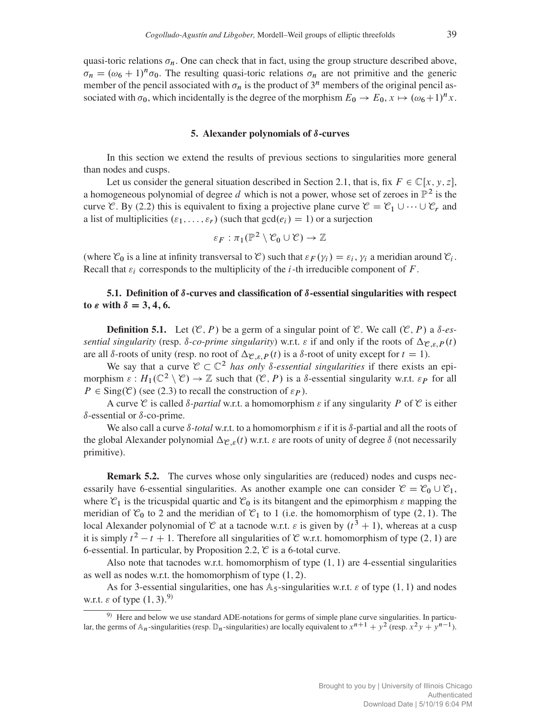quasi-toric relations  $\sigma_n$ . One can check that in fact, using the group structure described above,  $\sigma_n = (\omega_6 + 1)^n \sigma_0$ . The resulting quasi-toric relations  $\sigma_n$  are not primitive and the generic member of the pencil associated with  $\sigma_n$  is the product of  $3^n$  members of the original pencil associated with  $\sigma_0$ , which incidentally is the degree of the morphism  $E_0 \to E_0$ ,  $x \mapsto (\omega_6 + 1)^n x$ .

#### 5. Alexander polynomials of  $\delta$ -curves

In this section we extend the results of previous sections to singularities more general than nodes and cusps.

Let us consider the general situation described in Section 2.1, that is, fix  $F \in \mathbb{C}[x, y, z]$ , a homogeneous polynomial of degree d which is not a power, whose set of zeroes in  $\mathbb{P}^2$  is the curve C. By (2.2) this is equivalent to fixing a projective plane curve  $\mathcal{C} = \mathcal{C}_1 \cup \cdots \cup \mathcal{C}_r$  and a list of multiplicities  $(\varepsilon_1,\ldots,\varepsilon_r)$  (such that  $gcd(e_i) = 1$ ) or a surjection

$$
\varepsilon_F : \pi_1(\mathbb{P}^2 \setminus \mathcal{C}_0 \cup \mathcal{C}) \to \mathbb{Z}
$$

(where  $\mathcal{C}_0$  is a line at infinity transversal to  $\mathcal{C}$ ) such that  $\varepsilon_F(\gamma_i) = \varepsilon_i$ ,  $\gamma_i$  a meridian around  $\mathcal{C}_i$ . Recall that  $\varepsilon_i$  corresponds to the multiplicity of the *i*-th irreducible component of F.

# 5.1. Definition of  $\delta$ -curves and classification of  $\delta$ -essential singularities with respect to  $\varepsilon$  with  $\delta = 3, 4, 6$ .

**Definition 5.1.** Let  $(\mathcal{C}, P)$  be a germ of a singular point of  $\mathcal{C}$ . We call  $(\mathcal{C}, P)$  a  $\delta$ -es*sential singularity* (resp.  $\delta$ -*co-prime singularity*) w.r.t.  $\varepsilon$  if and only if the roots of  $\Delta_{\mathcal{C},\varepsilon,P}(t)$ are all  $\delta$ -roots of unity (resp. no root of  $\Delta_{\mathcal{C},\varepsilon,P}(t)$  is a  $\delta$ -root of unity except for  $t = 1$ ).

We say that a curve  $C \subset \mathbb{C}^2$  *has only 8-essential singularities* if there exists an epimorphism  $\varepsilon$ :  $H_1(\mathbb{C}^2 \setminus \mathcal{C}) \to \mathbb{Z}$  such that  $(\mathcal{C}, P)$  is a  $\delta$ -essential singularity w.r.t.  $\varepsilon_P$  for all  $P \in Sing(\mathcal{C})$  (see (2.3) to recall the construction of  $\varepsilon_P$ ).

A curve C is called  $\delta$ -*partial* w.r.t. a homomorphism  $\varepsilon$  if any singularity P of C is either  $\delta$ -essential or  $\delta$ -co-prime.

We also call a curve  $\delta$ -total w.r.t. to a homomorphism  $\varepsilon$  if it is  $\delta$ -partial and all the roots of the global Alexander polynomial  $\Delta_{\mathcal{C},\varepsilon}(t)$  w.r.t.  $\varepsilon$  are roots of unity of degree  $\delta$  (not necessarily primitive).

Remark 5.2. The curves whose only singularities are (reduced) nodes and cusps necessarily have 6-essential singularities. As another example one can consider  $\mathcal{C} = \mathcal{C}_0 \cup \mathcal{C}_1$ , where  $\mathcal{C}_1$  is the tricuspidal quartic and  $\mathcal{C}_0$  is its bitangent and the epimorphism  $\varepsilon$  mapping the meridian of  $\mathcal{C}_0$  to 2 and the meridian of  $\mathcal{C}_1$  to 1 (i.e. the homomorphism of type (2, 1). The local Alexander polynomial of  $\mathcal C$  at a tacnode w.r.t.  $\varepsilon$  is given by  $(t^3 + 1)$ , whereas at a cusp it is simply  $t^2 - t + 1$ . Therefore all singularities of C w.r.t. homomorphism of type (2, 1) are 6-essential. In particular, by Proposition 2.2,  $\mathcal{C}$  is a 6-total curve.

Also note that tacnodes w.r.t. homomorphism of type  $(1, 1)$  are 4-essential singularities as well as nodes w.r.t. the homomorphism of type  $(1, 2)$ .

As for 3-essential singularities, one has  $A_5$ -singularities w.r.t.  $\varepsilon$  of type  $(1, 1)$  and nodes w.r.t.  $\varepsilon$  of type  $(1, 3)$ .<sup>9)</sup>

<sup>&</sup>lt;sup>9)</sup> Here and below we use standard ADE-notations for germs of simple plane curve singularities. In particular, the germs of  $A_n$ -singularities (resp.  $D_n$ -singularities) are locally equivalent to  $x^{n+1} + y^2$  (resp.  $x^2y + y^{n-1}$ ).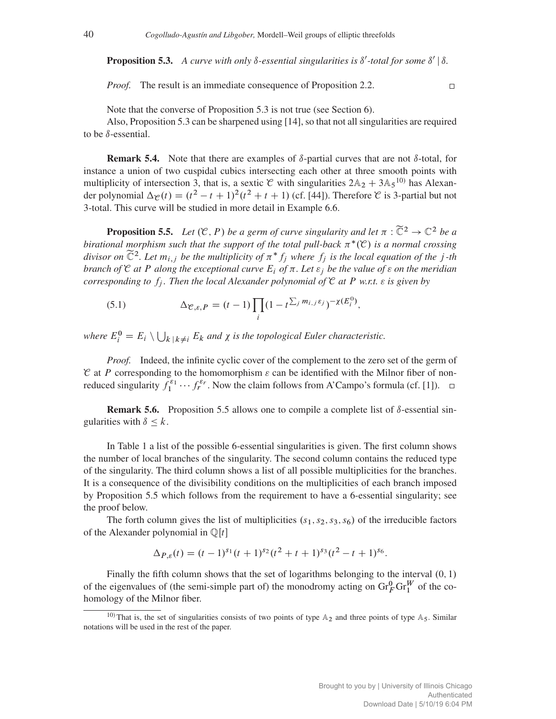**Proposition 5.3.** A curve with only  $\delta$ -essential singularities is  $\delta'$ -total for some  $\delta' | \delta$ .

*Proof.* The result is an immediate consequence of Proposition 2.2.

 $\Box$ 

Note that the converse of Proposition 5.3 is not true (see Section 6).

Also, Proposition 5.3 can be sharpened using [14], so that not all singularities are required to be  $\delta$ -essential.

**Remark 5.4.** Note that there are examples of  $\delta$ -partial curves that are not  $\delta$ -total, for instance a union of two cuspidal cubics intersecting each other at three smooth points with multiplicity of intersection 3, that is, a sextic  $\mathcal C$  with singularities  $2\mathbb{A}_2 + 3\mathbb{A}_5$ <sup>10</sup> has Alexander polynomial  $\Delta \varphi(t) = (t^2 - t + 1)^2 (t^2 + t + 1)$  (cf. [44]). Therefore  $\mathcal C$  is 3-partial but not 3-total. This curve will be studied in more detail in Example 6.6.

**Proposition 5.5.** *Let*  $(\mathcal{C}, P)$  *be a germ of curve singularity and let*  $\pi : \widetilde{\mathbb{C}}^2 \to \mathbb{C}^2$  *be a birational morphism such that the support of the total pull-back*  $\pi^*(\mathfrak{C})$  *is a normal crossing divisor on*  $\widetilde{C}^2$ . Let  $m_{i,j}$  *be the multiplicity of*  $\pi^* f_j$  *where*  $f_j$  *is the local equation of the j-th branch of*  $\mathcal C$  *at*  $P$  *along the exceptional curve*  $E_i$  *of*  $\pi$ *. Let*  $\varepsilon_j$  *be the value of*  $\varepsilon$  *on the meridian corresponding to*  $f_j$ *. Then the local Alexander polynomial of*  $\mathcal C$  *at*  $P$  *w.r.t.*  $\varepsilon$  *is given by* 

(5.1) 
$$
\Delta_{\mathcal{C},\varepsilon,P} = (t-1) \prod_i (1-t^{\sum_j m_{i,j} \varepsilon_j})^{-\chi(E_i^0)},
$$

where  $E_i^0 = E_i \setminus \bigcup_{k \mid k \neq i} E_k$  and  $\chi$  is the topological Euler characteristic.

*Proof.* Indeed, the infinite cyclic cover of the complement to the zero set of the germ of  $\mathcal C$  at P corresponding to the homomorphism  $\varepsilon$  can be identified with the Milnor fiber of nonreduced singularity  $f_1^{\epsilon_1} \cdots f_r^{\epsilon_r}$ . Now the claim follows from A'Campo's formula (cf. [1]).

**Remark 5.6.** Proposition 5.5 allows one to compile a complete list of  $\delta$ -essential singularities with  $\delta \leq k$ .

In Table 1 a list of the possible 6-essential singularities is given. The first column shows the number of local branches of the singularity. The second column contains the reduced type of the singularity. The third column shows a list of all possible multiplicities for the branches. It is a consequence of the divisibility conditions on the multiplicities of each branch imposed by Proposition 5.5 which follows from the requirement to have a 6-essential singularity; see the proof below.

The forth column gives the list of multiplicities  $(s_1, s_2, s_3, s_6)$  of the irreducible factors of the Alexander polynomial in  $\mathbb{Q}[t]$ 

$$
\Delta_{P,\varepsilon}(t) = (t-1)^{s_1}(t+1)^{s_2}(t^2+t+1)^{s_3}(t^2-t+1)^{s_6}.
$$

Finally the fifth column shows that the set of logarithms belonging to the interval  $(0, 1)$ of the eigenvalues of (the semi-simple part of) the monodromy acting on  $\text{Gr}_{F}^{0} \text{Gr}_{1}^{W}$  of the cohomology of the Milnor fiber.

<sup>&</sup>lt;sup>10)</sup> That is, the set of singularities consists of two points of type  $\mathbb{A}_2$  and three points of type  $\mathbb{A}_5$ . Similar notations will be used in the rest of the paper.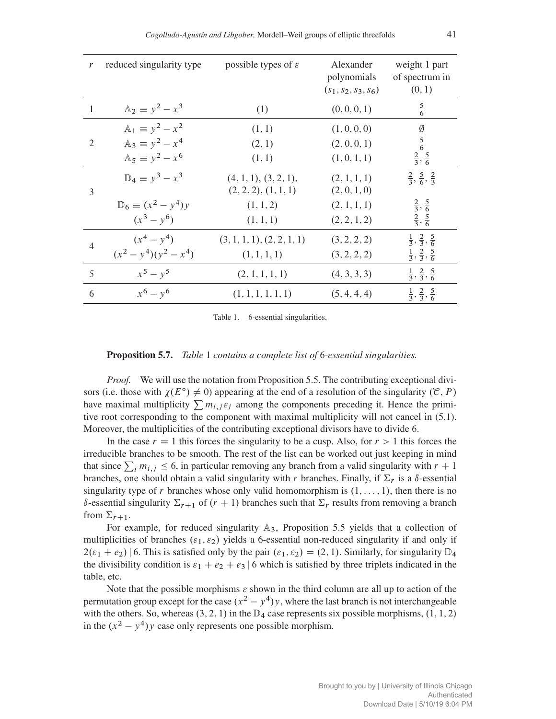| $\mathfrak{r}$ | reduced singularity type        | possible types of $\varepsilon$ | Alexander<br>polynomials<br>$(s_1, s_2, s_3, s_6)$ | weight 1 part<br>of spectrum in<br>(0, 1) |
|----------------|---------------------------------|---------------------------------|----------------------------------------------------|-------------------------------------------|
| 1              | $\mathbb{A}_2 \equiv y^2 - x^3$ | (1)                             | (0, 0, 0, 1)                                       | $rac{5}{6}$                               |
|                | $\mathbb{A}_1 \equiv y^2 - x^2$ | (1, 1)                          | (1, 0, 0, 0)                                       | Ø                                         |
| $\mathfrak{D}$ | $\mathbb{A}_3 \equiv y^2 - x^4$ | (2, 1)                          | (2, 0, 0, 1)                                       | $rac{5}{6}$                               |
|                | $\mathbb{A}_5 \equiv y^2 - x^6$ | (1, 1)                          | (1, 0, 1, 1)                                       | $\frac{2}{3}, \frac{5}{6}$                |
|                | $\mathbb{D}_4 \equiv y^3 - x^3$ | (4, 1, 1), (3, 2, 1),           | (2, 1, 1, 1)                                       | $\frac{2}{3}, \frac{5}{6}, \frac{2}{3}$   |
| 3              |                                 | (2, 2, 2), (1, 1, 1)            | (2, 0, 1, 0)                                       |                                           |
|                | $D_6 \equiv (x^2 - y^4)y$       | (1, 1, 2)                       | (2, 1, 1, 1)                                       | $\frac{2}{3}, \frac{5}{6}$                |
|                | $(x^3 - y^6)$                   | (1, 1, 1)                       | (2, 2, 1, 2)                                       | $\frac{2}{3}, \frac{5}{6}$                |
| $\overline{4}$ | $(x^4 - y^4)$                   | (3, 1, 1, 1), (2, 2, 1, 1)      | (3, 2, 2, 2)                                       | $\frac{1}{3}, \frac{2}{3}, \frac{5}{6}$   |
|                | $(x^{2}-y^{4})(y^{2}-x^{4})$    | (1, 1, 1, 1)                    | (3, 2, 2, 2)                                       | $\frac{1}{3}, \frac{2}{3}, \frac{5}{6}$   |
| 5              | $x^5 - y^5$                     | (2, 1, 1, 1, 1)                 | (4, 3, 3, 3)                                       | $\frac{1}{3}, \frac{2}{3}, \frac{5}{6}$   |
| 6              | $x^6 - y^6$                     | (1, 1, 1, 1, 1, 1)              | (5, 4, 4, 4)                                       | $\frac{1}{3}, \frac{2}{3}, \frac{5}{6}$   |

Table 1. 6-essential singularities.

### Proposition 5.7. *Table* 1 *contains a complete list of* 6*-essential singularities.*

*Proof.* We will use the notation from Proposition 5.5. The contributing exceptional divisors (i.e. those with  $\chi(E^{\circ}) \neq 0$ ) appearing at the end of a resolution of the singularity  $(\mathcal{C}, P)$ have maximal multiplicity  $\sum m_{i,j} \varepsilon_j$  among the components preceding it. Hence the primitive root corresponding to the component with maximal multiplicity will not cancel in (5.1). Moreover, the multiplicities of the contributing exceptional divisors have to divide 6.

In the case  $r = 1$  this forces the singularity to be a cusp. Also, for  $r > 1$  this forces the irreducible branches to be smooth. The rest of the list can be worked out just keeping in mind that since  $\sum_i m_{i,j} \leq 6$ , in particular removing any branch from a valid singularity with  $r + 1$ branches, one should obtain a valid singularity with r branches. Finally, if  $\Sigma_r$  is a  $\delta$ -essential singularity type of r branches whose only valid homomorphism is  $(1, \ldots, 1)$ , then there is no  $\delta$ -essential singularity  $\Sigma_{r+1}$  of  $(r + 1)$  branches such that  $\Sigma_r$  results from removing a branch from  $\Sigma_{r+1}$ .

For example, for reduced singularity  $\mathbb{A}_3$ , Proposition 5.5 yields that a collection of multiplicities of branches  $(\varepsilon_1, \varepsilon_2)$  yields a 6-essential non-reduced singularity if and only if  $2(\epsilon_1 + \epsilon_2)$  6. This is satisfied only by the pair  $(\epsilon_1, \epsilon_2) = (2, 1)$ . Similarly, for singularity  $\mathbb{D}_4$ the divisibility condition is  $\varepsilon_1 + \varepsilon_2 + \varepsilon_3$  | 6 which is satisfied by three triplets indicated in the table, etc.

Note that the possible morphisms  $\varepsilon$  shown in the third column are all up to action of the permutation group except for the case  $(x^2 - y^4)y$ , where the last branch is not interchangeable with the others. So, whereas  $(3, 2, 1)$  in the  $\mathbb{D}_4$  case represents six possible morphisms,  $(1, 1, 2)$ in the  $(x^2 - y^4)y$  case only represents one possible morphism.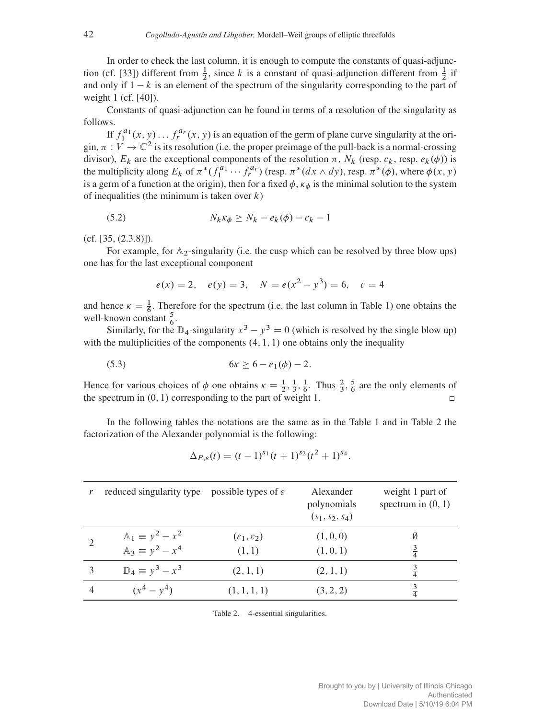In order to check the last column, it is enough to compute the constants of quasi-adjunction (cf. [33]) different from  $\frac{1}{2}$ , since k is a constant of quasi-adjunction different from  $\frac{1}{2}$  if and only if  $1 - k$  is an element of the spectrum of the singularity corresponding to the part of weight 1 (cf. [40]).

Constants of quasi-adjunction can be found in terms of a resolution of the singularity as follows.

If  $f_1^{a_1}(x, y) \dots f_r^{a_r}(x, y)$  is an equation of the germ of plane curve singularity at the origin,  $\pi : V \to \mathbb{C}^2$  is its resolution (i.e. the proper preimage of the pull-back is a normal-crossing divisor),  $E_k$  are the exceptional components of the resolution  $\pi$ ,  $N_k$  (resp.  $c_k$ , resp.  $e_k(\phi)$ ) is the multiplicity along  $E_k$  of  $\pi^*(f_1^{a_1} \cdots f_r^{a_r})$  (resp.  $\pi^*(dx \wedge dy)$ , resp.  $\pi^*(\phi)$ , where  $\phi(x, y)$ is a germ of a function at the origin), then for a fixed  $\phi$ ,  $\kappa_{\phi}$  is the minimal solution to the system of inequalities (the minimum is taken over  $k$ )

$$
(5.2) \t\t N_k \kappa_{\phi} \ge N_k - e_k(\phi) - c_k - 1
$$

(cf. [35, (2.3.8)]).

For example, for  $\mathbb{A}_2$ -singularity (i.e. the cusp which can be resolved by three blow ups) one has for the last exceptional component

$$
e(x) = 2
$$
,  $e(y) = 3$ ,  $N = e(x^2 - y^3) = 6$ ,  $c = 4$ 

and hence  $\kappa = \frac{1}{6}$ . Therefore for the spectrum (i.e. the last column in Table 1) one obtains the well-known constant  $\frac{5}{6}$ .

Similarly, for the  $\mathbb{D}_4$ -singularity  $x^3 - y^3 = 0$  (which is resolved by the single blow up) with the multiplicities of the components  $(4, 1, 1)$  one obtains only the inequality

(5.3) 
$$
6\kappa \ge 6 - e_1(\phi) - 2
$$
.

Hence for various choices of  $\phi$  one obtains  $\kappa = \frac{1}{2}, \frac{1}{3}, \frac{1}{6}$ . Thus  $\frac{2}{3}, \frac{5}{6}$  are the only elements of the spectrum in  $(0, 1)$  corresponding to the part of weight 1.  $\Box$ 

In the following tables the notations are the same as in the Table 1 and in Table 2 the factorization of the Alexander polynomial is the following:

$$
\Delta_{P,\varepsilon}(t) = (t-1)^{s_1}(t+1)^{s_2}(t^2+1)^{s_4}.
$$

| reduced singularity type                         | possible types of $\varepsilon$           | Alexander<br>polynomials<br>$(s_1, s_2, s_4)$ | weight 1 part of<br>spectrum in $(0, 1)$ |
|--------------------------------------------------|-------------------------------------------|-----------------------------------------------|------------------------------------------|
| $A_1 \equiv y^2 - x^2$<br>$A_3 \equiv y^2 - x^4$ | $(\varepsilon_1,\varepsilon_2)$<br>(1, 1) | (1,0,0)<br>(1, 0, 1)                          | Ø<br>$\frac{3}{4}$                       |
| $\mathbb{D}_4 \equiv y^3 - x^3$                  | (2, 1, 1)                                 | (2, 1, 1)                                     | $\frac{3}{4}$                            |
| $(x^4 - y^4)$                                    | (1, 1, 1, 1)                              | (3, 2, 2)                                     |                                          |

Table 2. 4-essential singularities.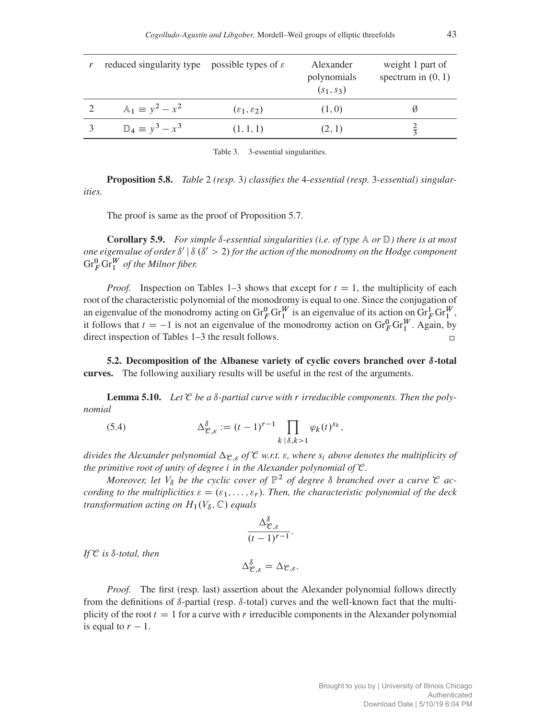| reduced singularity type possible types of $\varepsilon$ |                                  | Alexander<br>polynomials<br>$(s_1, s_3)$ | weight 1 part of<br>spectrum in $(0, 1)$ |
|----------------------------------------------------------|----------------------------------|------------------------------------------|------------------------------------------|
| $A_1 \equiv y^2 - x^2$                                   | $(\varepsilon_1, \varepsilon_2)$ | (1,0)                                    |                                          |
| $\mathbb{D}_4 \equiv y^3 - x^3$                          | (1, 1, 1)                        | (2, 1)                                   | $\frac{2}{3}$                            |

Table 3. 3-essential singularities.

Proposition 5.8. *Table* 2 *(resp.* 3*) classifies the* 4*-essential (resp.* 3*-essential) singularities.*

The proof is same as the proof of Proposition 5.7.

**Corollary 5.9.** For simple  $\delta$ -essential singularities (i.e. of type  $\mathbb A$  or  $\mathbb D$ ) there is at most *one eigenvalue of order*  $\delta'$  |  $\delta$  ( $\delta'$  > 2) *for the action of the monodromy on the Hodge component*  $\mathrm{Gr}_F^0\mathrm{Gr}_1^W$  of the Milnor fiber.

*Proof.* Inspection on Tables 1–3 shows that except for  $t = 1$ , the multiplicity of each root of the characteristic polynomial of the monodromy is equal to one. Since the conjugation of an eigenvalue of the monodromy acting on  $\text{Gr}_{F}^{0} \text{Gr}_{1}^{W}$  is an eigenvalue of its action on  $\text{Gr}_{F}^{1} \text{Gr}_{1}^{W}$ , it follows that  $t = -1$  is not an eigenvalue of the monodromy action on  $\text{Gr}_{F}^{0} \text{Gr}_{1}^{W}$ . Again, by direct inspection of Tables 1–3 the result follows.

5.2. Decomposition of the Albanese variety of cyclic covers branched over  $\delta$ -total curves. The following auxiliary results will be useful in the rest of the arguments.

**Lemma 5.10.** Let  $\mathcal{C}$  be a  $\delta$ -partial curve with r irreducible components. Then the poly*nomial*

(5.4) 
$$
\Delta_{\mathcal{C},\varepsilon}^{\delta} := (t-1)^{r-1} \prod_{k \,|\,\delta,k>1} \varphi_k(t)^{s_k},
$$

*divides the Alexander polynomial*  $\Delta_{\mathcal{C},\varepsilon}$  *of*  $\mathcal{C}$  *w.r.t.*  $\varepsilon$ *, where*  $s_i$  *above denotes the multiplicity of the primitive root of unity of degree* i *in the Alexander polynomial of* C*.*

*Moreover, let*  $V_{\delta}$  *be the cyclic cover of*  $\mathbb{P}^2$  *of degree*  $\delta$  *branched over a curve*  $\mathfrak{C}$  *according to the multiplicities*  $\varepsilon = (\varepsilon_1, \ldots, \varepsilon_r)$ . Then, the characteristic polynomial of the deck *transformation acting on*  $H_1(V_8, \mathbb{C})$  *equals* 

$$
\frac{\Delta_{\mathcal{C},\varepsilon}^{\delta}}{(t-1)^{r-1}}.
$$

 $If \mathcal{C}$  *is*  $\delta$ -total, then

$$
\Delta^{\delta}_{\mathcal{C},\varepsilon} = \Delta_{\mathcal{C},\varepsilon}.
$$

*Proof.* The first (resp. last) assertion about the Alexander polynomial follows directly from the definitions of  $\delta$ -partial (resp.  $\delta$ -total) curves and the well-known fact that the multiplicity of the root  $t = 1$  for a curve with r irreducible components in the Alexander polynomial is equal to  $r - 1$ .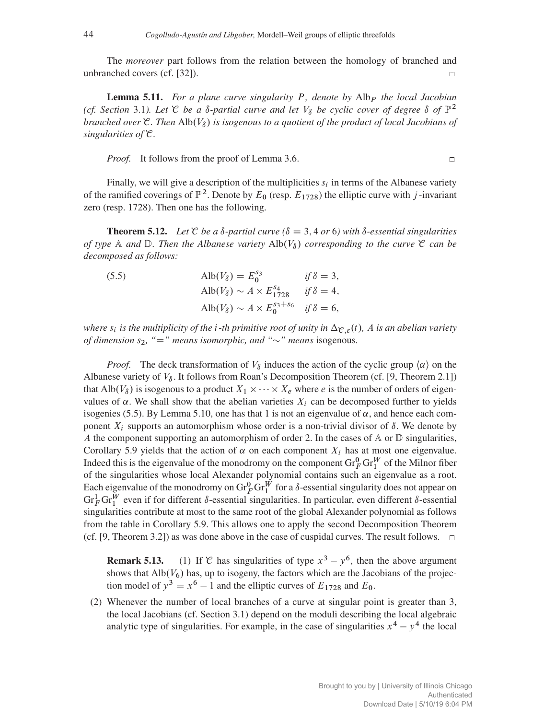The *moreover* part follows from the relation between the homology of branched and unbranched covers (cf. [32]).  $\Box$ 

**Lemma 5.11.** For a plane curve singularity P, denote by Alb<sub>P</sub> the local Jacobian *(cf. Section* 3.1*). Let*  $\mathcal C$  *be a*  $\delta$ -partial curve and let  $V_\delta$  *be cyclic cover of degree*  $\delta$  *of*  $\mathbb P^2$ *branched over*  $\mathfrak{C}$ *. Then* Alb $(V_{\delta})$  *is isogenous to a quotient of the product of local Jacobians of singularities of* C*.*

*Proof.* It follows from the proof of Lemma 3.6.

 $\Box$ 

Finally, we will give a description of the multiplicities  $s_i$  in terms of the Albanese variety of the ramified coverings of  $\mathbb{P}^2$ . Denote by  $E_0$  (resp.  $E_{1728}$ ) the elliptic curve with j-invariant zero (resp. 1728). Then one has the following.

**Theorem 5.12.** Let  $\mathcal{C}$  be a  $\delta$ -partial curve ( $\delta = 3, 4$  or 6) with  $\delta$ -essential singularities *of type* A *and*  $\mathbb{D}$ . Then the Albanese variety  $\text{Alb}(V_{\delta})$  corresponding to the curve  $\mathcal{C}$  can be *decomposed as follows:*

| (5.5) | $\mathrm{Alb}(V_{\delta})=E_{0}^{s_{3}}$                                | if $\delta = 3$ , |
|-------|-------------------------------------------------------------------------|-------------------|
|       | $\text{Alb}(V_{\delta}) \sim A \times E_{1728}^{s_4}$ if $\delta = 4$ , |                   |
|       | $\text{Alb}(V_8) \sim A \times E_0^{s_3+s_6}$ if $\delta = 6$ ,         |                   |

*where*  $s_i$  *is the multiplicity of the i-th primitive root of unity in*  $\Delta_{\mathcal{C},\varepsilon}(t)$ *, A is an abelian variety of dimension*  $s_2$ , "=" means isomorphic, and " $\sim$ " means isogenous.

*Proof.* The deck transformation of  $V_\delta$  induces the action of the cyclic group  $\langle \alpha \rangle$  on the Albanese variety of  $V_{\delta}$ . It follows from Roan's Decomposition Theorem (cf. [9, Theorem 2.1]) that Alb $(V_\delta)$  is isogenous to a product  $X_1 \times \cdots \times X_e$  where e is the number of orders of eigenvalues of  $\alpha$ . We shall show that the abelian varieties  $X_i$  can be decomposed further to yields isogenies (5.5). By Lemma 5.10, one has that 1 is not an eigenvalue of  $\alpha$ , and hence each component  $X_i$  supports an automorphism whose order is a non-trivial divisor of  $\delta$ . We denote by A the component supporting an automorphism of order 2. In the cases of  $\mathbb A$  or  $\mathbb D$  singularities, Corollary 5.9 yields that the action of  $\alpha$  on each component  $X_i$  has at most one eigenvalue. Indeed this is the eigenvalue of the monodromy on the component  $\text{Gr}_{F}^{0}\text{Gr}_{1}^{W}$  of the Milnor fiber of the singularities whose local Alexander polynomial contains such an eigenvalue as a root. Each eigenvalue of the monodromy on  $\text{Gr}_{F}^{0} \text{Gr}_{1}^{W}$  for a  $\delta$ -essential singularity does not appear on  $\text{Gr}_F^1 \text{Gr}_1^W$  even if for different  $\delta$ -essential singularities. In particular, even different  $\delta$ -essential singularities contribute at most to the same root of the global Alexander polynomial as follows from the table in Corollary 5.9. This allows one to apply the second Decomposition Theorem (cf. [9, Theorem 3.2]) as was done above in the case of cuspidal curves. The result follows.  $\Box$ 

**Remark 5.13.** (1) If C has singularities of type  $x^3 - y^6$ , then the above argument shows that  $\text{Alb}(V_6)$  has, up to isogeny, the factors which are the Jacobians of the projection model of  $y^3 = x^6 - 1$  and the elliptic curves of  $E_{1728}$  and  $E_0$ .

(2) Whenever the number of local branches of a curve at singular point is greater than 3, the local Jacobians (cf. Section 3.1) depend on the moduli describing the local algebraic analytic type of singularities. For example, in the case of singularities  $x^4 - y^4$  the local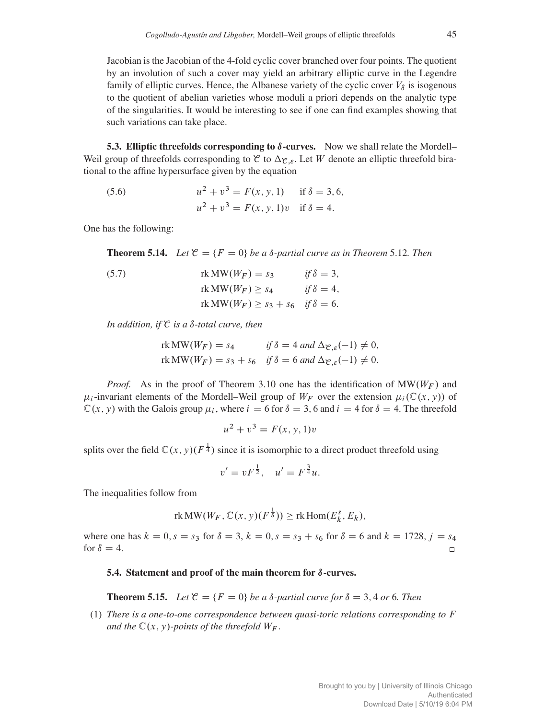Jacobian is the Jacobian of the 4-fold cyclic cover branched over four points. The quotient by an involution of such a cover may yield an arbitrary elliptic curve in the Legendre family of elliptic curves. Hence, the Albanese variety of the cyclic cover  $V_{\delta}$  is isogenous to the quotient of abelian varieties whose moduli a priori depends on the analytic type of the singularities. It would be interesting to see if one can find examples showing that such variations can take place.

**5.3. Elliptic threefolds corresponding to**  $\delta$ **-curves.** Now we shall relate the Mordell– Weil group of threefolds corresponding to  $C$  to  $\Delta_{\mathcal{C},\varepsilon}$ . Let W denote an elliptic threefold birational to the affine hypersurface given by the equation

(5.6) 
$$
u^2 + v^3 = F(x, y, 1) \text{ if } \delta = 3, 6,
$$

$$
u^2 + v^3 = F(x, y, 1)v \text{ if } \delta = 4.
$$

One has the following:

**Theorem 5.14.** *Let*  $\mathcal{C} = \{F = 0\}$  *be a*  $\delta$ -partial curve as in Theorem 5.12*.* Then

(5.7) 
$$
rk MW(W_F) = s_3 \t\t if \delta = 3,
$$

$$
rk MW(W_F) \ge s_4 \t\t if \delta = 4,
$$

$$
rk MW(W_F) \ge s_3 + s_6 \t\t if \delta = 6.
$$

*In addition, if*  $C$  *is a*  $\delta$ *-total curve, then* 

$$
\text{rk MW}(W_F) = s_4 \qquad \text{if } \delta = 4 \text{ and } \Delta_{\mathcal{C},\varepsilon}(-1) \neq 0,
$$
\n
$$
\text{rk MW}(W_F) = s_3 + s_6 \quad \text{if } \delta = 6 \text{ and } \Delta_{\mathcal{C},\varepsilon}(-1) \neq 0.
$$

*Proof.* As in the proof of Theorem 3.10 one has the identification of  $MW(W_F)$  and  $\mu_i$ -invariant elements of the Mordell–Weil group of  $W_F$  over the extension  $\mu_i(\mathbb{C}(x, y))$  of  $\mathbb{C}(x, y)$  with the Galois group  $\mu_i$ , where  $i = 6$  for  $\delta = 3$ , 6 and  $i = 4$  for  $\delta = 4$ . The threefold

$$
u^2 + v^3 = F(x, y, 1)v
$$

splits over the field  $\mathbb{C}(x, y)(F^{\frac{1}{4}})$  since it is isomorphic to a direct product threefold using

$$
v' = vF^{\frac{1}{2}}, \quad u' = F^{\frac{3}{4}}u.
$$

The inequalities follow from

rk MW
$$
(W_F, \mathbb{C}(x, y)(F^{\frac{1}{\delta}})) \geq \text{rk Hom}(E_k^s, E_k),
$$

where one has  $k = 0$ ,  $s = s_3$  for  $\delta = 3$ ,  $k = 0$ ,  $s = s_3 + s_6$  for  $\delta = 6$  and  $k = 1728$ ,  $j = s_4$ for  $\delta = 4$ .

#### 5.4. Statement and proof of the main theorem for  $\delta$ -curves.

**Theorem 5.15.** Let  $\mathcal{C} = \{F = 0\}$  be a  $\delta$ -partial curve for  $\delta = 3, 4$  or 6. Then

(1) *There is a one-to-one correspondence between quasi-toric relations corresponding to* F *and the*  $\mathbb{C}(x, y)$ *-points of the threefold*  $W_F$ *.*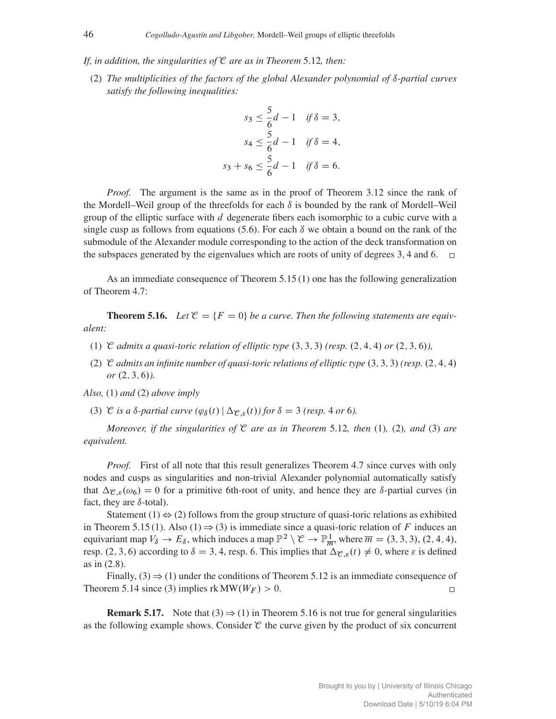*If, in addition, the singularities of* C *are as in Theorem* 5.12*, then:*

(2) *The multiplicities of the factors of the global Alexander polynomial of*  $\delta$ -partial curves *satisfy the following inequalities:*

$$
s_3 \le \frac{5}{6}d - 1 \quad \text{if } \delta = 3,
$$
  

$$
s_4 \le \frac{5}{6}d - 1 \quad \text{if } \delta = 4,
$$
  

$$
s_3 + s_6 \le \frac{5}{6}d - 1 \quad \text{if } \delta = 6.
$$

*Proof.* The argument is the same as in the proof of Theorem 3.12 since the rank of the Mordell–Weil group of the threefolds for each  $\delta$  is bounded by the rank of Mordell–Weil group of the elliptic surface with d degenerate fibers each isomorphic to a cubic curve with a single cusp as follows from equations (5.6). For each  $\delta$  we obtain a bound on the rank of the submodule of the Alexander module corresponding to the action of the deck transformation on the subspaces generated by the eigenvalues which are roots of unity of degrees 3, 4 and 6.  $\Box$ 

As an immediate consequence of Theorem 5.15 (1) one has the following generalization of Theorem 4.7:

**Theorem 5.16.** Let  $\mathcal{C} = \{F = 0\}$  be a curve. Then the following statements are equiv*alent:*

- (1)  $\mathcal C$  *admits a quasi-toric relation of elliptic type* (3, 3, 3) *(resp.* (2, 4, 4) *or* (2, 3, 6)*,*
- (2) C *admits an infinite number of quasi-toric relations of elliptic type*  $(3, 3, 3)$  *(resp.*  $(2, 4, 4)$ )  $or (2, 3, 6)$ .

*Also,* (1) *and* (2) *above imply*

(3) C *is a*  $\delta$ *-partial curve*  $(\varphi_{\delta}(t) | \Delta_{\mathcal{C}, \varepsilon}(t))$  *for*  $\delta = 3$  *(resp.* 4 *or* 6*)*.

*Moreover, if the singularities of* C *are as in Theorem* 5.12*, then* (1)*,* (2)*, and* (3) *are equivalent.*

*Proof.* First of all note that this result generalizes Theorem 4.7 since curves with only nodes and cusps as singularities and non-trivial Alexander polynomial automatically satisfy that  $\Delta_{\mathcal{C},\varepsilon}(\omega_6) = 0$  for a primitive 6th-root of unity, and hence they are  $\delta$ -partial curves (in fact, they are  $\delta$ -total).

Statement (1)  $\iff$  (2) follows from the group structure of quasi-toric relations as exhibited in Theorem 5.15 (1). Also (1)  $\Rightarrow$  (3) is immediate since a quasi-toric relation of F induces an equivariant map  $V_\delta \to E_\delta$ , which induces a map  $\mathbb{P}^2 \setminus \mathcal{C} \to \mathbb{P}^1_{\overline{m}}$ , where  $\overline{m} = (3, 3, 3), (2, 4, 4),$ resp. (2, 3, 6) according to  $\delta = 3, 4$ , resp. 6. This implies that  $\Delta_{\mathcal{C}, \varepsilon}(t) \neq 0$ , where  $\varepsilon$  is defined as in (2.8).

Finally, (3)  $\Rightarrow$  (1) under the conditions of Theorem 5.12 is an immediate consequence of Theorem 5.14 since (3) implies rk  $MW(W_F) > 0$ .  $\Box$ 

**Remark 5.17.** Note that (3)  $\Rightarrow$  (1) in Theorem 5.16 is not true for general singularities as the following example shows. Consider  $\mathcal C$  the curve given by the product of six concurrent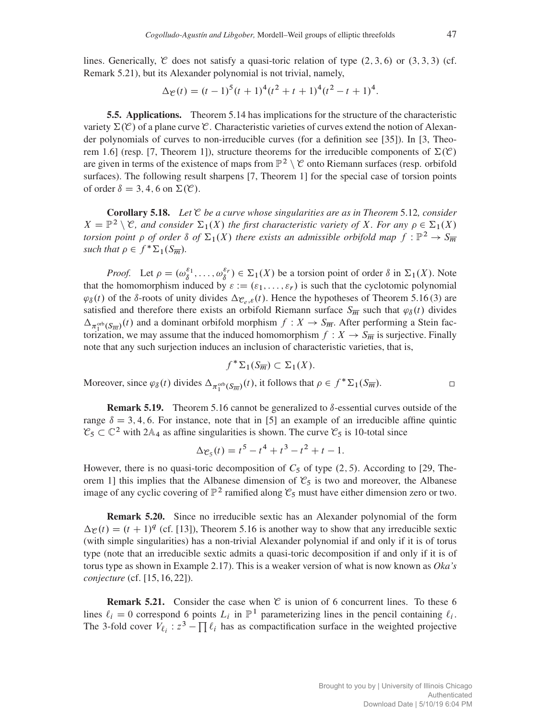lines. Generically, C does not satisfy a quasi-toric relation of type  $(2, 3, 6)$  or  $(3, 3, 3)$  (cf. Remark 5.21), but its Alexander polynomial is not trivial, namely,

$$
\Delta \mathcal{C}(t) = (t-1)^5(t+1)^4(t^2+t+1)^4(t^2-t+1)^4.
$$

5.5. Applications. Theorem 5.14 has implications for the structure of the characteristic variety  $\Sigma(\mathcal{C})$  of a plane curve  $\mathcal{C}$ . Characteristic varieties of curves extend the notion of Alexander polynomials of curves to non-irreducible curves (for a definition see [35]). In [3, Theorem 1.6] (resp. [7, Theorem 1]), structure theorems for the irreducible components of  $\Sigma(\mathcal{C})$ are given in terms of the existence of maps from  $\mathbb{P}^2 \setminus \mathcal{C}$  onto Riemann surfaces (resp. orbifold surfaces). The following result sharpens [7, Theorem 1] for the special case of torsion points of order  $\delta = 3, 4, 6$  on  $\Sigma(\mathcal{C})$ .

Corollary 5.18. *Let* C *be a curve whose singularities are as in Theorem* 5.12*, consider*  $X = \mathbb{P}^2 \setminus \mathcal{C}$ , and consider  $\Sigma_1(X)$  the first characteristic variety of X. For any  $\rho \in \Sigma_1(X)$ *torsion point*  $\rho$  *of order*  $\delta$  *of*  $\Sigma_1(X)$  *there exists an admissible orbifold map*  $f : \mathbb{P}^2 \to S_{\overline{m}}$ *such that*  $\rho \in f^* \Sigma_1(S_{\overline{m}})$ *.* 

*Proof.* Let  $\rho = (\omega_{\delta}^{\varepsilon_1}, \dots, \omega_{\delta}^{\varepsilon_r}) \in \Sigma_1(X)$  be a torsion point of order  $\delta$  in  $\Sigma_1(X)$ . Note that the homomorphism induced by  $\varepsilon := (\varepsilon_1, \ldots, \varepsilon_r)$  is such that the cyclotomic polynomial  $\varphi_{\delta}(t)$  of the  $\delta$ -roots of unity divides  $\Delta_{\mathcal{C}_{e,\mathcal{E}}}(t)$ . Hence the hypotheses of Theorem 5.16 (3) are satisfied and therefore there exists an orbifold Riemann surface  $S_{\overline{m}}$  such that  $\varphi_{\delta}(t)$  divides  $\Delta_{\pi_1^{\text{orb}}(S_{\overline{m}})}(t)$  and a dominant orbifold morphism  $f: X \to S_{\overline{m}}$ . After performing a Stein factorization, we may assume that the induced homomorphism  $f: X \to S_{\overline{m}}$  is surjective. Finally note that any such surjection induces an inclusion of characteristic varieties, that is,

$$
f^*\Sigma_1(S_{\overline{m}}) \subset \Sigma_1(X).
$$

Moreover, since  $\varphi_{\delta}(t)$  divides  $\Delta_{\pi_1^{\text{orb}}(S_{\overline{m}})}(t)$ , it follows that  $\rho \in f^* \Sigma_1(S_{\overline{m}})$ .

**Remark 5.19.** Theorem 5.16 cannot be generalized to  $\delta$ -essential curves outside of the range  $\delta = 3, 4, 6$ . For instance, note that in [5] an example of an irreducible affine quintic  $\mathcal{C}_5 \subset \mathbb{C}^2$  with 2A<sub>4</sub> as affine singularities is shown. The curve  $\mathcal{C}_5$  is 10-total since

$$
\Delta \mathcal{e}_5(t) = t^5 - t^4 + t^3 - t^2 + t - 1.
$$

However, there is no quasi-toric decomposition of  $C_5$  of type  $(2, 5)$ . According to [29, Theorem 1] this implies that the Albanese dimension of  $\mathcal{C}_5$  is two and moreover, the Albanese image of any cyclic covering of  $\mathbb{P}^2$  ramified along  $\mathcal{C}_5$  must have either dimension zero or two.

Remark 5.20. Since no irreducible sextic has an Alexander polynomial of the form  $\Delta \chi(t) = (t + 1)^q$  (cf. [13]), Theorem 5.16 is another way to show that any irreducible sextic (with simple singularities) has a non-trivial Alexander polynomial if and only if it is of torus type (note that an irreducible sextic admits a quasi-toric decomposition if and only if it is of torus type as shown in Example 2.17). This is a weaker version of what is now known as *Oka's conjecture* (cf. [15, 16, 22]).

**Remark 5.21.** Consider the case when  $\mathcal C$  is union of 6 concurrent lines. To these 6 lines  $\ell_i = 0$  correspond 6 points  $L_i$  in  $\mathbb{P}^1$  parameterizing lines in the pencil containing  $\ell_i$ . The 3-fold cover  $V_{\ell_i}$ :  $z^3 - \prod_k \ell_i$  has as compactification surface in the weighted projective

 $\Box$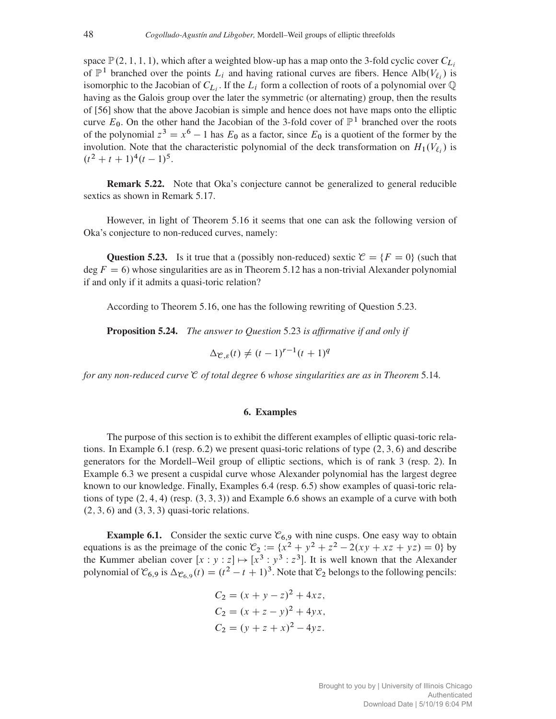space  $\mathbb{P}(2, 1, 1, 1)$ , which after a weighted blow-up has a map onto the 3-fold cyclic cover  $C_{L_i}$ of  $\mathbb{P}^1$  branched over the points  $L_i$  and having rational curves are fibers. Hence Alb $(V_{\ell_i})$  is isomorphic to the Jacobian of  $C_{L_i}$ . If the  $L_i$  form a collection of roots of a polynomial over  $\mathbb Q$ having as the Galois group over the later the symmetric (or alternating) group, then the results of [56] show that the above Jacobian is simple and hence does not have maps onto the elliptic curve  $E_0$ . On the other hand the Jacobian of the 3-fold cover of  $\mathbb{P}^1$  branched over the roots of the polynomial  $z^3 = x^6 - 1$  has  $E_0$  as a factor, since  $E_0$  is a quotient of the former by the involution. Note that the characteristic polynomial of the deck transformation on  $H_1(V_{\ell_i})$  is  $(t^2 + t + 1)^4(t - 1)^5$ .

Remark 5.22. Note that Oka's conjecture cannot be generalized to general reducible sextics as shown in Remark 5.17.

However, in light of Theorem 5.16 it seems that one can ask the following version of Oka's conjecture to non-reduced curves, namely:

**Question 5.23.** Is it true that a (possibly non-reduced) sextic  $\mathcal{C} = \{F = 0\}$  (such that deg  $F = 6$ ) whose singularities are as in Theorem 5.12 has a non-trivial Alexander polynomial if and only if it admits a quasi-toric relation?

According to Theorem 5.16, one has the following rewriting of Question 5.23.

Proposition 5.24. *The answer to Question* 5.23 *is affirmative if and only if*

$$
\Delta_{\mathcal{C},\varepsilon}(t) \neq (t-1)^{r-1}(t+1)^q
$$

*for any non-reduced curve* C *of total degree* 6 *whose singularities are as in Theorem* 5.14*.*

### 6. Examples

The purpose of this section is to exhibit the different examples of elliptic quasi-toric relations. In Example 6.1 (resp. 6.2) we present quasi-toric relations of type  $(2, 3, 6)$  and describe generators for the Mordell–Weil group of elliptic sections, which is of rank 3 (resp. 2). In Example 6.3 we present a cuspidal curve whose Alexander polynomial has the largest degree known to our knowledge. Finally, Examples 6.4 (resp. 6.5) show examples of quasi-toric relations of type  $(2, 4, 4)$  (resp.  $(3, 3, 3)$ ) and Example 6.6 shows an example of a curve with both  $(2, 3, 6)$  and  $(3, 3, 3)$  quasi-toric relations.

**Example 6.1.** Consider the sextic curve  $\mathcal{C}_{6,9}$  with nine cusps. One easy way to obtain equations is as the preimage of the conic  $\mathcal{C}_2 := \{x^2 + y^2 + z^2 - 2(xy + xz + yz) = 0\}$  by the Kummer abelian cover  $[x : y : z] \mapsto [x^3 : y^3 : z^3]$ . It is well known that the Alexander polynomial of  $\mathcal{C}_{6,9}$  is  $\Delta_{\mathcal{C}_{6,9}}(t) = (t^2 - t + 1)^3$ . Note that  $\mathcal{C}_2$  belongs to the following pencils:

$$
C_2 = (x + y - z)^2 + 4xz,
$$
  
\n
$$
C_2 = (x + z - y)^2 + 4yx,
$$
  
\n
$$
C_2 = (y + z + x)^2 - 4yz.
$$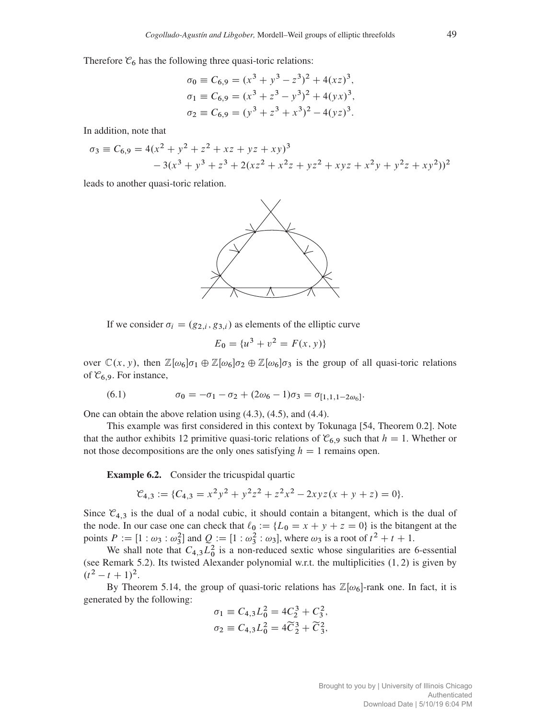Therefore  $\mathcal{C}_6$  has the following three quasi-toric relations:

$$
\sigma_0 \equiv C_{6,9} = (x^3 + y^3 - z^3)^2 + 4(xz)^3,
$$
  
\n
$$
\sigma_1 \equiv C_{6,9} = (x^3 + z^3 - y^3)^2 + 4(yx)^3,
$$
  
\n
$$
\sigma_2 \equiv C_{6,9} = (y^3 + z^3 + x^3)^2 - 4(yz)^3.
$$

In addition, note that

$$
\sigma_3 \equiv C_{6,9} = 4(x^2 + y^2 + z^2 + xz + yz + xy)^3
$$
  
- 3(x<sup>3</sup> + y<sup>3</sup> + z<sup>3</sup> + 2(xz<sup>2</sup> + x<sup>2</sup>z + yz<sup>2</sup> + xyz + x<sup>2</sup>y + y<sup>2</sup>z + xy<sup>2</sup>))<sup>2</sup>

leads to another quasi-toric relation.



If we consider  $\sigma_i = (g_{2,i}, g_{3,i})$  as elements of the elliptic curve

$$
E_0 = \{u^3 + v^2 = F(x, y)\}
$$

over  $\mathbb{C}(x, y)$ , then  $\mathbb{Z}[\omega_6]\sigma_1 \oplus \mathbb{Z}[\omega_6]\sigma_2 \oplus \mathbb{Z}[\omega_6]\sigma_3$  is the group of all quasi-toric relations of  $\mathcal{C}_{6,9}$ . For instance,

(6.1) 
$$
\sigma_0 = -\sigma_1 - \sigma_2 + (2\omega_6 - 1)\sigma_3 = \sigma_{[1,1,1-2\omega_6]}.
$$

One can obtain the above relation using (4.3), (4.5), and (4.4).

This example was first considered in this context by Tokunaga [54, Theorem 0.2]. Note that the author exhibits 12 primitive quasi-toric relations of  $\mathcal{C}_{6,9}$  such that  $h = 1$ . Whether or not those decompositions are the only ones satisfying  $h = 1$  remains open.

Example 6.2. Consider the tricuspidal quartic

$$
\mathcal{C}_{4,3} := \{C_{4,3} = x^2y^2 + y^2z^2 + z^2x^2 - 2xyz(x + y + z) = 0\}.
$$

Since  $\mathcal{C}_{4,3}$  is the dual of a nodal cubic, it should contain a bitangent, which is the dual of the node. In our case one can check that  $\ell_0 := \{L_0 = x + y + z = 0\}$  is the bitangent at the points  $P := [1 : \omega_3 : \omega_3^2]$  and  $Q := [1 : \omega_3^2 : \omega_3]$ , where  $\omega_3$  is a root of  $t^2 + t + 1$ .

We shall note that  $C_{4,3}L_0^2$  is a non-reduced sextic whose singularities are 6-essential (see Remark 5.2). Its twisted Alexander polynomial w.r.t. the multiplicities  $(1, 2)$  is given by  $(t^2 - t + 1)^2$ .

By Theorem 5.14, the group of quasi-toric relations has  $\mathbb{Z}[\omega_6]$ -rank one. In fact, it is generated by the following:

$$
\sigma_1 \equiv C_{4,3} L_0^2 = 4C_2^3 + C_3^2,
$$
  

$$
\sigma_2 \equiv C_{4,3} L_0^2 = 4\widetilde{C}_2^3 + \widetilde{C}_3^2,
$$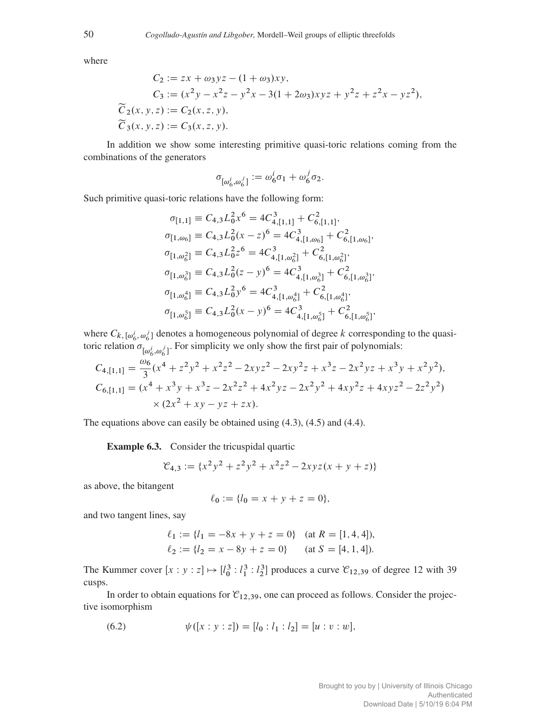where

$$
C_2 := zx + \omega_3 yz - (1 + \omega_3)xy,
$$
  
\n
$$
C_3 := (x^2y - x^2z - y^2x - 3(1 + 2\omega_3)xyz + y^2z + z^2x - yz^2),
$$
  
\n
$$
\widetilde{C}_2(x, y, z) := C_2(x, z, y),
$$
  
\n
$$
\widetilde{C}_3(x, y, z) := C_3(x, z, y).
$$

In addition we show some interesting primitive quasi-toric relations coming from the combinations of the generators

$$
\sigma_{[\omega_6^i,\omega_6^j]} := \omega_6^i \sigma_1 + \omega_6^j \sigma_2.
$$

Such primitive quasi-toric relations have the following form:

$$
\sigma_{[1,1]} \equiv C_{4,3} L_0^2 x^6 = 4C_{4,[1,1]}^3 + C_{6,[1,1]}^2,
$$
  
\n
$$
\sigma_{[1,\omega_6]} \equiv C_{4,3} L_0^2 (x - z)^6 = 4C_{4,[1,\omega_6]}^3 + C_{6,[1,\omega_6]}^2,
$$
  
\n
$$
\sigma_{[1,\omega_6^2]} \equiv C_{4,3} L_0^2 z^6 = 4C_{4,[1,\omega_6^2]}^3 + C_{6,[1,\omega_6^2]}^2,
$$
  
\n
$$
\sigma_{[1,\omega_6^3]} \equiv C_{4,3} L_0^2 (z - y)^6 = 4C_{4,[1,\omega_6^3]}^3 + C_{6,[1,\omega_6^3]}^2,
$$
  
\n
$$
\sigma_{[1,\omega_6^4]} \equiv C_{4,3} L_0^2 y^6 = 4C_{4,[1,\omega_6^4]}^3 + C_{6,[1,\omega_6^4]}^2,
$$
  
\n
$$
\sigma_{[1,\omega_6^5]} \equiv C_{4,3} L_0^2 (x - y)^6 = 4C_{4,[1,\omega_6^5]}^3 + C_{6,[1,\omega_6^5]}^2.
$$

where  $C_{k, [\omega_6^i, \omega_6^j]}$  denotes a homogeneous polynomial of degree k corresponding to the quasitoric relation  $\sigma_{\lbrack \omega_6^i, \omega_6^j \rbrack}$ . For simplicity we only show the first pair of polynomials:

$$
C_{4,[1,1]} = \frac{\omega_6}{3} (x^4 + z^2 y^2 + x^2 z^2 - 2xyz^2 - 2xy^2 z + x^3 z - 2x^2 y z + x^3 y + x^2 y^2),
$$
  
\n
$$
C_{6,[1,1]} = (x^4 + x^3 y + x^3 z - 2x^2 z^2 + 4x^2 y z - 2x^2 y^2 + 4xy^2 z + 4xyz^2 - 2z^2 y^2)
$$
  
\n
$$
\times (2x^2 + xy - yz + zx).
$$

The equations above can easily be obtained using (4.3), (4.5) and (4.4).

Example 6.3. Consider the tricuspidal quartic

$$
\mathcal{C}_{4,3} := \{x^2y^2 + z^2y^2 + x^2z^2 - 2xyz(x+y+z)\}\
$$

as above, the bitangent

$$
\ell_0 := \{l_0 = x + y + z = 0\},\
$$

and two tangent lines, say

$$
\ell_1 := \{ l_1 = -8x + y + z = 0 \} \quad \text{(at } R = [1, 4, 4]),
$$
  

$$
\ell_2 := \{ l_2 = x - 8y + z = 0 \} \quad \text{(at } S = [4, 1, 4]).
$$

The Kummer cover  $[x : y : z] \mapsto [l_0^3 : l_1^3 : l_2^3]$  produces a curve  $\mathcal{C}_{12,39}$  of degree 12 with 39 cusps.

In order to obtain equations for  $\mathcal{C}_{12,39}$ , one can proceed as follows. Consider the projective isomorphism

(6.2) 
$$
\psi([x:y:z]) = [l_0:l_1:l_2] = [u:v:w],
$$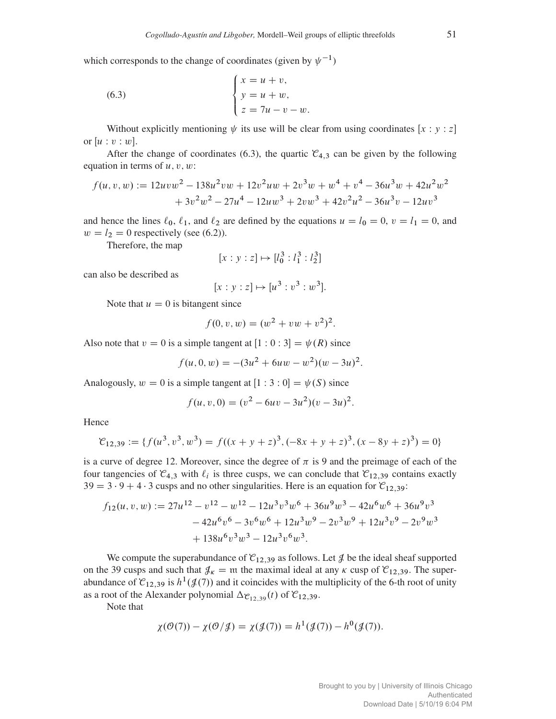which corresponds to the change of coordinates (given by  $\psi^{-1}$ )

(6.3) 
$$
\begin{cases} x = u + v, \\ y = u + w, \\ z = 7u - v - w. \end{cases}
$$

Without explicitly mentioning  $\psi$  its use will be clear from using coordinates [x : y : z] or  $[u : v : w]$ .

After the change of coordinates (6.3), the quartic  $\mathcal{C}_{4,3}$  can be given by the following equation in terms of  $u, v, w$ :

$$
f(u, v, w) := 12uvw^{2} - 138u^{2}vw + 12v^{2}uw + 2v^{3}w + w^{4} + v^{4} - 36u^{3}w + 42u^{2}w^{2} + 3v^{2}w^{2} - 27u^{4} - 12uw^{3} + 2vw^{3} + 42v^{2}u^{2} - 36u^{3}v - 12uv^{3}
$$

and hence the lines  $\ell_0$ ,  $\ell_1$ , and  $\ell_2$  are defined by the equations  $u = l_0 = 0$ ,  $v = l_1 = 0$ , and  $w = l_2 = 0$  respectively (see (6.2)).

Therefore, the map

$$
[x : y : z] \mapsto [l_0^3 : l_1^3 : l_2^3]
$$

can also be described as

$$
[x : y : z] \mapsto [u^3 : v^3 : w^3].
$$

Note that  $u = 0$  is bitangent since

$$
f(0, v, w) = (w2 + vw + v2)2.
$$

Also note that  $v = 0$  is a simple tangent at  $[1 : 0 : 3] = \psi(R)$  since

$$
f(u, 0, w) = -(3u^2 + 6uw - w^2)(w - 3u)^2.
$$

Analogously,  $w = 0$  is a simple tangent at  $[1 : 3 : 0] = \psi(S)$  since

$$
f(u, v, 0) = (v2 – 6uv – 3u2)(v – 3u)2.
$$

Hence

$$
\mathcal{C}_{12,39} := \{ f(u^3, v^3, w^3) = f((x + y + z)^3, (-8x + y + z)^3, (x - 8y + z)^3) = 0 \}
$$

is a curve of degree 12. Moreover, since the degree of  $\pi$  is 9 and the preimage of each of the four tangencies of  $\mathcal{C}_{4,3}$  with  $\ell_i$  is three cusps, we can conclude that  $\mathcal{C}_{12,39}$  contains exactly  $39 = 3 \cdot 9 + 4 \cdot 3$  cusps and no other singularities. Here is an equation for  $\mathcal{C}_{12,39}$ :

$$
f_{12}(u, v, w) := 27u^{12} - v^{12} - w^{12} - 12u^3v^3w^6 + 36u^9w^3 - 42u^6w^6 + 36u^9v^3
$$
  

$$
- 42u^6v^6 - 3v^6w^6 + 12u^3w^9 - 2v^3w^9 + 12u^3v^9 - 2v^9w^3
$$
  

$$
+ 138u^6v^3w^3 - 12u^3v^6w^3.
$$

We compute the superabundance of  $\mathcal{C}_{12,39}$  as follows. Let  $\mathcal{J}$  be the ideal sheaf supported on the 39 cusps and such that  $\mathcal{J}_k = \mathfrak{m}$  the maximal ideal at any  $\kappa$  cusp of  $\mathcal{C}_{12,39}$ . The superabundance of  $\mathcal{C}_{12,39}$  is  $h^1(\mathcal{J}(7))$  and it coincides with the multiplicity of the 6-th root of unity as a root of the Alexander polynomial  $\Delta_{\mathcal{C}_{12,39}}(t)$  of  $\mathcal{C}_{12,39}$ .

Note that

$$
\chi(\mathcal{O}(7)) - \chi(\mathcal{O}/\mathcal{J}) = \chi(\mathcal{J}(7)) = h^1(\mathcal{J}(7)) - h^0(\mathcal{J}(7)).
$$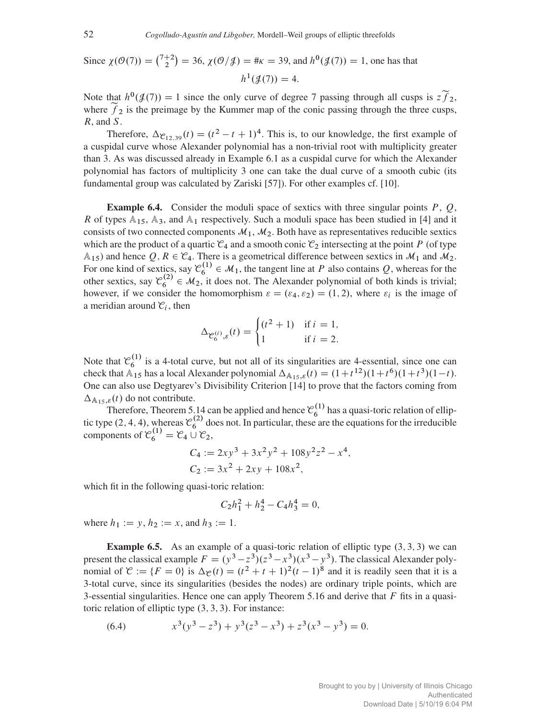Since 
$$
\chi(\mathcal{O}(7)) = {7+2 \choose 2} = 36
$$
,  $\chi(\mathcal{O}/\mathcal{J}) = \# \kappa = 39$ , and  $h^0(\mathcal{J}(7)) = 1$ , one has that  $h^1(\mathcal{J}(7)) = 4$ .

Note that  $h^0(\mathcal{J}(7)) = 1$  since the only curve of degree 7 passing through all cusps is  $2\tilde{f}_2$ , where  $f_2$  is the preimage by the Kummer map of the conic passing through the three cusps, R, and S.

Therefore,  $\Delta_{\mathcal{C}_{12,39}}(t) = (t^2 - t + 1)^4$ . This is, to our knowledge, the first example of a cuspidal curve whose Alexander polynomial has a non-trivial root with multiplicity greater than 3. As was discussed already in Example 6.1 as a cuspidal curve for which the Alexander polynomial has factors of multiplicity 3 one can take the dual curve of a smooth cubic (its fundamental group was calculated by Zariski [57]). For other examples cf. [10].

**Example 6.4.** Consider the moduli space of sextics with three singular points  $P$ ,  $Q$ , R of types  $A_{15}$ ,  $A_3$ , and  $A_1$  respectively. Such a moduli space has been studied in [4] and it consists of two connected components  $\mathcal{M}_1$ ,  $\mathcal{M}_2$ . Both have as representatives reducible sextics which are the product of a quartic  $\mathcal{C}_4$  and a smooth conic  $\mathcal{C}_2$  intersecting at the point P (of type  $A_{15}$ ) and hence Q,  $R \in \mathcal{C}_4$ . There is a geometrical difference between sextics in  $\mathcal{M}_1$  and  $\mathcal{M}_2$ . For one kind of sextics, say  $\mathcal{C}_6^{(1)} \in \mathcal{M}_1$ , the tangent line at P also contains Q, whereas for the other sextics, say  $\mathcal{C}_6^{(2)} \in \mathcal{M}_2$ , it does not. The Alexander polynomial of both kinds is trivial; however, if we consider the homomorphism  $\varepsilon = (\varepsilon_4, \varepsilon_2) = (1, 2)$ , where  $\varepsilon_i$  is the image of a meridian around  $\mathcal{C}_i$ , then

$$
\Delta_{\mathcal{C}_6^{(i)},\varepsilon}(t) = \begin{cases} (t^2 + 1) & \text{if } i = 1, \\ 1 & \text{if } i = 2. \end{cases}
$$

Note that  $\mathcal{C}_6^{(1)}$  is a 4-total curve, but not all of its singularities are 4-essential, since one can check that  $\mathbb{A}_{15}$  has a local Alexander polynomial  $\Delta_{\mathbb{A}_{15},\varepsilon}(t) = (1+t^{12})(1+t^6)(1+t^3)(1-t)$ . One can also use Degtyarev's Divisibility Criterion [14] to prove that the factors coming from  $\Delta_{A_{15}, \varepsilon}(t)$  do not contribute.

Therefore, Theorem 5.14 can be applied and hence  $\mathcal{C}_6^{(1)}$  has a quasi-toric relation of elliptic type (2, 4, 4), whereas  $\mathcal{C}_6^{(2)}$  does not. In particular, these are the equations for the irreducible components of  $\mathcal{C}_6^{(1)} = \mathcal{C}_4 \cup \mathcal{C}_2$ ,

$$
C_4 := 2xy^3 + 3x^2y^2 + 108y^2z^2 - x^4,
$$
  
\n
$$
C_2 := 3x^2 + 2xy + 108x^2,
$$

which fit in the following quasi-toric relation:

$$
C_2h_1^2 + h_2^4 - C_4h_3^4 = 0,
$$

where  $h_1 := y, h_2 := x$ , and  $h_3 := 1$ .

**Example 6.5.** As an example of a quasi-toric relation of elliptic type  $(3, 3, 3)$  we can present the classical example  $F = (y^3 - z^3)(z^3 - x^3)(x^3 - y^3)$ . The classical Alexander polynomial of  $\mathcal{C} := \{F = 0\}$  is  $\Delta \mathcal{C}(t) = (t^2 + t + 1)^2 (t - 1)^8$  and it is readily seen that it is a 3-total curve, since its singularities (besides the nodes) are ordinary triple points, which are 3-essential singularities. Hence one can apply Theorem 5.16 and derive that  $F$  fits in a quasitoric relation of elliptic type  $(3, 3, 3)$ . For instance:

(6.4) 
$$
x^3(y^3 - z^3) + y^3(z^3 - x^3) + z^3(x^3 - y^3) = 0.
$$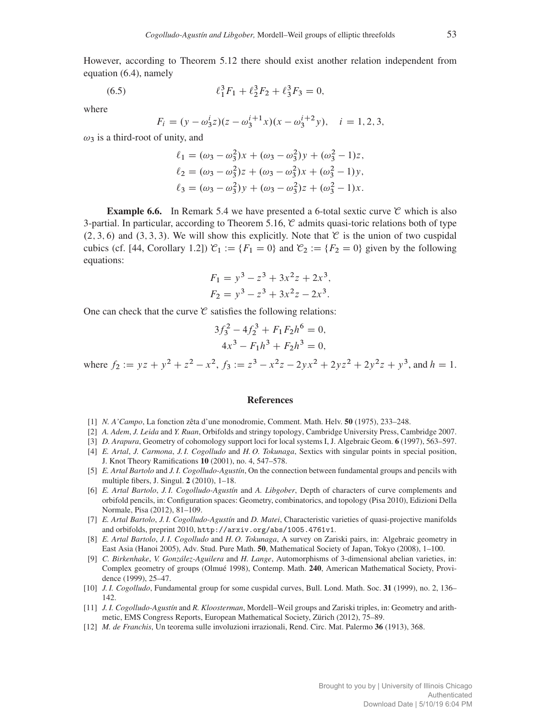However, according to Theorem 5.12 there should exist another relation independent from equation (6.4), namely

(6.5) 
$$
\ell_1^3 F_1 + \ell_2^3 F_2 + \ell_3^3 F_3 = 0,
$$

where

$$
F_i = (y - \omega_3^i z)(z - \omega_3^{i+1} x)(x - \omega_3^{i+2} y), \quad i = 1, 2, 3,
$$

 $\omega_3$  is a third-root of unity, and

$$
\ell_1 = (\omega_3 - \omega_3^2)x + (\omega_3 - \omega_3^2)y + (\omega_3^2 - 1)z,
$$
  
\n
$$
\ell_2 = (\omega_3 - \omega_3^2)z + (\omega_3 - \omega_3^2)x + (\omega_3^2 - 1)y,
$$
  
\n
$$
\ell_3 = (\omega_3 - \omega_3^2)y + (\omega_3 - \omega_3^2)z + (\omega_3^2 - 1)x.
$$

**Example 6.6.** In Remark 5.4 we have presented a 6-total sextic curve  $\mathcal{C}$  which is also 3-partial. In particular, according to Theorem 5.16,  $\mathcal C$  admits quasi-toric relations both of type  $(2, 3, 6)$  and  $(3, 3, 3)$ . We will show this explicitly. Note that  $\mathfrak{C}$  is the union of two cuspidal cubics (cf. [44, Corollary 1.2])  $\mathcal{C}_1 := \{F_1 = 0\}$  and  $\mathcal{C}_2 := \{F_2 = 0\}$  given by the following equations:

$$
F_1 = y^3 - z^3 + 3x^2z + 2x^3,
$$
  
\n
$$
F_2 = y^3 - z^3 + 3x^2z - 2x^3.
$$

One can check that the curve  $\mathcal C$  satisfies the following relations:

$$
3f_3^2 - 4f_2^3 + F_1F_2h^6 = 0,
$$
  

$$
4x^3 - F_1h^3 + F_2h^3 = 0,
$$

where  $f_2 := yz + y^2 + z^2 - x^2$ ,  $f_3 := z^3 - x^2z - 2yx^2 + 2yz^2 + 2y^2z + y^3$ , and  $h = 1$ .

#### References

- [1] *N. A'Campo*, La fonction zêta d'une monodromie, Comment. Math. Helv. 50 (1975), 233–248.
- [2] *A. Adem*, *J. Leida* and *Y. Ruan*, Orbifolds and stringy topology, Cambridge University Press, Cambridge 2007.
- [3] *D. Arapura*, Geometry of cohomology support loci for local systems I, J. Algebraic Geom. 6 (1997), 563–597.
- [4] *E. Artal*, *J. Carmona*, *J. I. Cogolludo* and *H. O. Tokunaga*, Sextics with singular points in special position, J. Knot Theory Ramifications 10 (2001), no. 4, 547–578.
- [5] *E. Artal Bartolo* and *J. I. Cogolludo-Agustín*, On the connection between fundamental groups and pencils with multiple fibers, J. Singul. 2 (2010), 1–18.
- [6] *E. Artal Bartolo*, *J. I. Cogolludo-Agustín* and *A. Libgober*, Depth of characters of curve complements and orbifold pencils, in: Configuration spaces: Geometry, combinatorics, and topology (Pisa 2010), Edizioni Della Normale, Pisa (2012), 81–109.
- [7] *E. Artal Bartolo*, *J. I. Cogolludo-Agustín* and *D. Matei*, Characteristic varieties of quasi-projective manifolds and orbifolds, preprint 2010, http://arxiv.org/abs/1005.4761v1.
- [8] *E. Artal Bartolo*, *J. I. Cogolludo* and *H. O. Tokunaga*, A survey on Zariski pairs, in: Algebraic geometry in East Asia (Hanoi 2005), Adv. Stud. Pure Math. 50, Mathematical Society of Japan, Tokyo (2008), 1–100.
- [9] *C. Birkenhake*, *V. González-Aguilera* and *H. Lange*, Automorphisms of 3-dimensional abelian varieties, in: Complex geometry of groups (Olmué 1998), Contemp. Math. 240, American Mathematical Society, Providence (1999), 25–47.
- [10] *J. I. Cogolludo*, Fundamental group for some cuspidal curves, Bull. Lond. Math. Soc. 31 (1999), no. 2, 136– 142.
- [11] *J. I. Cogolludo-Agustín* and *R. Kloosterman*, Mordell–Weil groups and Zariski triples, in: Geometry and arithmetic, EMS Congress Reports, European Mathematical Society, Zürich (2012), 75–89.
- [12] *M. de Franchis*, Un teorema sulle involuzioni irrazionali, Rend. Circ. Mat. Palermo 36 (1913), 368.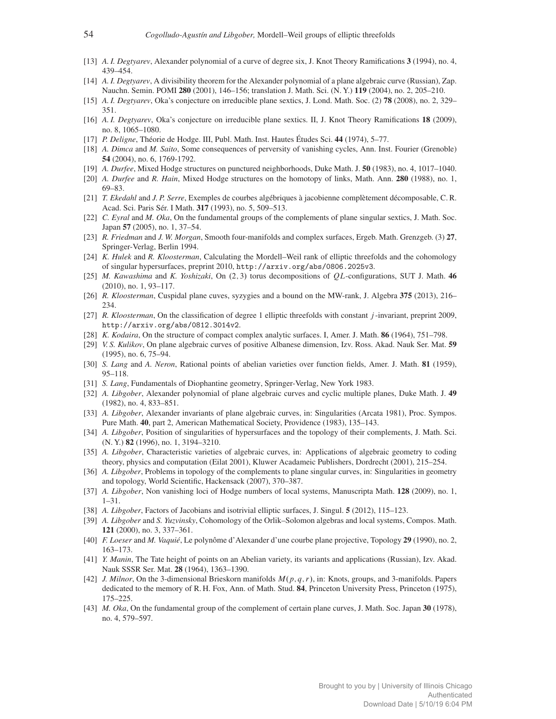- [13] *A. I. Degtyarev*, Alexander polynomial of a curve of degree six, J. Knot Theory Ramifications 3 (1994), no. 4, 439–454.
- [14] *A. I. Degtyarev*, A divisibility theorem for the Alexander polynomial of a plane algebraic curve (Russian), Zap. Nauchn. Semin. POMI 280 (2001), 146–156; translation J. Math. Sci. (N. Y.) 119 (2004), no. 2, 205–210.
- [15] *A. I. Degtyarev*, Oka's conjecture on irreducible plane sextics, J. Lond. Math. Soc. (2) 78 (2008), no. 2, 329– 351.
- [16] *A. I. Degtyarev*, Oka's conjecture on irreducible plane sextics. II, J. Knot Theory Ramifications 18 (2009), no. 8, 1065–1080.
- [17] *P. Deligne*, Théorie de Hodge. III, Publ. Math. Inst. Hautes Études Sci. 44 (1974), 5–77.
- [18] *A. Dimca* and *M. Saito*, Some consequences of perversity of vanishing cycles, Ann. Inst. Fourier (Grenoble) 54 (2004), no. 6, 1769-1792.
- [19] *A. Durfee*, Mixed Hodge structures on punctured neighborhoods, Duke Math. J. 50 (1983), no. 4, 1017–1040.
- [20] *A. Durfee* and *R. Hain*, Mixed Hodge structures on the homotopy of links, Math. Ann. 280 (1988), no. 1, 69–83.
- [21] *T. Ekedahl* and *J. P. Serre*, Exemples de courbes algébriques à jacobienne complètement décomposable, C. R. Acad. Sci. Paris Sér. I Math. 317 (1993), no. 5, 509–513.
- [22] *C. Eyral* and *M. Oka*, On the fundamental groups of the complements of plane singular sextics, J. Math. Soc. Japan 57 (2005), no. 1, 37–54.
- [23] *R. Friedman* and *J. W. Morgan*, Smooth four-manifolds and complex surfaces, Ergeb. Math. Grenzgeb. (3) 27, Springer-Verlag, Berlin 1994.
- [24] *K. Hulek* and *R. Kloosterman*, Calculating the Mordell–Weil rank of elliptic threefolds and the cohomology of singular hypersurfaces, preprint 2010, http://arxiv.org/abs/0806.2025v3.
- [25] *M. Kawashima* and *K. Yoshizaki*, On (2, 3) torus decompositions of QL-configurations, SUT J. Math. 46 (2010), no. 1, 93–117.
- [26] *R. Kloosterman*, Cuspidal plane cuves, syzygies and a bound on the MW-rank, J. Algebra 375 (2013), 216– 234.
- [27] *R. Kloosterman*, On the classification of degree 1 elliptic threefolds with constant j -invariant, preprint 2009, http://arxiv.org/abs/0812.3014v2.
- [28] *K. Kodaira*, On the structure of compact complex analytic surfaces. I, Amer. J. Math. 86 (1964), 751–798.
- [29] *V. S. Kulikov*, On plane algebraic curves of positive Albanese dimension, Izv. Ross. Akad. Nauk Ser. Mat. 59 (1995), no. 6, 75–94.
- [30] *S. Lang* and *A. Neron*, Rational points of abelian varieties over function fields, Amer. J. Math. 81 (1959), 95–118.
- [31] *S. Lang*, Fundamentals of Diophantine geometry, Springer-Verlag, New York 1983.
- [32] *A. Libgober*, Alexander polynomial of plane algebraic curves and cyclic multiple planes, Duke Math. J. 49 (1982), no. 4, 833–851.
- [33] *A. Libgober*, Alexander invariants of plane algebraic curves, in: Singularities (Arcata 1981), Proc. Sympos. Pure Math. 40, part 2, American Mathematical Society, Providence (1983), 135–143.
- [34] *A. Libgober*, Position of singularities of hypersurfaces and the topology of their complements, J. Math. Sci. (N. Y.) 82 (1996), no. 1, 3194–3210.
- [35] *A. Libgober*, Characteristic varieties of algebraic curves, in: Applications of algebraic geometry to coding theory, physics and computation (Eilat 2001), Kluwer Acadameic Publishers, Dordrecht (2001), 215–254.
- [36] *A. Libgober*, Problems in topology of the complements to plane singular curves, in: Singularities in geometry and topology, World Scientific, Hackensack (2007), 370–387.
- [37] *A. Libgober*, Non vanishing loci of Hodge numbers of local systems, Manuscripta Math. 128 (2009), no. 1, 1–31.
- [38] *A. Libgober*, Factors of Jacobians and isotrivial elliptic surfaces, J. Singul. 5 (2012), 115–123.
- [39] *A. Libgober* and *S. Yuzvinsky*, Cohomology of the Orlik–Solomon algebras and local systems, Compos. Math. 121 (2000), no. 3, 337–361.
- [40] *F. Loeser* and *M. Vaquié*, Le polynôme d'Alexander d'une courbe plane projective, Topology 29 (1990), no. 2, 163–173.
- [41] *Y. Manin*, The Tate height of points on an Abelian variety, its variants and applications (Russian), Izv. Akad. Nauk SSSR Ser. Mat. 28 (1964), 1363–1390.
- [42] *J. Milnor*, On the 3-dimensional Brieskorn manifolds  $M(p, q, r)$ , in: Knots, groups, and 3-manifolds. Papers dedicated to the memory of R. H. Fox, Ann. of Math. Stud. 84, Princeton University Press, Princeton (1975), 175–225.
- [43] *M. Oka*, On the fundamental group of the complement of certain plane curves, J. Math. Soc. Japan 30 (1978), no. 4, 579–597.